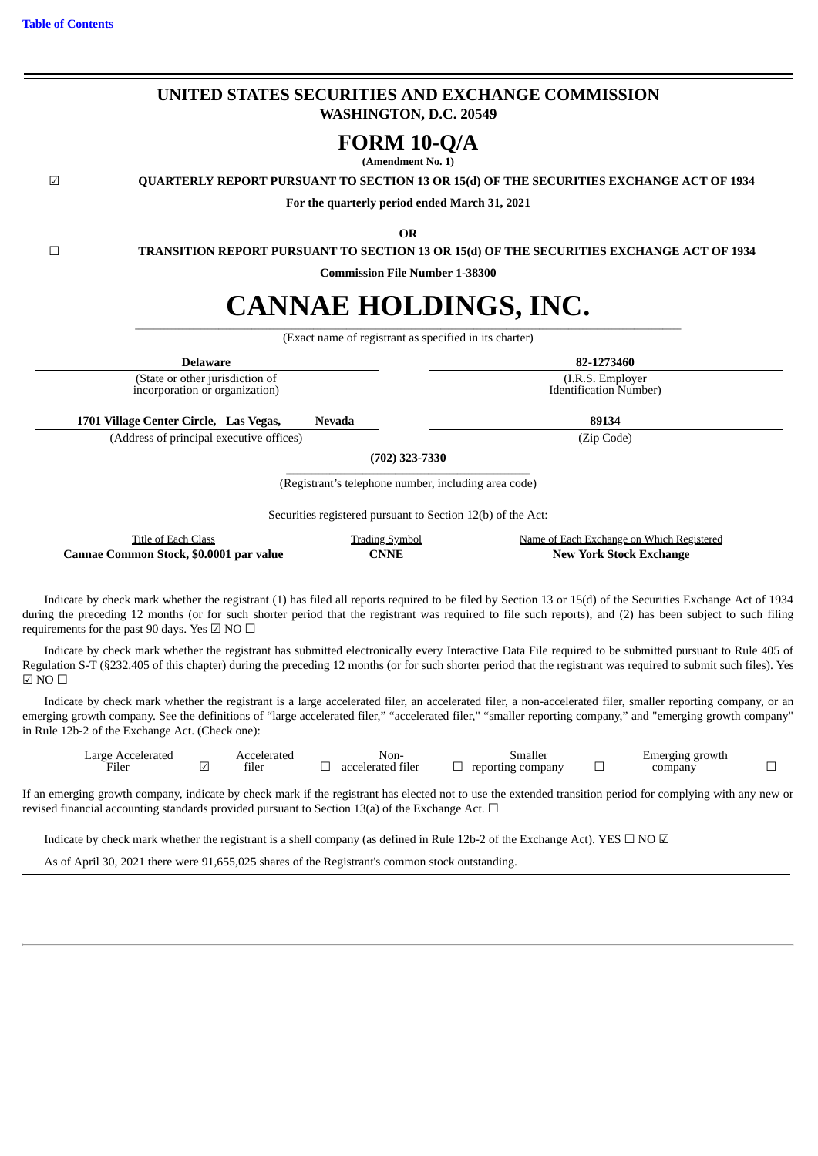# **UNITED STATES SECURITIES AND EXCHANGE COMMISSION WASHINGTON, D.C. 20549 FORM 10-Q/A (Amendment No. 1)** ☑ **QUARTERLY REPORT PURSUANT TO SECTION 13 OR 15(d) OF THE SECURITIES EXCHANGE ACT OF 1934 For the quarterly period ended March 31, 2021 OR** ☐ **TRANSITION REPORT PURSUANT TO SECTION 13 OR 15(d) OF THE SECURITIES EXCHANGE ACT OF 1934 Commission File Number 1-38300 CANNAE HOLDINGS, INC. \_\_\_\_\_\_\_\_\_\_\_\_\_\_\_\_\_\_\_\_\_\_\_\_\_\_\_\_\_\_\_\_\_\_\_\_\_\_\_\_\_\_\_\_\_\_\_\_\_\_\_\_\_\_\_\_\_\_\_\_\_\_\_\_\_\_\_\_\_\_\_\_\_\_\_\_\_\_\_\_\_\_\_\_\_\_\_\_\_\_\_\_\_\_\_\_\_\_\_\_\_\_\_\_\_\_\_\_\_\_\_\_\_\_\_\_\_\_\_\_\_\_\_\_\_\_\_\_\_\_\_\_\_\_\_\_\_\_\_\_\_\_\_\_\_\_\_\_\_\_** (Exact name of registrant as specified in its charter) **Delaware 82-1273460** (State or other jurisdiction of (I.R.S. Employer

**1701 Village Center Circle, Las Vegas, Nevada 89134** (Address of principal executive offices) (Zip Code) **(702) 323-7330**  $\mathcal{L}_\text{max} = \mathcal{L}_\text{max} = \mathcal{L}_\text{max} = \mathcal{L}_\text{max} = \mathcal{L}_\text{max} = \mathcal{L}_\text{max} = \mathcal{L}_\text{max} = \mathcal{L}_\text{max} = \mathcal{L}_\text{max} = \mathcal{L}_\text{max} = \mathcal{L}_\text{max} = \mathcal{L}_\text{max} = \mathcal{L}_\text{max} = \mathcal{L}_\text{max} = \mathcal{L}_\text{max} = \mathcal{L}_\text{max} = \mathcal{L}_\text{max} = \mathcal{L}_\text{max} = \mathcal{$ (Registrant's telephone number, including area code) Securities registered pursuant to Section 12(b) of the Act:

Identification Number)

Title of Each Class Trading Symbol Name of Each Exchange on Which Registered **Cannae** Common Stock, \$0.0001 par value **CNNE CNNE Development CNNE New York Stock Exchange** 

Indicate by check mark whether the registrant (1) has filed all reports required to be filed by Section 13 or 15(d) of the Securities Exchange Act of 1934 during the preceding 12 months (or for such shorter period that the registrant was required to file such reports), and (2) has been subject to such filing requirements for the past 90 days. Yes  $\boxdot$  NO  $\Box$ 

Indicate by check mark whether the registrant has submitted electronically every Interactive Data File required to be submitted pursuant to Rule 405 of Regulation S-T (§232.405 of this chapter) during the preceding 12 months (or for such shorter period that the registrant was required to submit such files). Yes  $\boxdot$  NO  $\Box$ 

Indicate by check mark whether the registrant is a large accelerated filer, an accelerated filer, a non-accelerated filer, smaller reporting company, or an emerging growth company. See the definitions of "large accelerated filer," "accelerated filer," "smaller reporting company," and "emerging growth company" in Rule 12b-2 of the Exchange Act. (Check one):

| Large Accelerated |   | Accelerated | Non-              | smaller           | Emerging growth |  |
|-------------------|---|-------------|-------------------|-------------------|-----------------|--|
| Filer             | ⊮ | filer       | accelerated filer | reporting company | company         |  |

If an emerging growth company, indicate by check mark if the registrant has elected not to use the extended transition period for complying with any new or revised financial accounting standards provided pursuant to Section 13(a) of the Exchange Act.  $\Box$ 

Indicate by check mark whether the registrant is a shell company (as defined in Rule 12b-2 of the Exchange Act). YES  $\Box$  NO  $\Box$ 

As of April 30, 2021 there were 91,655,025 shares of the Registrant's common stock outstanding.

incorporation or organization)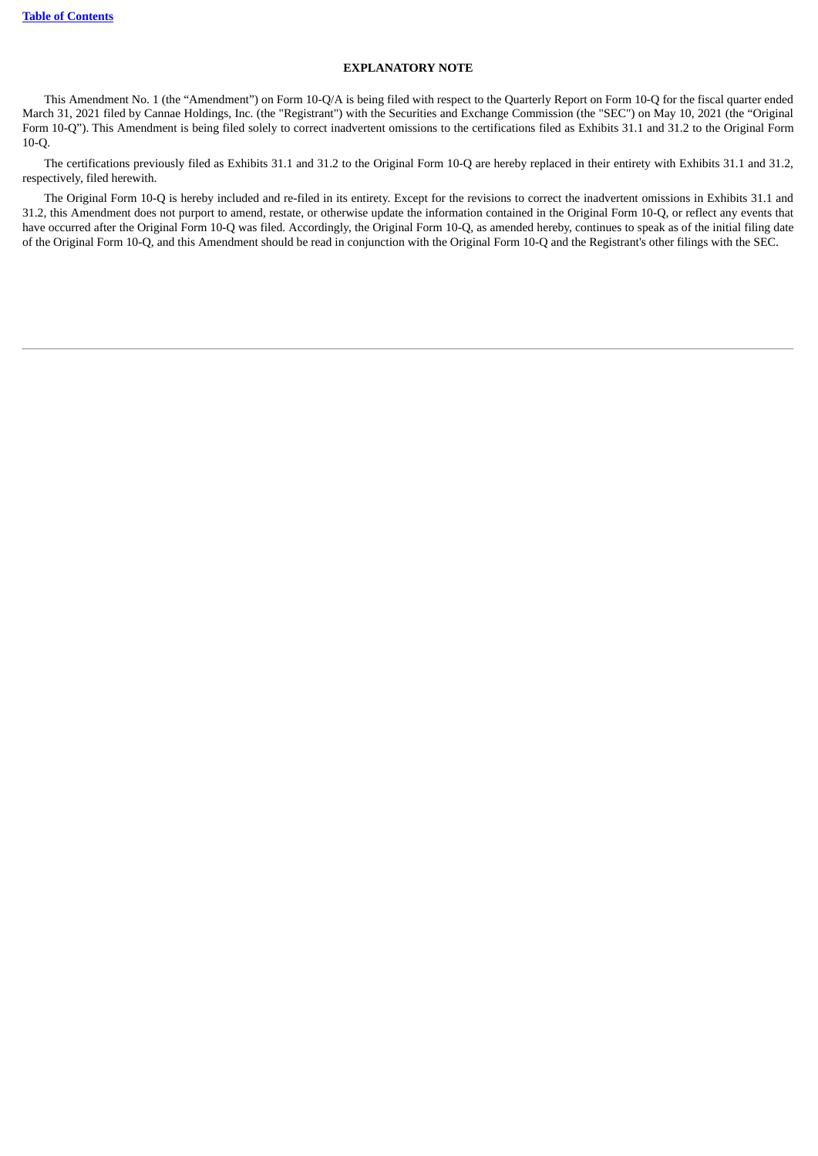### **EXPLANATORY NOTE**

This Amendment No. 1 (the "Amendment") on Form 10-Q/A is being filed with respect to the Quarterly Report on Form 10-Q for the fiscal quarter ended March 31, 2021 filed by Cannae Holdings, Inc. (the "Registrant") with the Securities and Exchange Commission (the "SEC") on May 10, 2021 (the "Original Form 10-Q"). This Amendment is being filed solely to correct inadvertent omissions to the certifications filed as Exhibits 31.1 and 31.2 to the Original Form 10-Q.

The certifications previously filed as Exhibits 31.1 and 31.2 to the Original Form 10-Q are hereby replaced in their entirety with Exhibits 31.1 and 31.2, respectively, filed herewith.

<span id="page-1-0"></span>The Original Form 10-Q is hereby included and re-filed in its entirety. Except for the revisions to correct the inadvertent omissions in Exhibits 31.1 and 31.2, this Amendment does not purport to amend, restate, or otherwise update the information contained in the Original Form 10-Q, or reflect any events that have occurred after the Original Form 10-Q was filed. Accordingly, the Original Form 10-Q, as amended hereby, continues to speak as of the initial filing date of the Original Form 10-Q, and this Amendment should be read in conjunction with the Original Form 10-Q and the Registrant's other filings with the SEC.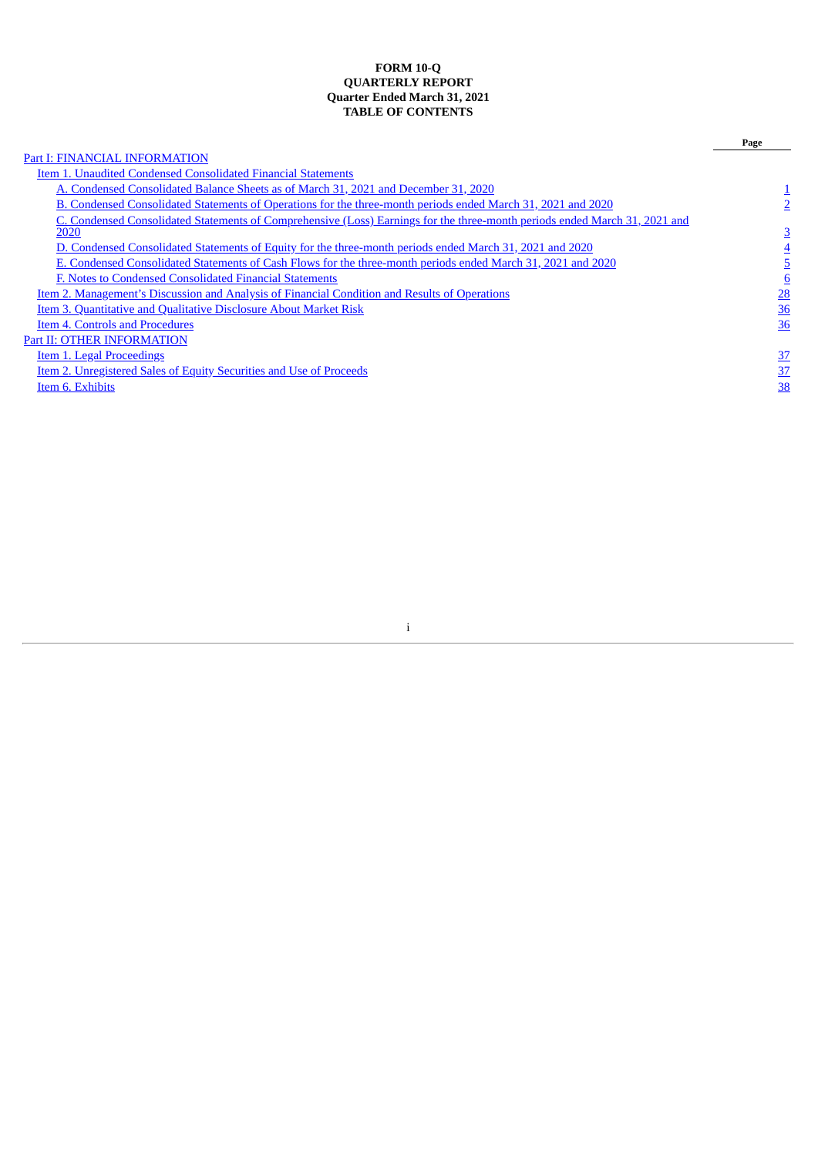# **FORM 10-Q QUARTERLY REPORT Quarter Ended March 31, 2021 TABLE OF CONTENTS**

<span id="page-2-0"></span>

|                                                                                                                            | Page            |
|----------------------------------------------------------------------------------------------------------------------------|-----------------|
| <b>Part I: FINANCIAL INFORMATION</b>                                                                                       |                 |
| <b>Item 1. Unaudited Condensed Consolidated Financial Statements</b>                                                       |                 |
| A. Condensed Consolidated Balance Sheets as of March 31, 2021 and December 31, 2020                                        |                 |
| B. Condensed Consolidated Statements of Operations for the three-month periods ended March 31, 2021 and 2020               |                 |
| C. Condensed Consolidated Statements of Comprehensive (Loss) Earnings for the three-month periods ended March 31, 2021 and |                 |
| 2020                                                                                                                       |                 |
| D. Condensed Consolidated Statements of Equity for the three-month periods ended March 31, 2021 and 2020                   |                 |
| E. Condensed Consolidated Statements of Cash Flows for the three-month periods ended March 31, 2021 and 2020               |                 |
| F. Notes to Condensed Consolidated Financial Statements                                                                    | <u>6</u>        |
| Item 2. Management's Discussion and Analysis of Financial Condition and Results of Operations                              | $\overline{28}$ |
| <b>Item 3. Quantitative and Qualitative Disclosure About Market Risk</b>                                                   | <u>36</u>       |
| Item 4. Controls and Procedures                                                                                            | 36              |
| <b>Part II: OTHER INFORMATION</b>                                                                                          |                 |
| Item 1. Legal Proceedings                                                                                                  | <u>37</u>       |
| Item 2. Unregistered Sales of Equity Securities and Use of Proceeds                                                        | <u>37</u>       |
| Item 6. Exhibits                                                                                                           | 38              |
|                                                                                                                            |                 |
|                                                                                                                            |                 |
|                                                                                                                            |                 |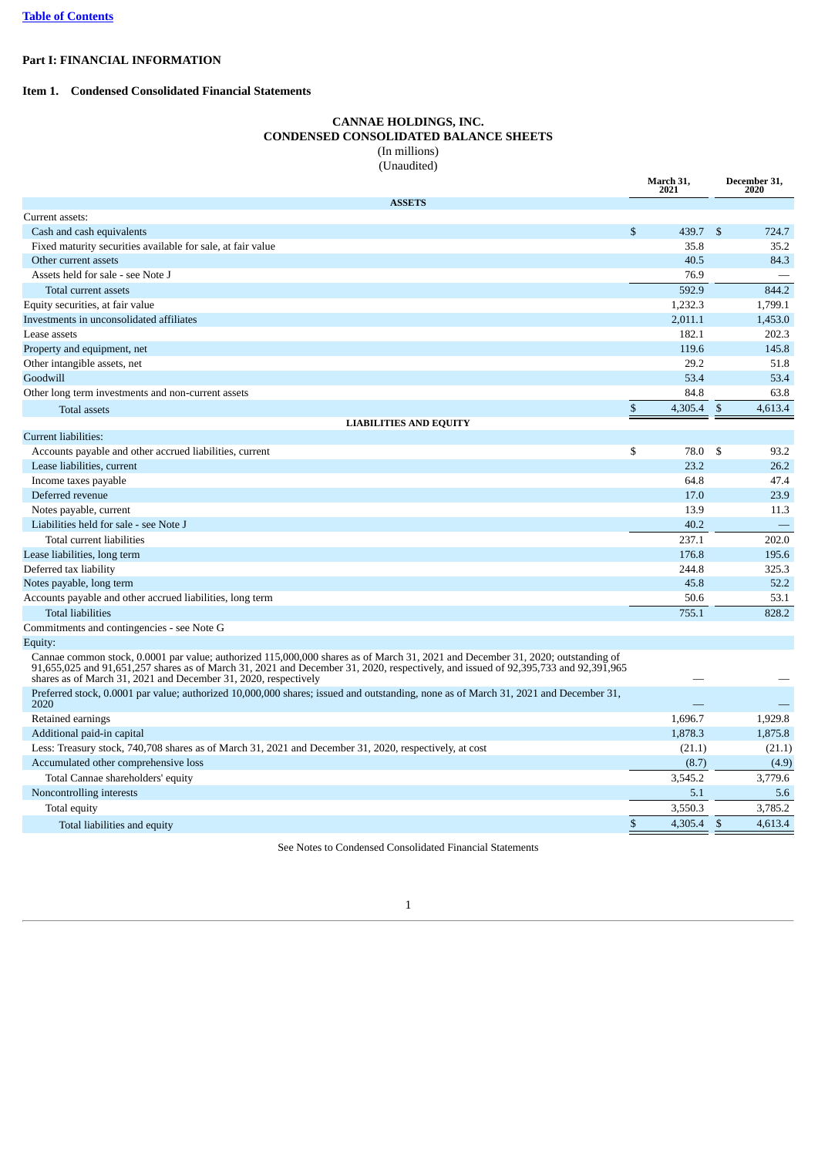# **Part I: FINANCIAL INFORMATION**

# <span id="page-3-1"></span><span id="page-3-0"></span>**Item 1. Condensed Consolidated Financial Statements**

# **CANNAE HOLDINGS, INC. CONDENSED CONSOLIDATED BALANCE SHEETS** (In millions) (Unaudited)

|                                                                                                                                                                                                                                                                                                                                          | March 31,<br>2021 |              | December 31,<br>2020 |
|------------------------------------------------------------------------------------------------------------------------------------------------------------------------------------------------------------------------------------------------------------------------------------------------------------------------------------------|-------------------|--------------|----------------------|
| <b>ASSETS</b>                                                                                                                                                                                                                                                                                                                            |                   |              |                      |
| Current assets:                                                                                                                                                                                                                                                                                                                          |                   |              |                      |
| Cash and cash equivalents                                                                                                                                                                                                                                                                                                                | \$<br>439.7       | $\mathbb{S}$ | 724.7                |
| Fixed maturity securities available for sale, at fair value                                                                                                                                                                                                                                                                              | 35.8              |              | 35.2                 |
| Other current assets                                                                                                                                                                                                                                                                                                                     | 40.5              |              | 84.3                 |
| Assets held for sale - see Note J                                                                                                                                                                                                                                                                                                        | 76.9              |              |                      |
| Total current assets                                                                                                                                                                                                                                                                                                                     | 592.9             |              | 844.2                |
| Equity securities, at fair value                                                                                                                                                                                                                                                                                                         | 1,232.3           |              | 1,799.1              |
| Investments in unconsolidated affiliates                                                                                                                                                                                                                                                                                                 | 2.011.1           |              | 1.453.0              |
| Lease assets                                                                                                                                                                                                                                                                                                                             | 182.1             |              | 202.3                |
| Property and equipment, net                                                                                                                                                                                                                                                                                                              | 119.6             |              | 145.8                |
| Other intangible assets, net                                                                                                                                                                                                                                                                                                             | 29.2              |              | 51.8                 |
| Goodwill                                                                                                                                                                                                                                                                                                                                 | 53.4              |              | 53.4                 |
| Other long term investments and non-current assets                                                                                                                                                                                                                                                                                       | 84.8              |              | 63.8                 |
| <b>Total assets</b>                                                                                                                                                                                                                                                                                                                      | \$<br>4,305.4     | \$           | 4.613.4              |
| <b>LIABILITIES AND EQUITY</b>                                                                                                                                                                                                                                                                                                            |                   |              |                      |
| Current liabilities:                                                                                                                                                                                                                                                                                                                     |                   |              |                      |
| Accounts payable and other accrued liabilities, current                                                                                                                                                                                                                                                                                  | \$<br>78.0        | \$           | 93.2                 |
| Lease liabilities, current                                                                                                                                                                                                                                                                                                               | 23.2              |              | 26.2                 |
| Income taxes payable                                                                                                                                                                                                                                                                                                                     | 64.8              |              | 47.4                 |
| Deferred revenue                                                                                                                                                                                                                                                                                                                         | 17.0              |              | 23.9                 |
| Notes payable, current                                                                                                                                                                                                                                                                                                                   | 13.9              |              | 11.3                 |
| Liabilities held for sale - see Note J                                                                                                                                                                                                                                                                                                   | 40.2              |              |                      |
| Total current liabilities                                                                                                                                                                                                                                                                                                                | 237.1             |              | 202.0                |
| Lease liabilities, long term                                                                                                                                                                                                                                                                                                             | 176.8             |              | 195.6                |
| Deferred tax liability                                                                                                                                                                                                                                                                                                                   | 244.8             |              | 325.3                |
| Notes payable, long term                                                                                                                                                                                                                                                                                                                 | 45.8              |              | 52.2                 |
| Accounts payable and other accrued liabilities, long term                                                                                                                                                                                                                                                                                | 50.6              |              | 53.1                 |
| <b>Total liabilities</b>                                                                                                                                                                                                                                                                                                                 | 755.1             |              | 828.2                |
| Commitments and contingencies - see Note G                                                                                                                                                                                                                                                                                               |                   |              |                      |
| Equity:                                                                                                                                                                                                                                                                                                                                  |                   |              |                      |
| Cannae common stock, 0.0001 par value; authorized 115,000,000 shares as of March 31, 2021 and December 31, 2020; outstanding of<br>91,655,025 and 91,651,257 shares as of March 31, 2021 and December 31, 2020, respectively, and issued of 92,395,733 and 92,391,965<br>shares as of March 31, 2021 and December 31, 2020, respectively |                   |              |                      |
| Preferred stock, 0.0001 par value; authorized 10,000,000 shares; issued and outstanding, none as of March 31, 2021 and December 31,<br>2020                                                                                                                                                                                              |                   |              |                      |
| Retained earnings                                                                                                                                                                                                                                                                                                                        | 1,696.7           |              | 1,929.8              |
| Additional paid-in capital                                                                                                                                                                                                                                                                                                               | 1,878.3           |              | 1,875.8              |
| Less: Treasury stock, 740,708 shares as of March 31, 2021 and December 31, 2020, respectively, at cost                                                                                                                                                                                                                                   | (21.1)            |              | (21.1)               |
| Accumulated other comprehensive loss                                                                                                                                                                                                                                                                                                     | (8.7)             |              | (4.9)                |
| Total Cannae shareholders' equity                                                                                                                                                                                                                                                                                                        | 3,545.2           |              | 3,779.6              |
| Noncontrolling interests                                                                                                                                                                                                                                                                                                                 | 5.1               |              | 5.6                  |
| Total equity                                                                                                                                                                                                                                                                                                                             | 3,550.3           |              | 3.785.2              |
| Total liabilities and equity                                                                                                                                                                                                                                                                                                             | \$<br>4,305.4     | \$           | 4,613.4              |
|                                                                                                                                                                                                                                                                                                                                          |                   |              |                      |

<span id="page-3-2"></span>See Notes to Condensed Consolidated Financial Statements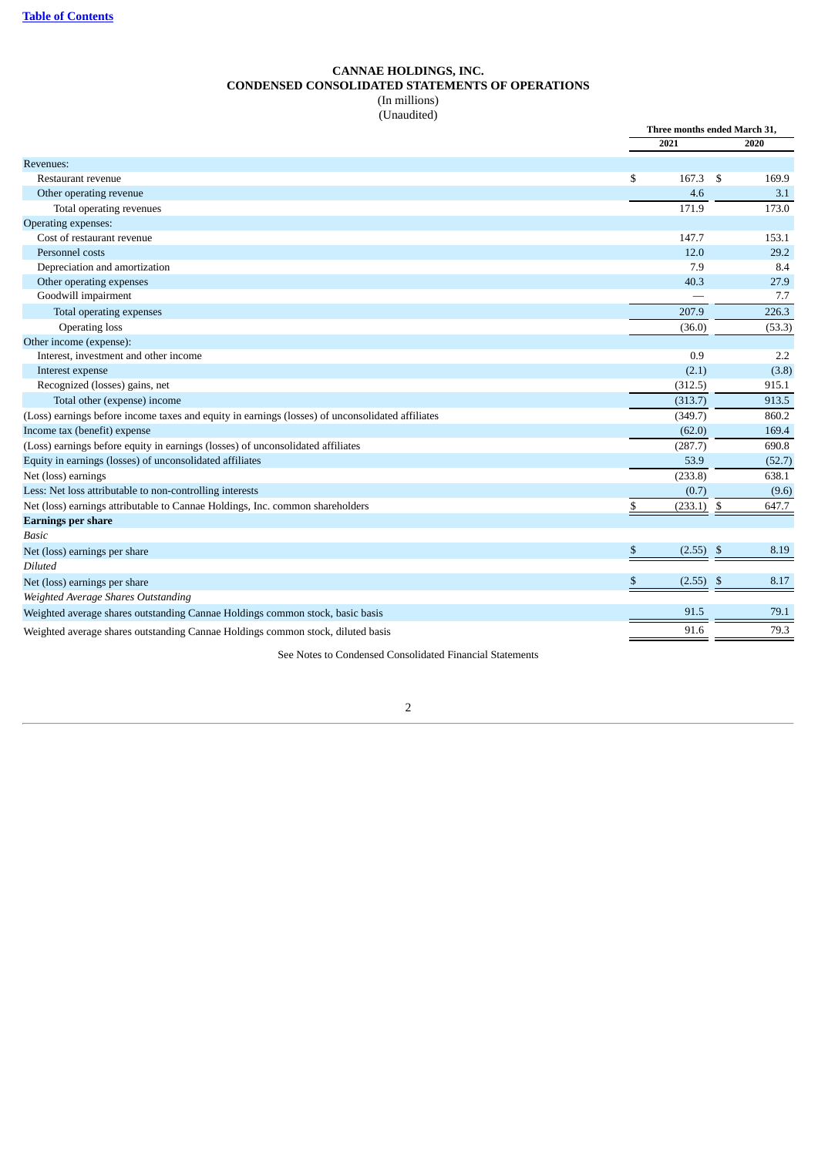# **CANNAE HOLDINGS, INC. CONDENSED CONSOLIDATED STATEMENTS OF OPERATIONS** (In millions)

(Unaudited)

|                                                                                                  |      | Three months ended March 31, |     |        |
|--------------------------------------------------------------------------------------------------|------|------------------------------|-----|--------|
|                                                                                                  | 2021 |                              |     | 2020   |
| Revenues:                                                                                        |      |                              |     |        |
| Restaurant revenue                                                                               | \$   | 167.3                        | -\$ | 169.9  |
| Other operating revenue                                                                          |      | 4.6                          |     | 3.1    |
| Total operating revenues                                                                         |      | 171.9                        |     | 173.0  |
| Operating expenses:                                                                              |      |                              |     |        |
| Cost of restaurant revenue                                                                       |      | 147.7                        |     | 153.1  |
| Personnel costs                                                                                  |      | 12.0                         |     | 29.2   |
| Depreciation and amortization                                                                    |      | 7.9                          |     | 8.4    |
| Other operating expenses                                                                         |      | 40.3                         |     | 27.9   |
| Goodwill impairment                                                                              |      |                              |     | 7.7    |
| Total operating expenses                                                                         |      | 207.9                        |     | 226.3  |
| <b>Operating loss</b>                                                                            |      | (36.0)                       |     | (53.3) |
| Other income (expense):                                                                          |      |                              |     |        |
| Interest, investment and other income                                                            |      | 0.9                          |     | 2.2    |
| Interest expense                                                                                 |      | (2.1)                        |     | (3.8)  |
| Recognized (losses) gains, net                                                                   |      | (312.5)                      |     | 915.1  |
| Total other (expense) income                                                                     |      | (313.7)                      |     | 913.5  |
| (Loss) earnings before income taxes and equity in earnings (losses) of unconsolidated affiliates |      | (349.7)                      |     | 860.2  |
| Income tax (benefit) expense                                                                     |      | (62.0)                       |     | 169.4  |
| (Loss) earnings before equity in earnings (losses) of unconsolidated affiliates                  |      | (287.7)                      |     | 690.8  |
| Equity in earnings (losses) of unconsolidated affiliates                                         |      | 53.9                         |     | (52.7) |
| Net (loss) earnings                                                                              |      | (233.8)                      |     | 638.1  |
| Less: Net loss attributable to non-controlling interests                                         |      | (0.7)                        |     | (9.6)  |
| Net (loss) earnings attributable to Cannae Holdings, Inc. common shareholders                    | \$   | $(233.1)$ \$                 |     | 647.7  |
| <b>Earnings per share</b>                                                                        |      |                              |     |        |
| <b>Basic</b>                                                                                     |      |                              |     |        |
| Net (loss) earnings per share                                                                    | \$   | (2.55)                       | -\$ | 8.19   |
| <b>Diluted</b>                                                                                   |      |                              |     |        |
| Net (loss) earnings per share                                                                    | \$   | $(2.55)$ \$                  |     | 8.17   |
| Weighted Average Shares Outstanding                                                              |      |                              |     |        |
| Weighted average shares outstanding Cannae Holdings common stock, basic basis                    |      | 91.5                         |     | 79.1   |
| Weighted average shares outstanding Cannae Holdings common stock, diluted basis                  |      | 91.6                         |     | 79.3   |
|                                                                                                  |      |                              |     |        |

<span id="page-4-0"></span>See Notes to Condensed Consolidated Financial Statements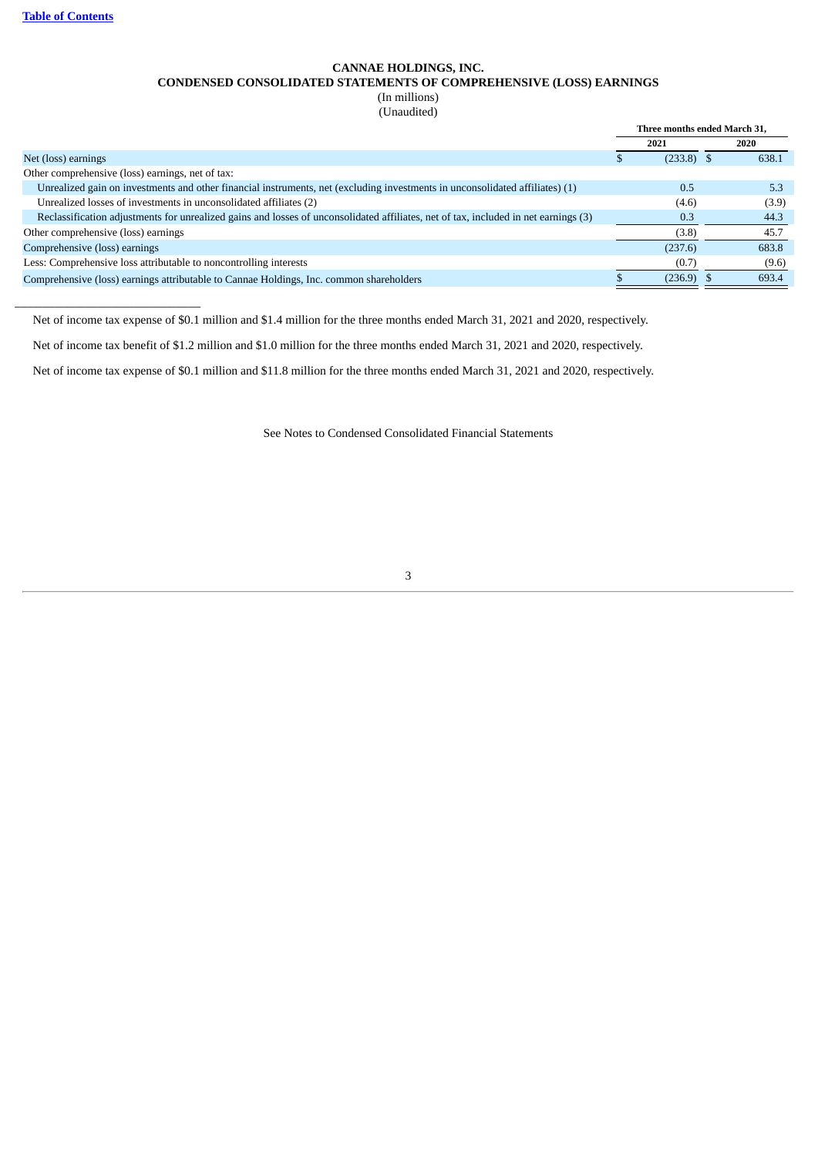\_\_\_\_\_\_\_\_\_\_\_\_\_\_\_\_\_\_\_\_\_\_\_\_\_\_\_\_\_\_\_

# **CANNAE HOLDINGS, INC. CONDENSED CONSOLIDATED STATEMENTS OF COMPREHENSIVE (LOSS) EARNINGS** (In millions)

(Unaudited)

|                                                                                                                                     | Three months ended March 31, |              |  |       |  |  |  |
|-------------------------------------------------------------------------------------------------------------------------------------|------------------------------|--------------|--|-------|--|--|--|
|                                                                                                                                     |                              | 2021         |  | 2020  |  |  |  |
| Net (loss) earnings                                                                                                                 |                              | $(233.8)$ \$ |  | 638.1 |  |  |  |
| Other comprehensive (loss) earnings, net of tax:                                                                                    |                              |              |  |       |  |  |  |
| Unrealized gain on investments and other financial instruments, net (excluding investments in unconsolidated affiliates) (1)        |                              | 0.5          |  | 5.3   |  |  |  |
| Unrealized losses of investments in unconsolidated affiliates (2)                                                                   |                              | (4.6)        |  | (3.9) |  |  |  |
| Reclassification adjustments for unrealized gains and losses of unconsolidated affiliates, net of tax, included in net earnings (3) |                              | 0.3          |  | 44.3  |  |  |  |
| Other comprehensive (loss) earnings                                                                                                 |                              | (3.8)        |  | 45.7  |  |  |  |
| Comprehensive (loss) earnings                                                                                                       |                              | (237.6)      |  | 683.8 |  |  |  |
| Less: Comprehensive loss attributable to noncontrolling interests                                                                   |                              | (0.7)        |  | (9.6) |  |  |  |
| Comprehensive (loss) earnings attributable to Cannae Holdings, Inc. common shareholders                                             |                              | $(236.9)$ \$ |  | 693.4 |  |  |  |

Net of income tax expense of \$0.1 million and \$1.4 million for the three months ended March 31, 2021 and 2020, respectively.

Net of income tax benefit of \$1.2 million and \$1.0 million for the three months ended March 31, 2021 and 2020, respectively.

<span id="page-5-0"></span>Net of income tax expense of \$0.1 million and \$11.8 million for the three months ended March 31, 2021 and 2020, respectively.

See Notes to Condensed Consolidated Financial Statements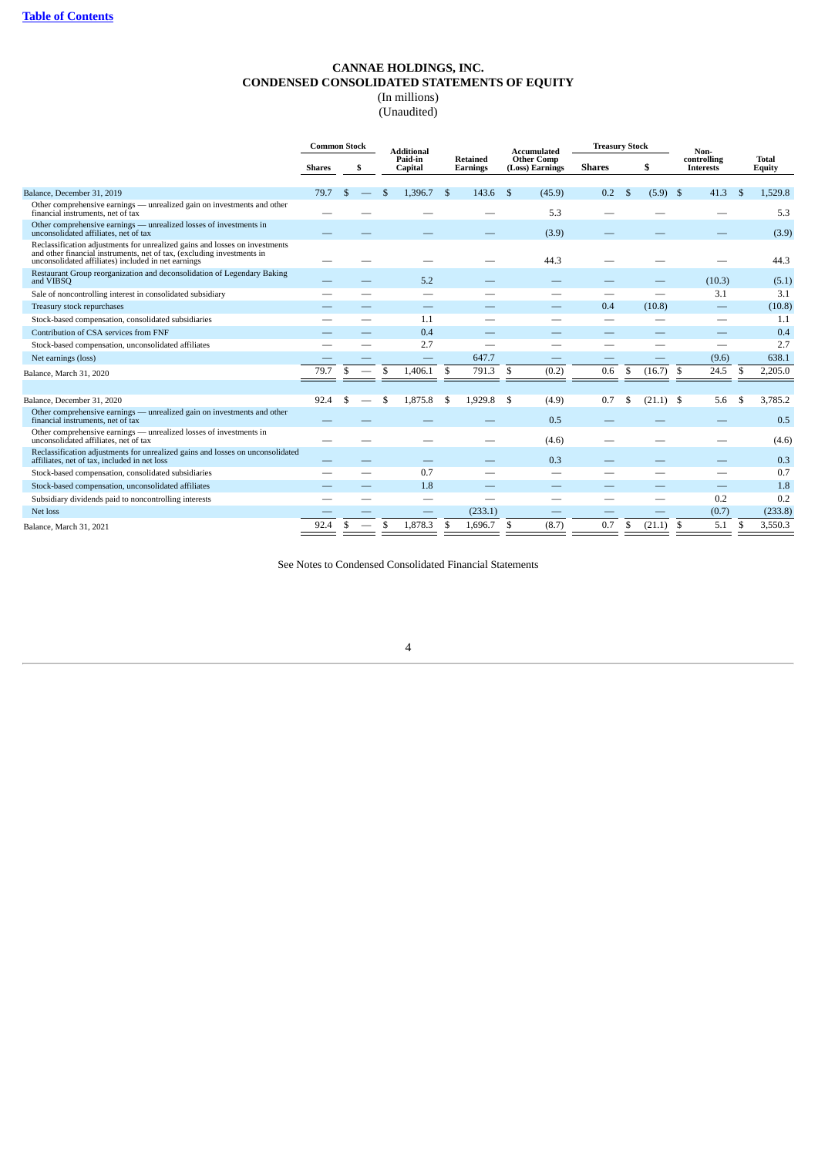# **CANNAE HOLDINGS, INC. CONDENSED CONSOLIDATED STATEMENTS OF EQUITY** (In millions)

(Unaudited)

|                                                                                                                                                                                                              | <b>Common Stock</b> |    | <b>Additional</b> |    |                          |    | Accumulated          |    |                                      | <b>Treasury Stock</b> |    | Non-        |    |                                 |                               |         |
|--------------------------------------------------------------------------------------------------------------------------------------------------------------------------------------------------------------|---------------------|----|-------------------|----|--------------------------|----|----------------------|----|--------------------------------------|-----------------------|----|-------------|----|---------------------------------|-------------------------------|---------|
|                                                                                                                                                                                                              | <b>Shares</b>       |    | £.                |    | Paid-in<br>Capital       |    | Retained<br>Earnings |    | <b>Other Comp</b><br>(Loss) Earnings | <b>Shares</b>         |    | \$          |    | controlling<br><b>Interests</b> | <b>Total</b><br><b>Equity</b> |         |
|                                                                                                                                                                                                              |                     |    |                   |    |                          |    |                      |    |                                      |                       |    |             |    |                                 |                               |         |
| Balance, December 31, 2019                                                                                                                                                                                   | 79.7                |    |                   | \$ | 1.396.7                  | \$ | 143.6                | \$ | (45.9)                               | 0.2                   | -S | $(5.9)$ \$  |    | 41.3                            | \$                            | 1,529.8 |
| Other comprehensive earnings — unrealized gain on investments and other<br>financial instruments, net of tax                                                                                                 |                     |    |                   |    |                          |    |                      |    | 5.3                                  |                       |    |             |    |                                 |                               | 5.3     |
| Other comprehensive earnings — unrealized losses of investments in<br>unconsolidated affiliates, net of tax                                                                                                  |                     |    |                   |    |                          |    |                      |    | (3.9)                                |                       |    |             |    |                                 |                               | (3.9)   |
| Reclassification adjustments for unrealized gains and losses on investments<br>and other financial instruments, net of tax, (excluding investments in<br>unconsolidated affiliates) included in net earnings |                     |    |                   |    |                          |    |                      |    | 44.3                                 |                       |    |             |    |                                 |                               | 44.3    |
| Restaurant Group reorganization and deconsolidation of Legendary Baking<br>and VIBSQ                                                                                                                         |                     |    |                   |    | 5.2                      |    |                      |    |                                      |                       |    |             |    | (10.3)                          |                               | (5.1)   |
| Sale of noncontrolling interest in consolidated subsidiary                                                                                                                                                   |                     |    |                   |    | $\overline{\phantom{a}}$ |    |                      |    |                                      |                       |    |             |    | 3.1                             |                               | 3.1     |
| Treasury stock repurchases                                                                                                                                                                                   |                     |    |                   |    |                          |    |                      |    |                                      | 0.4                   |    | (10.8)      |    |                                 |                               | (10.8)  |
| Stock-based compensation, consolidated subsidiaries                                                                                                                                                          |                     |    |                   |    | 1.1                      |    |                      |    |                                      |                       |    |             |    |                                 |                               | 1.1     |
| Contribution of CSA services from FNF                                                                                                                                                                        |                     |    |                   |    | 0.4                      |    |                      |    |                                      |                       |    |             |    |                                 |                               | 0.4     |
| Stock-based compensation, unconsolidated affiliates                                                                                                                                                          |                     |    |                   |    | 2.7                      |    |                      |    |                                      |                       |    |             |    |                                 |                               | 2.7     |
| Net earnings (loss)                                                                                                                                                                                          |                     |    |                   |    |                          |    | 647.7                |    |                                      |                       |    |             |    | (9.6)                           |                               | 638.1   |
| Balance, March 31, 2020                                                                                                                                                                                      | 79.7                | \$ |                   | \$ | 1,406.1                  | \$ | 791.3                | \$ | (0.2)                                | 0.6                   | \$ | (16.7)      | \$ | 24.5                            | \$                            | 2,205.0 |
|                                                                                                                                                                                                              |                     |    |                   |    |                          |    |                      |    |                                      |                       |    |             |    |                                 |                               |         |
| Balance, December 31, 2020                                                                                                                                                                                   | 92.4                |    |                   | .S | 1,875.8                  | \$ | 1.929.8              | \$ | (4.9)                                | 0.7                   | \$ | $(21.1)$ \$ |    | 5.6                             | \$                            | 3,785.2 |
| Other comprehensive earnings — unrealized gain on investments and other<br>financial instruments, net of tax                                                                                                 |                     |    |                   |    |                          |    |                      |    | 0.5                                  |                       |    |             |    |                                 |                               | 0.5     |
| Other comprehensive earnings — unrealized losses of investments in<br>unconsolidated affiliates, net of tax                                                                                                  |                     |    |                   |    |                          |    |                      |    | (4.6)                                |                       |    |             |    |                                 |                               | (4.6)   |
| Reclassification adjustments for unrealized gains and losses on unconsolidated<br>affiliates, net of tax, included in net loss                                                                               |                     |    |                   |    |                          |    |                      |    | 0.3                                  |                       |    |             |    |                                 |                               | 0.3     |
| Stock-based compensation, consolidated subsidiaries                                                                                                                                                          |                     |    |                   |    | 0.7                      |    |                      |    |                                      |                       |    |             |    |                                 |                               | 0.7     |
| Stock-based compensation, unconsolidated affiliates                                                                                                                                                          |                     |    |                   |    | 1.8                      |    |                      |    |                                      |                       |    |             |    |                                 |                               | 1.8     |
| Subsidiary dividends paid to noncontrolling interests                                                                                                                                                        |                     |    |                   |    |                          |    |                      |    |                                      |                       |    |             |    | 0.2                             |                               | 0.2     |
| Net loss                                                                                                                                                                                                     |                     |    |                   |    |                          |    | (233.1)              |    |                                      |                       |    |             |    | (0.7)                           |                               | (233.8) |
| Balance, March 31, 2021                                                                                                                                                                                      | 92.4                | \$ |                   | \$ | 1,878.3                  | \$ | 1,696.7              | \$ | (8.7)                                | 0.7                   | \$ | (21.1)      | \$ | 5.1                             | <sup>\$</sup>                 | 3,550.3 |

<span id="page-6-0"></span>See Notes to Condensed Consolidated Financial Statements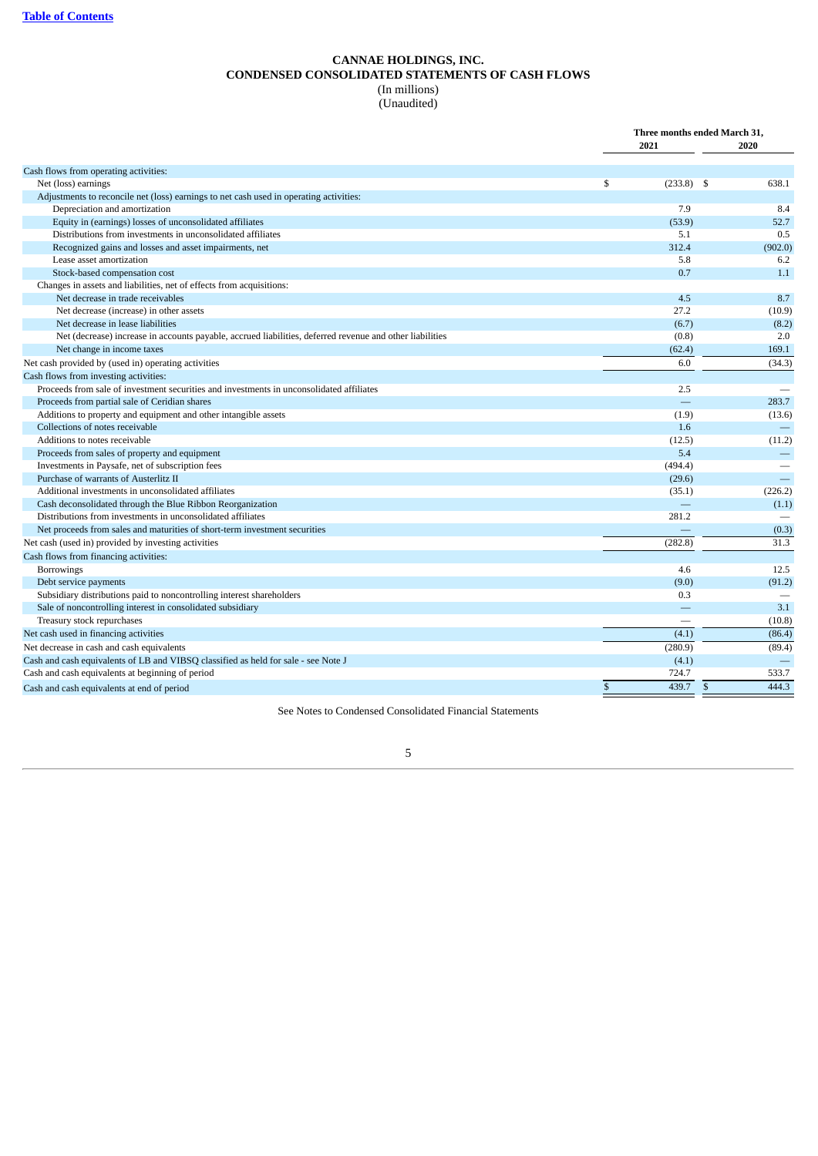# **CANNAE HOLDINGS, INC. CONDENSED CONSOLIDATED STATEMENTS OF CASH FLOWS** (In millions) (Unaudited)

| 2021<br>2020<br>Cash flows from operating activities:<br>\$<br>$(233.8)$ \$<br>638.1<br>Net (loss) earnings<br>Adjustments to reconcile net (loss) earnings to net cash used in operating activities:<br>Depreciation and amortization<br>7.9<br>8.4<br>Equity in (earnings) losses of unconsolidated affiliates<br>(53.9)<br>52.7<br>Distributions from investments in unconsolidated affiliates<br>5.1<br>0.5<br>Recognized gains and losses and asset impairments, net<br>312.4<br>(902.0)<br>Lease asset amortization<br>5.8<br>6.2<br>Stock-based compensation cost<br>0.7<br>1.1<br>Changes in assets and liabilities, net of effects from acquisitions:<br>8.7<br>Net decrease in trade receivables<br>4.5<br>Net decrease (increase) in other assets<br>27.2<br>(10.9)<br>Net decrease in lease liabilities<br>(8.2)<br>(6.7)<br>2.0<br>Net (decrease) increase in accounts payable, accrued liabilities, deferred revenue and other liabilities<br>(0.8)<br>Net change in income taxes<br>(62.4)<br>169.1<br>6.0<br>Net cash provided by (used in) operating activities<br>(34.3)<br>Cash flows from investing activities:<br>Proceeds from sale of investment securities and investments in unconsolidated affiliates<br>2.5<br>Proceeds from partial sale of Ceridian shares<br>283.7<br>Additions to property and equipment and other intangible assets<br>(1.9)<br>(13.6)<br>Collections of notes receivable<br>1.6<br>Additions to notes receivable<br>(12.5)<br>(11.2)<br>5.4<br>Proceeds from sales of property and equipment<br>(494.4)<br>Investments in Paysafe, net of subscription fees<br>Purchase of warrants of Austerlitz II<br>(29.6)<br>Additional investments in unconsolidated affiliates<br>(226.2)<br>(35.1)<br>Cash deconsolidated through the Blue Ribbon Reorganization<br>÷,<br>(1.1)<br>Distributions from investments in unconsolidated affiliates<br>281.2<br>Net proceeds from sales and maturities of short-term investment securities<br>(0.3)<br>(282.8)<br>31.3<br>Net cash (used in) provided by investing activities<br>Cash flows from financing activities:<br>Borrowings<br>12.5<br>4.6<br>Debt service payments<br>(9.0)<br>(91.2)<br>Subsidiary distributions paid to noncontrolling interest shareholders<br>0.3<br>Sale of noncontrolling interest in consolidated subsidiary<br>3.1<br>Treasury stock repurchases<br>(10.8)<br>Net cash used in financing activities<br>(4.1)<br>(86.4) |
|----------------------------------------------------------------------------------------------------------------------------------------------------------------------------------------------------------------------------------------------------------------------------------------------------------------------------------------------------------------------------------------------------------------------------------------------------------------------------------------------------------------------------------------------------------------------------------------------------------------------------------------------------------------------------------------------------------------------------------------------------------------------------------------------------------------------------------------------------------------------------------------------------------------------------------------------------------------------------------------------------------------------------------------------------------------------------------------------------------------------------------------------------------------------------------------------------------------------------------------------------------------------------------------------------------------------------------------------------------------------------------------------------------------------------------------------------------------------------------------------------------------------------------------------------------------------------------------------------------------------------------------------------------------------------------------------------------------------------------------------------------------------------------------------------------------------------------------------------------------------------------------------------------------------------------------------------------------------------------------------------------------------------------------------------------------------------------------------------------------------------------------------------------------------------------------------------------------------------------------------------------------------------------------------------------------------------------------------------------------------------------------------------------------------------------------------|
|                                                                                                                                                                                                                                                                                                                                                                                                                                                                                                                                                                                                                                                                                                                                                                                                                                                                                                                                                                                                                                                                                                                                                                                                                                                                                                                                                                                                                                                                                                                                                                                                                                                                                                                                                                                                                                                                                                                                                                                                                                                                                                                                                                                                                                                                                                                                                                                                                                              |
|                                                                                                                                                                                                                                                                                                                                                                                                                                                                                                                                                                                                                                                                                                                                                                                                                                                                                                                                                                                                                                                                                                                                                                                                                                                                                                                                                                                                                                                                                                                                                                                                                                                                                                                                                                                                                                                                                                                                                                                                                                                                                                                                                                                                                                                                                                                                                                                                                                              |
|                                                                                                                                                                                                                                                                                                                                                                                                                                                                                                                                                                                                                                                                                                                                                                                                                                                                                                                                                                                                                                                                                                                                                                                                                                                                                                                                                                                                                                                                                                                                                                                                                                                                                                                                                                                                                                                                                                                                                                                                                                                                                                                                                                                                                                                                                                                                                                                                                                              |
|                                                                                                                                                                                                                                                                                                                                                                                                                                                                                                                                                                                                                                                                                                                                                                                                                                                                                                                                                                                                                                                                                                                                                                                                                                                                                                                                                                                                                                                                                                                                                                                                                                                                                                                                                                                                                                                                                                                                                                                                                                                                                                                                                                                                                                                                                                                                                                                                                                              |
|                                                                                                                                                                                                                                                                                                                                                                                                                                                                                                                                                                                                                                                                                                                                                                                                                                                                                                                                                                                                                                                                                                                                                                                                                                                                                                                                                                                                                                                                                                                                                                                                                                                                                                                                                                                                                                                                                                                                                                                                                                                                                                                                                                                                                                                                                                                                                                                                                                              |
|                                                                                                                                                                                                                                                                                                                                                                                                                                                                                                                                                                                                                                                                                                                                                                                                                                                                                                                                                                                                                                                                                                                                                                                                                                                                                                                                                                                                                                                                                                                                                                                                                                                                                                                                                                                                                                                                                                                                                                                                                                                                                                                                                                                                                                                                                                                                                                                                                                              |
|                                                                                                                                                                                                                                                                                                                                                                                                                                                                                                                                                                                                                                                                                                                                                                                                                                                                                                                                                                                                                                                                                                                                                                                                                                                                                                                                                                                                                                                                                                                                                                                                                                                                                                                                                                                                                                                                                                                                                                                                                                                                                                                                                                                                                                                                                                                                                                                                                                              |
|                                                                                                                                                                                                                                                                                                                                                                                                                                                                                                                                                                                                                                                                                                                                                                                                                                                                                                                                                                                                                                                                                                                                                                                                                                                                                                                                                                                                                                                                                                                                                                                                                                                                                                                                                                                                                                                                                                                                                                                                                                                                                                                                                                                                                                                                                                                                                                                                                                              |
|                                                                                                                                                                                                                                                                                                                                                                                                                                                                                                                                                                                                                                                                                                                                                                                                                                                                                                                                                                                                                                                                                                                                                                                                                                                                                                                                                                                                                                                                                                                                                                                                                                                                                                                                                                                                                                                                                                                                                                                                                                                                                                                                                                                                                                                                                                                                                                                                                                              |
|                                                                                                                                                                                                                                                                                                                                                                                                                                                                                                                                                                                                                                                                                                                                                                                                                                                                                                                                                                                                                                                                                                                                                                                                                                                                                                                                                                                                                                                                                                                                                                                                                                                                                                                                                                                                                                                                                                                                                                                                                                                                                                                                                                                                                                                                                                                                                                                                                                              |
|                                                                                                                                                                                                                                                                                                                                                                                                                                                                                                                                                                                                                                                                                                                                                                                                                                                                                                                                                                                                                                                                                                                                                                                                                                                                                                                                                                                                                                                                                                                                                                                                                                                                                                                                                                                                                                                                                                                                                                                                                                                                                                                                                                                                                                                                                                                                                                                                                                              |
|                                                                                                                                                                                                                                                                                                                                                                                                                                                                                                                                                                                                                                                                                                                                                                                                                                                                                                                                                                                                                                                                                                                                                                                                                                                                                                                                                                                                                                                                                                                                                                                                                                                                                                                                                                                                                                                                                                                                                                                                                                                                                                                                                                                                                                                                                                                                                                                                                                              |
|                                                                                                                                                                                                                                                                                                                                                                                                                                                                                                                                                                                                                                                                                                                                                                                                                                                                                                                                                                                                                                                                                                                                                                                                                                                                                                                                                                                                                                                                                                                                                                                                                                                                                                                                                                                                                                                                                                                                                                                                                                                                                                                                                                                                                                                                                                                                                                                                                                              |
|                                                                                                                                                                                                                                                                                                                                                                                                                                                                                                                                                                                                                                                                                                                                                                                                                                                                                                                                                                                                                                                                                                                                                                                                                                                                                                                                                                                                                                                                                                                                                                                                                                                                                                                                                                                                                                                                                                                                                                                                                                                                                                                                                                                                                                                                                                                                                                                                                                              |
|                                                                                                                                                                                                                                                                                                                                                                                                                                                                                                                                                                                                                                                                                                                                                                                                                                                                                                                                                                                                                                                                                                                                                                                                                                                                                                                                                                                                                                                                                                                                                                                                                                                                                                                                                                                                                                                                                                                                                                                                                                                                                                                                                                                                                                                                                                                                                                                                                                              |
|                                                                                                                                                                                                                                                                                                                                                                                                                                                                                                                                                                                                                                                                                                                                                                                                                                                                                                                                                                                                                                                                                                                                                                                                                                                                                                                                                                                                                                                                                                                                                                                                                                                                                                                                                                                                                                                                                                                                                                                                                                                                                                                                                                                                                                                                                                                                                                                                                                              |
|                                                                                                                                                                                                                                                                                                                                                                                                                                                                                                                                                                                                                                                                                                                                                                                                                                                                                                                                                                                                                                                                                                                                                                                                                                                                                                                                                                                                                                                                                                                                                                                                                                                                                                                                                                                                                                                                                                                                                                                                                                                                                                                                                                                                                                                                                                                                                                                                                                              |
|                                                                                                                                                                                                                                                                                                                                                                                                                                                                                                                                                                                                                                                                                                                                                                                                                                                                                                                                                                                                                                                                                                                                                                                                                                                                                                                                                                                                                                                                                                                                                                                                                                                                                                                                                                                                                                                                                                                                                                                                                                                                                                                                                                                                                                                                                                                                                                                                                                              |
|                                                                                                                                                                                                                                                                                                                                                                                                                                                                                                                                                                                                                                                                                                                                                                                                                                                                                                                                                                                                                                                                                                                                                                                                                                                                                                                                                                                                                                                                                                                                                                                                                                                                                                                                                                                                                                                                                                                                                                                                                                                                                                                                                                                                                                                                                                                                                                                                                                              |
|                                                                                                                                                                                                                                                                                                                                                                                                                                                                                                                                                                                                                                                                                                                                                                                                                                                                                                                                                                                                                                                                                                                                                                                                                                                                                                                                                                                                                                                                                                                                                                                                                                                                                                                                                                                                                                                                                                                                                                                                                                                                                                                                                                                                                                                                                                                                                                                                                                              |
|                                                                                                                                                                                                                                                                                                                                                                                                                                                                                                                                                                                                                                                                                                                                                                                                                                                                                                                                                                                                                                                                                                                                                                                                                                                                                                                                                                                                                                                                                                                                                                                                                                                                                                                                                                                                                                                                                                                                                                                                                                                                                                                                                                                                                                                                                                                                                                                                                                              |
|                                                                                                                                                                                                                                                                                                                                                                                                                                                                                                                                                                                                                                                                                                                                                                                                                                                                                                                                                                                                                                                                                                                                                                                                                                                                                                                                                                                                                                                                                                                                                                                                                                                                                                                                                                                                                                                                                                                                                                                                                                                                                                                                                                                                                                                                                                                                                                                                                                              |
|                                                                                                                                                                                                                                                                                                                                                                                                                                                                                                                                                                                                                                                                                                                                                                                                                                                                                                                                                                                                                                                                                                                                                                                                                                                                                                                                                                                                                                                                                                                                                                                                                                                                                                                                                                                                                                                                                                                                                                                                                                                                                                                                                                                                                                                                                                                                                                                                                                              |
|                                                                                                                                                                                                                                                                                                                                                                                                                                                                                                                                                                                                                                                                                                                                                                                                                                                                                                                                                                                                                                                                                                                                                                                                                                                                                                                                                                                                                                                                                                                                                                                                                                                                                                                                                                                                                                                                                                                                                                                                                                                                                                                                                                                                                                                                                                                                                                                                                                              |
|                                                                                                                                                                                                                                                                                                                                                                                                                                                                                                                                                                                                                                                                                                                                                                                                                                                                                                                                                                                                                                                                                                                                                                                                                                                                                                                                                                                                                                                                                                                                                                                                                                                                                                                                                                                                                                                                                                                                                                                                                                                                                                                                                                                                                                                                                                                                                                                                                                              |
|                                                                                                                                                                                                                                                                                                                                                                                                                                                                                                                                                                                                                                                                                                                                                                                                                                                                                                                                                                                                                                                                                                                                                                                                                                                                                                                                                                                                                                                                                                                                                                                                                                                                                                                                                                                                                                                                                                                                                                                                                                                                                                                                                                                                                                                                                                                                                                                                                                              |
|                                                                                                                                                                                                                                                                                                                                                                                                                                                                                                                                                                                                                                                                                                                                                                                                                                                                                                                                                                                                                                                                                                                                                                                                                                                                                                                                                                                                                                                                                                                                                                                                                                                                                                                                                                                                                                                                                                                                                                                                                                                                                                                                                                                                                                                                                                                                                                                                                                              |
|                                                                                                                                                                                                                                                                                                                                                                                                                                                                                                                                                                                                                                                                                                                                                                                                                                                                                                                                                                                                                                                                                                                                                                                                                                                                                                                                                                                                                                                                                                                                                                                                                                                                                                                                                                                                                                                                                                                                                                                                                                                                                                                                                                                                                                                                                                                                                                                                                                              |
|                                                                                                                                                                                                                                                                                                                                                                                                                                                                                                                                                                                                                                                                                                                                                                                                                                                                                                                                                                                                                                                                                                                                                                                                                                                                                                                                                                                                                                                                                                                                                                                                                                                                                                                                                                                                                                                                                                                                                                                                                                                                                                                                                                                                                                                                                                                                                                                                                                              |
|                                                                                                                                                                                                                                                                                                                                                                                                                                                                                                                                                                                                                                                                                                                                                                                                                                                                                                                                                                                                                                                                                                                                                                                                                                                                                                                                                                                                                                                                                                                                                                                                                                                                                                                                                                                                                                                                                                                                                                                                                                                                                                                                                                                                                                                                                                                                                                                                                                              |
|                                                                                                                                                                                                                                                                                                                                                                                                                                                                                                                                                                                                                                                                                                                                                                                                                                                                                                                                                                                                                                                                                                                                                                                                                                                                                                                                                                                                                                                                                                                                                                                                                                                                                                                                                                                                                                                                                                                                                                                                                                                                                                                                                                                                                                                                                                                                                                                                                                              |
|                                                                                                                                                                                                                                                                                                                                                                                                                                                                                                                                                                                                                                                                                                                                                                                                                                                                                                                                                                                                                                                                                                                                                                                                                                                                                                                                                                                                                                                                                                                                                                                                                                                                                                                                                                                                                                                                                                                                                                                                                                                                                                                                                                                                                                                                                                                                                                                                                                              |
|                                                                                                                                                                                                                                                                                                                                                                                                                                                                                                                                                                                                                                                                                                                                                                                                                                                                                                                                                                                                                                                                                                                                                                                                                                                                                                                                                                                                                                                                                                                                                                                                                                                                                                                                                                                                                                                                                                                                                                                                                                                                                                                                                                                                                                                                                                                                                                                                                                              |
|                                                                                                                                                                                                                                                                                                                                                                                                                                                                                                                                                                                                                                                                                                                                                                                                                                                                                                                                                                                                                                                                                                                                                                                                                                                                                                                                                                                                                                                                                                                                                                                                                                                                                                                                                                                                                                                                                                                                                                                                                                                                                                                                                                                                                                                                                                                                                                                                                                              |
|                                                                                                                                                                                                                                                                                                                                                                                                                                                                                                                                                                                                                                                                                                                                                                                                                                                                                                                                                                                                                                                                                                                                                                                                                                                                                                                                                                                                                                                                                                                                                                                                                                                                                                                                                                                                                                                                                                                                                                                                                                                                                                                                                                                                                                                                                                                                                                                                                                              |
|                                                                                                                                                                                                                                                                                                                                                                                                                                                                                                                                                                                                                                                                                                                                                                                                                                                                                                                                                                                                                                                                                                                                                                                                                                                                                                                                                                                                                                                                                                                                                                                                                                                                                                                                                                                                                                                                                                                                                                                                                                                                                                                                                                                                                                                                                                                                                                                                                                              |
|                                                                                                                                                                                                                                                                                                                                                                                                                                                                                                                                                                                                                                                                                                                                                                                                                                                                                                                                                                                                                                                                                                                                                                                                                                                                                                                                                                                                                                                                                                                                                                                                                                                                                                                                                                                                                                                                                                                                                                                                                                                                                                                                                                                                                                                                                                                                                                                                                                              |
|                                                                                                                                                                                                                                                                                                                                                                                                                                                                                                                                                                                                                                                                                                                                                                                                                                                                                                                                                                                                                                                                                                                                                                                                                                                                                                                                                                                                                                                                                                                                                                                                                                                                                                                                                                                                                                                                                                                                                                                                                                                                                                                                                                                                                                                                                                                                                                                                                                              |
|                                                                                                                                                                                                                                                                                                                                                                                                                                                                                                                                                                                                                                                                                                                                                                                                                                                                                                                                                                                                                                                                                                                                                                                                                                                                                                                                                                                                                                                                                                                                                                                                                                                                                                                                                                                                                                                                                                                                                                                                                                                                                                                                                                                                                                                                                                                                                                                                                                              |
| Net decrease in cash and cash equivalents<br>(280.9)<br>(89.4)                                                                                                                                                                                                                                                                                                                                                                                                                                                                                                                                                                                                                                                                                                                                                                                                                                                                                                                                                                                                                                                                                                                                                                                                                                                                                                                                                                                                                                                                                                                                                                                                                                                                                                                                                                                                                                                                                                                                                                                                                                                                                                                                                                                                                                                                                                                                                                               |
| Cash and cash equivalents of LB and VIBSQ classified as held for sale - see Note J<br>(4.1)                                                                                                                                                                                                                                                                                                                                                                                                                                                                                                                                                                                                                                                                                                                                                                                                                                                                                                                                                                                                                                                                                                                                                                                                                                                                                                                                                                                                                                                                                                                                                                                                                                                                                                                                                                                                                                                                                                                                                                                                                                                                                                                                                                                                                                                                                                                                                  |
| Cash and cash equivalents at beginning of period<br>724.7<br>533.7                                                                                                                                                                                                                                                                                                                                                                                                                                                                                                                                                                                                                                                                                                                                                                                                                                                                                                                                                                                                                                                                                                                                                                                                                                                                                                                                                                                                                                                                                                                                                                                                                                                                                                                                                                                                                                                                                                                                                                                                                                                                                                                                                                                                                                                                                                                                                                           |
| $\mathbb{S}$<br>439.7<br>$\mathcal{S}$<br>444.3<br>Cash and cash equivalents at end of period                                                                                                                                                                                                                                                                                                                                                                                                                                                                                                                                                                                                                                                                                                                                                                                                                                                                                                                                                                                                                                                                                                                                                                                                                                                                                                                                                                                                                                                                                                                                                                                                                                                                                                                                                                                                                                                                                                                                                                                                                                                                                                                                                                                                                                                                                                                                                |

<span id="page-7-0"></span>See Notes to Condensed Consolidated Financial Statements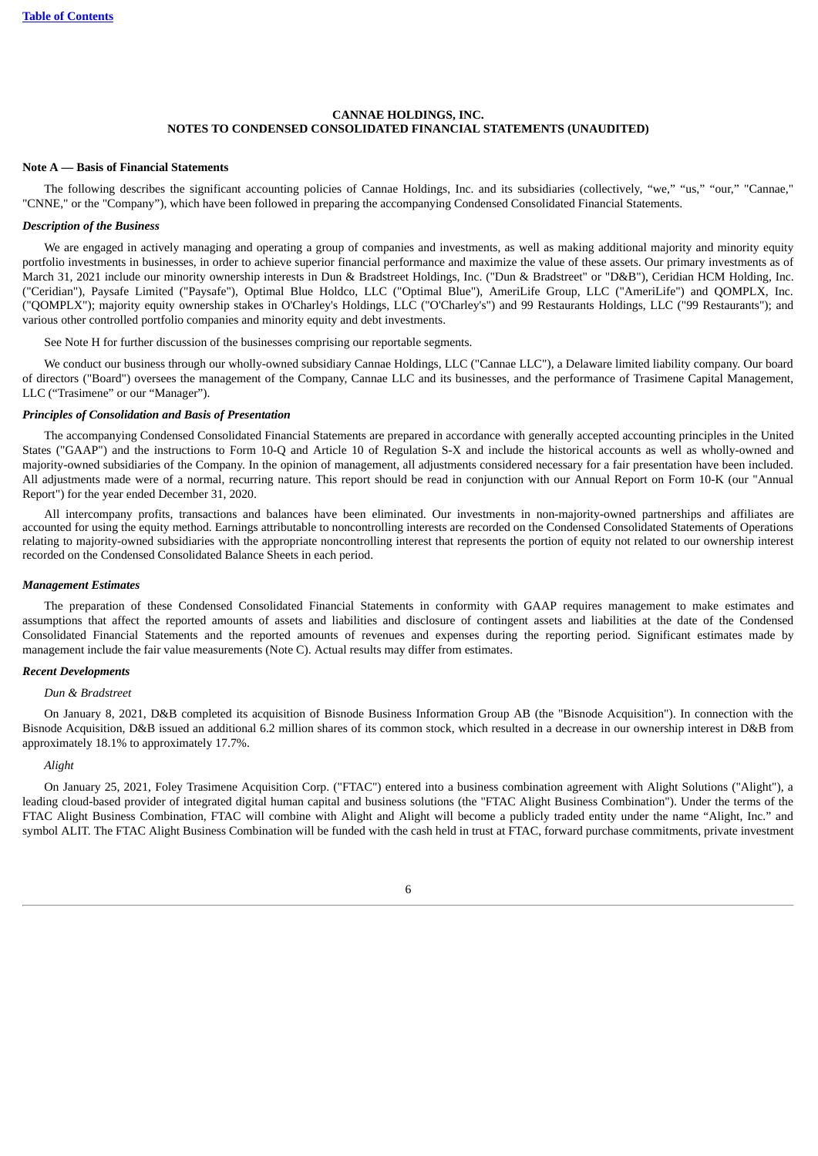#### <span id="page-8-0"></span>**Note A — Basis of Financial Statements**

The following describes the significant accounting policies of Cannae Holdings, Inc. and its subsidiaries (collectively, "we," "us," "our," "Cannae," "CNNE," or the "Company"), which have been followed in preparing the accompanying Condensed Consolidated Financial Statements.

#### *Description of the Business*

We are engaged in actively managing and operating a group of companies and investments, as well as making additional majority and minority equity portfolio investments in businesses, in order to achieve superior financial performance and maximize the value of these assets. Our primary investments as of March 31, 2021 include our minority ownership interests in Dun & Bradstreet Holdings, Inc. ("Dun & Bradstreet" or "D&B"), Ceridian HCM Holding, Inc. ("Ceridian"), Paysafe Limited ("Paysafe"), Optimal Blue Holdco, LLC ("Optimal Blue"), AmeriLife Group, LLC ("AmeriLife") and QOMPLX, Inc. ("QOMPLX"); majority equity ownership stakes in O'Charley's Holdings, LLC ("O'Charley's") and 99 Restaurants Holdings, LLC ("99 Restaurants"); and various other controlled portfolio companies and minority equity and debt investments.

See Note H for further discussion of the businesses comprising our reportable segments.

We conduct our business through our wholly-owned subsidiary Cannae Holdings, LLC ("Cannae LLC"), a Delaware limited liability company. Our board of directors ("Board") oversees the management of the Company, Cannae LLC and its businesses, and the performance of Trasimene Capital Management, LLC ("Trasimene" or our "Manager").

#### *Principles of Consolidation and Basis of Presentation*

The accompanying Condensed Consolidated Financial Statements are prepared in accordance with generally accepted accounting principles in the United States ("GAAP") and the instructions to Form 10-Q and Article 10 of Regulation S-X and include the historical accounts as well as wholly-owned and majority-owned subsidiaries of the Company. In the opinion of management, all adjustments considered necessary for a fair presentation have been included. All adjustments made were of a normal, recurring nature. This report should be read in conjunction with our Annual Report on Form 10-K (our "Annual Report") for the year ended December 31, 2020.

All intercompany profits, transactions and balances have been eliminated. Our investments in non-majority-owned partnerships and affiliates are accounted for using the equity method. Earnings attributable to noncontrolling interests are recorded on the Condensed Consolidated Statements of Operations relating to majority-owned subsidiaries with the appropriate noncontrolling interest that represents the portion of equity not related to our ownership interest recorded on the Condensed Consolidated Balance Sheets in each period.

#### *Management Estimates*

The preparation of these Condensed Consolidated Financial Statements in conformity with GAAP requires management to make estimates and assumptions that affect the reported amounts of assets and liabilities and disclosure of contingent assets and liabilities at the date of the Condensed Consolidated Financial Statements and the reported amounts of revenues and expenses during the reporting period. Significant estimates made by management include the fair value measurements (Note C). Actual results may differ from estimates.

### *Recent Developments*

#### *Dun & Bradstreet*

On January 8, 2021, D&B completed its acquisition of Bisnode Business Information Group AB (the "Bisnode Acquisition"). In connection with the Bisnode Acquisition, D&B issued an additional 6.2 million shares of its common stock, which resulted in a decrease in our ownership interest in D&B from approximately 18.1% to approximately 17.7%.

#### *Alight*

On January 25, 2021, Foley Trasimene Acquisition Corp. ("FTAC") entered into a business combination agreement with Alight Solutions ("Alight"), a leading cloud-based provider of integrated digital human capital and business solutions (the "FTAC Alight Business Combination"). Under the terms of the FTAC Alight Business Combination, FTAC will combine with Alight and Alight will become a publicly traded entity under the name "Alight, Inc." and symbol ALIT. The FTAC Alight Business Combination will be funded with the cash held in trust at FTAC, forward purchase commitments, private investment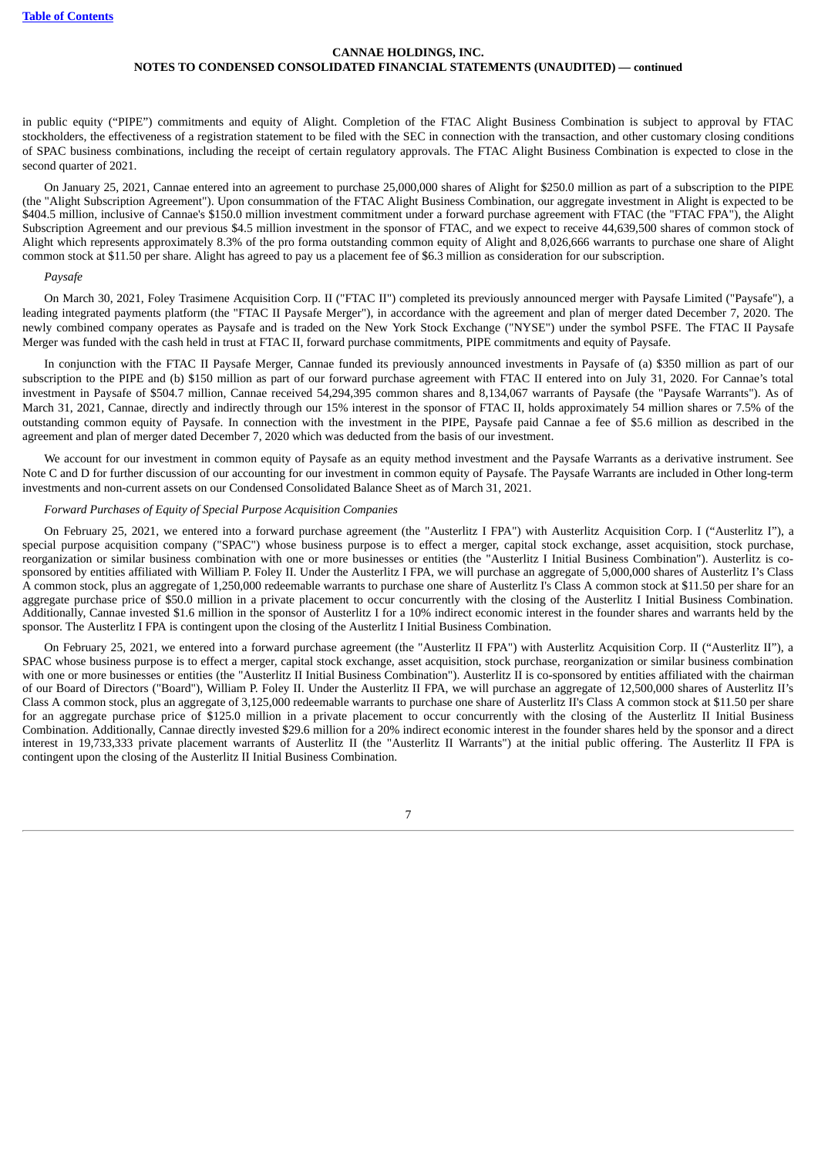in public equity ("PIPE") commitments and equity of Alight. Completion of the FTAC Alight Business Combination is subject to approval by FTAC stockholders, the effectiveness of a registration statement to be filed with the SEC in connection with the transaction, and other customary closing conditions of SPAC business combinations, including the receipt of certain regulatory approvals. The FTAC Alight Business Combination is expected to close in the second quarter of 2021.

On January 25, 2021, Cannae entered into an agreement to purchase 25,000,000 shares of Alight for \$250.0 million as part of a subscription to the PIPE (the "Alight Subscription Agreement"). Upon consummation of the FTAC Alight Business Combination, our aggregate investment in Alight is expected to be \$404.5 million, inclusive of Cannae's \$150.0 million investment commitment under a forward purchase agreement with FTAC (the "FTAC FPA"), the Alight Subscription Agreement and our previous \$4.5 million investment in the sponsor of FTAC, and we expect to receive 44,639,500 shares of common stock of Alight which represents approximately 8.3% of the pro forma outstanding common equity of Alight and 8,026,666 warrants to purchase one share of Alight common stock at \$11.50 per share. Alight has agreed to pay us a placement fee of \$6.3 million as consideration for our subscription.

#### *Paysafe*

On March 30, 2021, Foley Trasimene Acquisition Corp. II ("FTAC II") completed its previously announced merger with Paysafe Limited ("Paysafe"), a leading integrated payments platform (the "FTAC II Paysafe Merger"), in accordance with the agreement and plan of merger dated December 7, 2020. The newly combined company operates as Paysafe and is traded on the New York Stock Exchange ("NYSE") under the symbol PSFE. The FTAC II Paysafe Merger was funded with the cash held in trust at FTAC II, forward purchase commitments, PIPE commitments and equity of Paysafe.

In conjunction with the FTAC II Paysafe Merger, Cannae funded its previously announced investments in Paysafe of (a) \$350 million as part of our subscription to the PIPE and (b) \$150 million as part of our forward purchase agreement with FTAC II entered into on July 31, 2020. For Cannae's total investment in Paysafe of \$504.7 million, Cannae received 54,294,395 common shares and 8,134,067 warrants of Paysafe (the "Paysafe Warrants"). As of March 31, 2021, Cannae, directly and indirectly through our 15% interest in the sponsor of FTAC II, holds approximately 54 million shares or 7.5% of the outstanding common equity of Paysafe. In connection with the investment in the PIPE, Paysafe paid Cannae a fee of \$5.6 million as described in the agreement and plan of merger dated December 7, 2020 which was deducted from the basis of our investment.

We account for our investment in common equity of Paysafe as an equity method investment and the Paysafe Warrants as a derivative instrument. See Note C and D for further discussion of our accounting for our investment in common equity of Paysafe. The Paysafe Warrants are included in Other long-term investments and non-current assets on our Condensed Consolidated Balance Sheet as of March 31, 2021.

### *Forward Purchases of Equity of Special Purpose Acquisition Companies*

On February 25, 2021, we entered into a forward purchase agreement (the "Austerlitz I FPA") with Austerlitz Acquisition Corp. I ("Austerlitz I"), a special purpose acquisition company ("SPAC") whose business purpose is to effect a merger, capital stock exchange, asset acquisition, stock purchase, reorganization or similar business combination with one or more businesses or entities (the "Austerlitz I Initial Business Combination"). Austerlitz is cosponsored by entities affiliated with William P. Foley II. Under the Austerlitz I FPA, we will purchase an aggregate of 5,000,000 shares of Austerlitz I's Class A common stock, plus an aggregate of 1,250,000 redeemable warrants to purchase one share of Austerlitz I's Class A common stock at \$11.50 per share for an aggregate purchase price of \$50.0 million in a private placement to occur concurrently with the closing of the Austerlitz I Initial Business Combination. Additionally, Cannae invested \$1.6 million in the sponsor of Austerlitz I for a 10% indirect economic interest in the founder shares and warrants held by the sponsor. The Austerlitz I FPA is contingent upon the closing of the Austerlitz I Initial Business Combination.

On February 25, 2021, we entered into a forward purchase agreement (the "Austerlitz II FPA") with Austerlitz Acquisition Corp. II ("Austerlitz II"), a SPAC whose business purpose is to effect a merger, capital stock exchange, asset acquisition, stock purchase, reorganization or similar business combination with one or more businesses or entities (the "Austerlitz II Initial Business Combination"). Austerlitz II is co-sponsored by entities affiliated with the chairman of our Board of Directors ("Board"), William P. Foley II. Under the Austerlitz II FPA, we will purchase an aggregate of 12,500,000 shares of Austerlitz II's Class A common stock, plus an aggregate of 3,125,000 redeemable warrants to purchase one share of Austerlitz II's Class A common stock at \$11.50 per share for an aggregate purchase price of \$125.0 million in a private placement to occur concurrently with the closing of the Austerlitz II Initial Business Combination. Additionally, Cannae directly invested \$29.6 million for a 20% indirect economic interest in the founder shares held by the sponsor and a direct interest in 19,733,333 private placement warrants of Austerlitz II (the "Austerlitz II Warrants") at the initial public offering. The Austerlitz II FPA is contingent upon the closing of the Austerlitz II Initial Business Combination.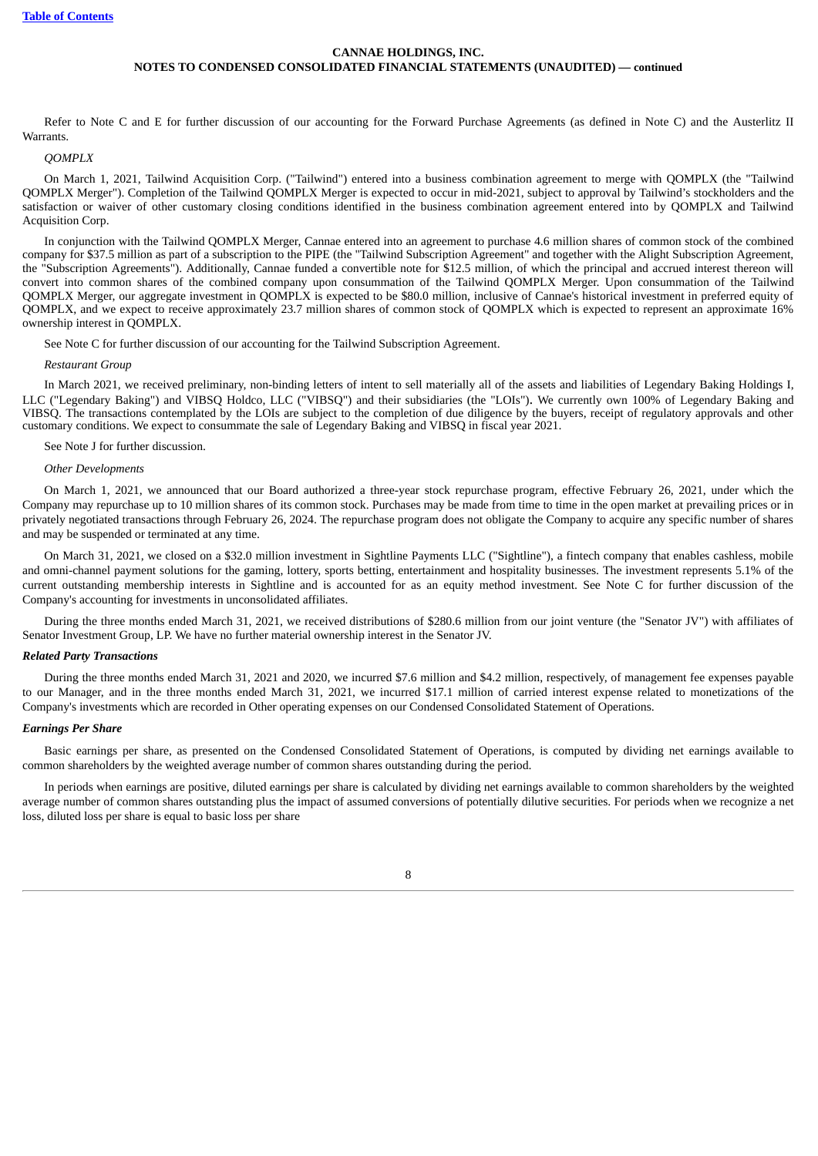Refer to Note C and E for further discussion of our accounting for the Forward Purchase Agreements (as defined in Note C) and the Austerlitz II Warrants.

#### *QOMPLX*

On March 1, 2021, Tailwind Acquisition Corp. ("Tailwind") entered into a business combination agreement to merge with QOMPLX (the "Tailwind QOMPLX Merger"). Completion of the Tailwind QOMPLX Merger is expected to occur in mid-2021, subject to approval by Tailwind's stockholders and the satisfaction or waiver of other customary closing conditions identified in the business combination agreement entered into by QOMPLX and Tailwind Acquisition Corp.

In conjunction with the Tailwind QOMPLX Merger, Cannae entered into an agreement to purchase 4.6 million shares of common stock of the combined company for \$37.5 million as part of a subscription to the PIPE (the "Tailwind Subscription Agreement" and together with the Alight Subscription Agreement, the "Subscription Agreements"). Additionally, Cannae funded a convertible note for \$12.5 million, of which the principal and accrued interest thereon will convert into common shares of the combined company upon consummation of the Tailwind QOMPLX Merger. Upon consummation of the Tailwind QOMPLX Merger, our aggregate investment in QOMPLX is expected to be \$80.0 million, inclusive of Cannae's historical investment in preferred equity of QOMPLX, and we expect to receive approximately 23.7 million shares of common stock of QOMPLX which is expected to represent an approximate 16% ownership interest in QOMPLX.

See Note C for further discussion of our accounting for the Tailwind Subscription Agreement.

#### *Restaurant Group*

In March 2021, we received preliminary, non-binding letters of intent to sell materially all of the assets and liabilities of Legendary Baking Holdings I, LLC ("Legendary Baking") and VIBSQ Holdco, LLC ("VIBSQ") and their subsidiaries (the "LOIs"). We currently own 100% of Legendary Baking and VIBSQ. The transactions contemplated by the LOIs are subject to the completion of due diligence by the buyers, receipt of regulatory approvals and other customary conditions. We expect to consummate the sale of Legendary Baking and VIBSQ in fiscal year 2021.

See Note J for further discussion.

*Other Developments*

On March 1, 2021, we announced that our Board authorized a three-year stock repurchase program, effective February 26, 2021, under which the Company may repurchase up to 10 million shares of its common stock. Purchases may be made from time to time in the open market at prevailing prices or in privately negotiated transactions through February 26, 2024. The repurchase program does not obligate the Company to acquire any specific number of shares and may be suspended or terminated at any time.

On March 31, 2021, we closed on a \$32.0 million investment in Sightline Payments LLC ("Sightline"), a fintech company that enables cashless, mobile and omni-channel payment solutions for the gaming, lottery, sports betting, entertainment and hospitality businesses. The investment represents 5.1% of the current outstanding membership interests in Sightline and is accounted for as an equity method investment. See Note C for further discussion of the Company's accounting for investments in unconsolidated affiliates.

During the three months ended March 31, 2021, we received distributions of \$280.6 million from our joint venture (the "Senator JV") with affiliates of Senator Investment Group, LP. We have no further material ownership interest in the Senator JV.

#### *Related Party Transactions*

During the three months ended March 31, 2021 and 2020, we incurred \$7.6 million and \$4.2 million, respectively, of management fee expenses payable to our Manager, and in the three months ended March 31, 2021, we incurred \$17.1 million of carried interest expense related to monetizations of the Company's investments which are recorded in Other operating expenses on our Condensed Consolidated Statement of Operations.

### *Earnings Per Share*

Basic earnings per share, as presented on the Condensed Consolidated Statement of Operations, is computed by dividing net earnings available to common shareholders by the weighted average number of common shares outstanding during the period.

In periods when earnings are positive, diluted earnings per share is calculated by dividing net earnings available to common shareholders by the weighted average number of common shares outstanding plus the impact of assumed conversions of potentially dilutive securities. For periods when we recognize a net loss, diluted loss per share is equal to basic loss per share

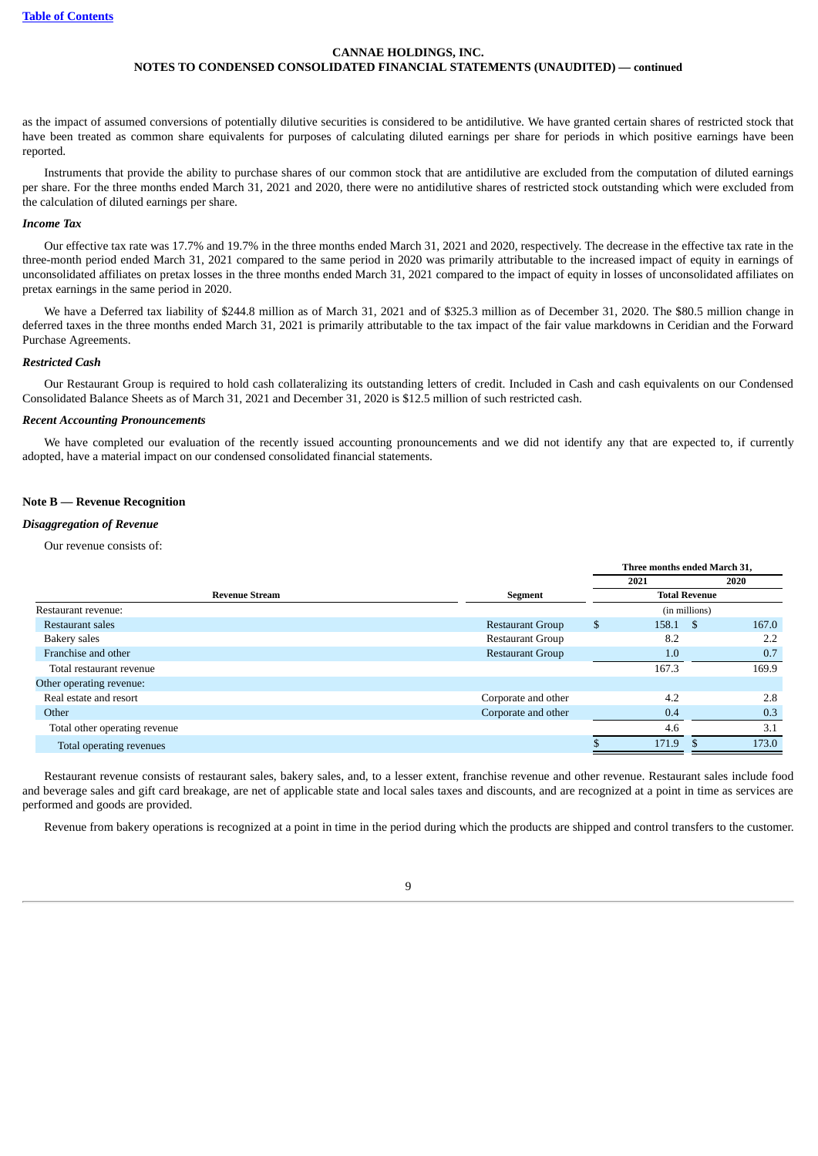as the impact of assumed conversions of potentially dilutive securities is considered to be antidilutive. We have granted certain shares of restricted stock that have been treated as common share equivalents for purposes of calculating diluted earnings per share for periods in which positive earnings have been reported.

Instruments that provide the ability to purchase shares of our common stock that are antidilutive are excluded from the computation of diluted earnings per share. For the three months ended March 31, 2021 and 2020, there were no antidilutive shares of restricted stock outstanding which were excluded from the calculation of diluted earnings per share.

#### *Income Tax*

Our effective tax rate was 17.7% and 19.7% in the three months ended March 31, 2021 and 2020, respectively. The decrease in the effective tax rate in the three-month period ended March 31, 2021 compared to the same period in 2020 was primarily attributable to the increased impact of equity in earnings of unconsolidated affiliates on pretax losses in the three months ended March 31, 2021 compared to the impact of equity in losses of unconsolidated affiliates on pretax earnings in the same period in 2020.

We have a Deferred tax liability of \$244.8 million as of March 31, 2021 and of \$325.3 million as of December 31, 2020. The \$80.5 million change in deferred taxes in the three months ended March 31, 2021 is primarily attributable to the tax impact of the fair value markdowns in Ceridian and the Forward Purchase Agreements.

#### *Restricted Cash*

Our Restaurant Group is required to hold cash collateralizing its outstanding letters of credit. Included in Cash and cash equivalents on our Condensed Consolidated Balance Sheets as of March 31, 2021 and December 31, 2020 is \$12.5 million of such restricted cash.

#### *Recent Accounting Pronouncements*

We have completed our evaluation of the recently issued accounting pronouncements and we did not identify any that are expected to, if currently adopted, have a material impact on our condensed consolidated financial statements.

#### **Note B — Revenue Recognition**

#### *Disaggregation of Revenue*

Our revenue consists of:

|                               |                         |             | Three months ended March 31. |       |  |
|-------------------------------|-------------------------|-------------|------------------------------|-------|--|
|                               |                         | 2021        |                              | 2020  |  |
| <b>Revenue Stream</b>         | Segment                 |             | <b>Total Revenue</b>         |       |  |
| Restaurant revenue:           |                         |             | (in millions)                |       |  |
| Restaurant sales              | <b>Restaurant Group</b> | \$<br>158.1 | - \$                         | 167.0 |  |
| Bakery sales                  | <b>Restaurant Group</b> | 8.2         |                              | 2.2   |  |
| Franchise and other           | <b>Restaurant Group</b> | 1.0         |                              | 0.7   |  |
| Total restaurant revenue      |                         | 167.3       |                              | 169.9 |  |
| Other operating revenue:      |                         |             |                              |       |  |
| Real estate and resort        | Corporate and other     | 4.2         |                              | 2.8   |  |
| Other                         | Corporate and other     | 0.4         |                              | 0.3   |  |
| Total other operating revenue |                         | 4.6         |                              | 3.1   |  |
| Total operating revenues      |                         | 171.9       |                              | 173.0 |  |

Restaurant revenue consists of restaurant sales, bakery sales, and, to a lesser extent, franchise revenue and other revenue. Restaurant sales include food and beverage sales and gift card breakage, are net of applicable state and local sales taxes and discounts, and are recognized at a point in time as services are performed and goods are provided.

Revenue from bakery operations is recognized at a point in time in the period during which the products are shipped and control transfers to the customer.

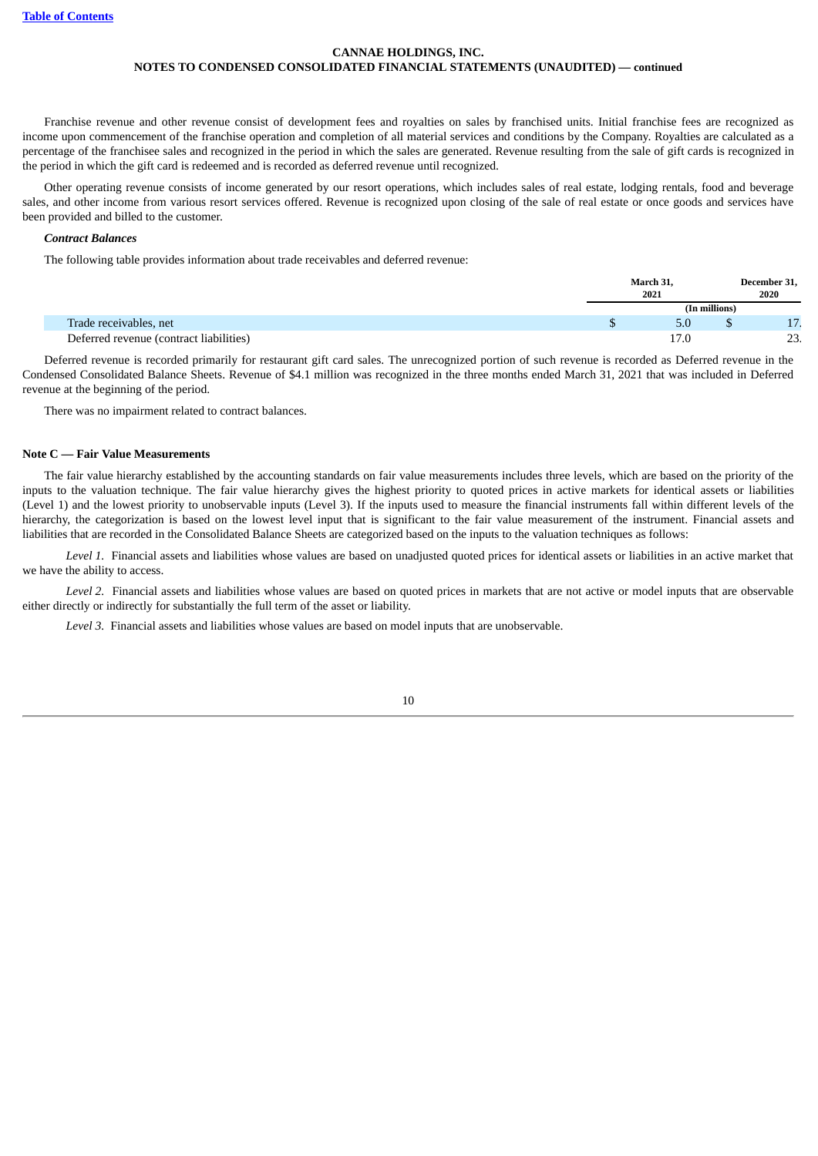Franchise revenue and other revenue consist of development fees and royalties on sales by franchised units. Initial franchise fees are recognized as income upon commencement of the franchise operation and completion of all material services and conditions by the Company. Royalties are calculated as a percentage of the franchisee sales and recognized in the period in which the sales are generated. Revenue resulting from the sale of gift cards is recognized in the period in which the gift card is redeemed and is recorded as deferred revenue until recognized.

Other operating revenue consists of income generated by our resort operations, which includes sales of real estate, lodging rentals, food and beverage sales, and other income from various resort services offered. Revenue is recognized upon closing of the sale of real estate or once goods and services have been provided and billed to the customer.

#### *Contract Balances*

The following table provides information about trade receivables and deferred revenue:

|                                         | March 31, |               | December 31,     |  |
|-----------------------------------------|-----------|---------------|------------------|--|
|                                         | 2021      |               | 2020             |  |
|                                         |           | (In millions) |                  |  |
| Trade receivables, net                  | 5.0       |               | 17<br>$\perp$ /. |  |
| Deferred revenue (contract liabilities) | 17.0      |               | בר<br>ں ے        |  |

Deferred revenue is recorded primarily for restaurant gift card sales. The unrecognized portion of such revenue is recorded as Deferred revenue in the Condensed Consolidated Balance Sheets. Revenue of \$4.1 million was recognized in the three months ended March 31, 2021 that was included in Deferred revenue at the beginning of the period.

There was no impairment related to contract balances.

#### **Note C — Fair Value Measurements**

The fair value hierarchy established by the accounting standards on fair value measurements includes three levels, which are based on the priority of the inputs to the valuation technique. The fair value hierarchy gives the highest priority to quoted prices in active markets for identical assets or liabilities (Level 1) and the lowest priority to unobservable inputs (Level 3). If the inputs used to measure the financial instruments fall within different levels of the hierarchy, the categorization is based on the lowest level input that is significant to the fair value measurement of the instrument. Financial assets and liabilities that are recorded in the Consolidated Balance Sheets are categorized based on the inputs to the valuation techniques as follows:

*Level 1.* Financial assets and liabilities whose values are based on unadjusted quoted prices for identical assets or liabilities in an active market that we have the ability to access.

*Level 2.* Financial assets and liabilities whose values are based on quoted prices in markets that are not active or model inputs that are observable either directly or indirectly for substantially the full term of the asset or liability.

*Level 3.* Financial assets and liabilities whose values are based on model inputs that are unobservable.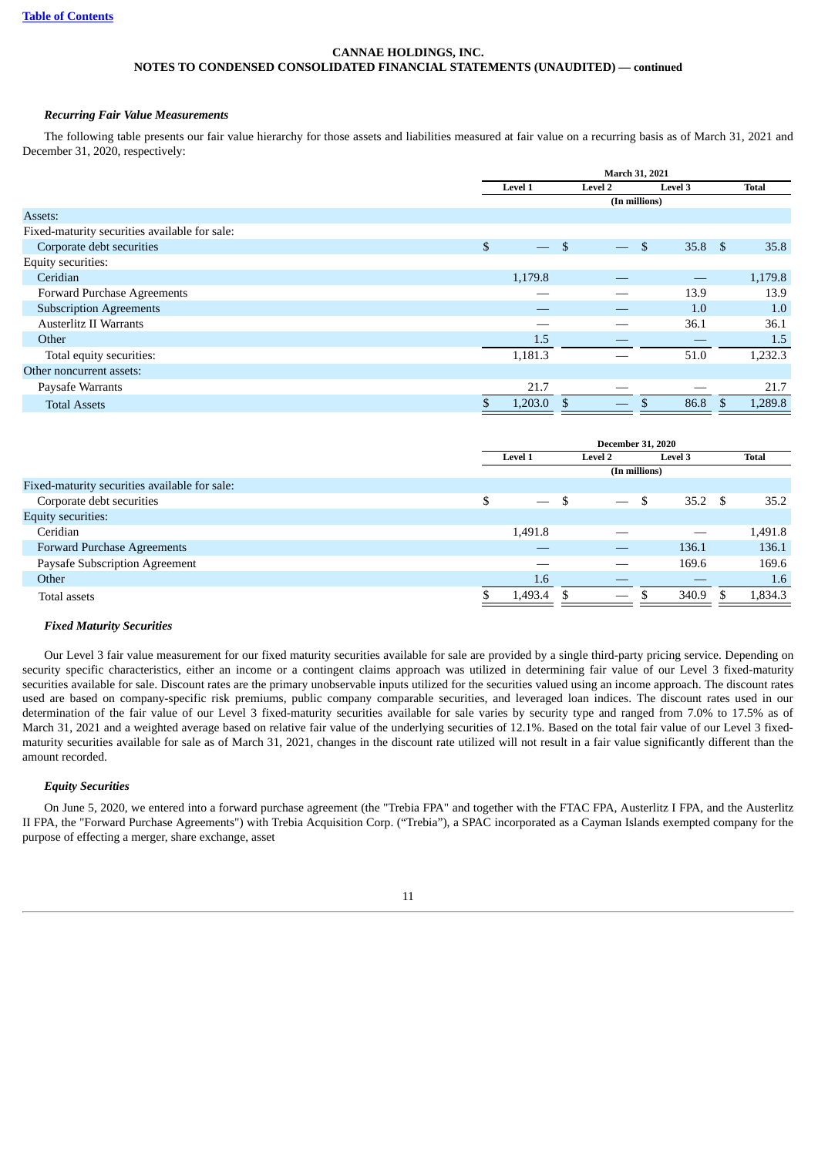### *Recurring Fair Value Measurements*

The following table presents our fair value hierarchy for those assets and liabilities measured at fair value on a recurring basis as of March 31, 2021 and December 31, 2020, respectively:

|                                               | March 31, 2021 |                          |                |                          |               |                   |     |              |  |  |
|-----------------------------------------------|----------------|--------------------------|----------------|--------------------------|---------------|-------------------|-----|--------------|--|--|
|                                               |                | <b>Level 1</b>           | <b>Level 2</b> |                          |               | <b>Level 3</b>    |     | <b>Total</b> |  |  |
|                                               |                |                          |                |                          | (In millions) |                   |     |              |  |  |
| Assets:                                       |                |                          |                |                          |               |                   |     |              |  |  |
| Fixed-maturity securities available for sale: |                |                          |                |                          |               |                   |     |              |  |  |
| Corporate debt securities                     | \$             | $\overline{\phantom{m}}$ | -\$            | $\overline{\phantom{m}}$ | $\mathbb{S}$  | 35.8 <sup>5</sup> |     | 35.8         |  |  |
| Equity securities:                            |                |                          |                |                          |               |                   |     |              |  |  |
| Ceridian                                      |                | 1,179.8                  |                |                          |               |                   |     | 1,179.8      |  |  |
| Forward Purchase Agreements                   |                |                          |                |                          |               | 13.9              |     | 13.9         |  |  |
| <b>Subscription Agreements</b>                |                |                          |                |                          |               | 1.0               |     | 1.0          |  |  |
| <b>Austerlitz II Warrants</b>                 |                |                          |                |                          |               | 36.1              |     | 36.1         |  |  |
| Other                                         |                | 1.5                      |                |                          |               |                   |     | 1.5          |  |  |
| Total equity securities:                      |                | 1,181.3                  |                |                          |               | 51.0              |     | 1,232.3      |  |  |
| Other noncurrent assets:                      |                |                          |                |                          |               |                   |     |              |  |  |
| Paysafe Warrants                              |                | 21.7                     |                |                          |               |                   |     | 21.7         |  |  |
| <b>Total Assets</b>                           |                | 1,203.0                  |                |                          |               | 86.8              | \$. | 1,289.8      |  |  |

|                                               | <b>December 31, 2020</b>       |   |                          |     |                |    |              |  |  |
|-----------------------------------------------|--------------------------------|---|--------------------------|-----|----------------|----|--------------|--|--|
|                                               | <b>Level 1</b>                 |   | Level 2                  |     | <b>Level 3</b> |    | <b>Total</b> |  |  |
|                                               |                                |   | (In millions)            |     |                |    |              |  |  |
| Fixed-maturity securities available for sale: |                                |   |                          |     |                |    |              |  |  |
| Corporate debt securities                     | \$<br>$\overline{\phantom{m}}$ | S | $\overline{\phantom{0}}$ | -\$ | 35.2           | -S | 35.2         |  |  |
| <b>Equity securities:</b>                     |                                |   |                          |     |                |    |              |  |  |
| Ceridian                                      | 1,491.8                        |   |                          |     |                |    | 1,491.8      |  |  |
| <b>Forward Purchase Agreements</b>            |                                |   |                          |     | 136.1          |    | 136.1        |  |  |
| Paysafe Subscription Agreement                |                                |   |                          |     | 169.6          |    | 169.6        |  |  |
| Other                                         | 1.6                            |   |                          |     |                |    | 1.6          |  |  |
| Total assets                                  | 1,493.4                        |   |                          |     | 340.9          |    | 1,834.3      |  |  |

#### *Fixed Maturity Securities*

Our Level 3 fair value measurement for our fixed maturity securities available for sale are provided by a single third-party pricing service. Depending on security specific characteristics, either an income or a contingent claims approach was utilized in determining fair value of our Level 3 fixed-maturity securities available for sale. Discount rates are the primary unobservable inputs utilized for the securities valued using an income approach. The discount rates used are based on company-specific risk premiums, public company comparable securities, and leveraged loan indices. The discount rates used in our determination of the fair value of our Level 3 fixed-maturity securities available for sale varies by security type and ranged from 7.0% to 17.5% as of March 31, 2021 and a weighted average based on relative fair value of the underlying securities of 12.1%. Based on the total fair value of our Level 3 fixedmaturity securities available for sale as of March 31, 2021, changes in the discount rate utilized will not result in a fair value significantly different than the amount recorded.

### *Equity Securities*

On June 5, 2020, we entered into a forward purchase agreement (the "Trebia FPA" and together with the FTAC FPA, Austerlitz I FPA, and the Austerlitz II FPA, the "Forward Purchase Agreements") with Trebia Acquisition Corp. ("Trebia"), a SPAC incorporated as a Cayman Islands exempted company for the purpose of effecting a merger, share exchange, asset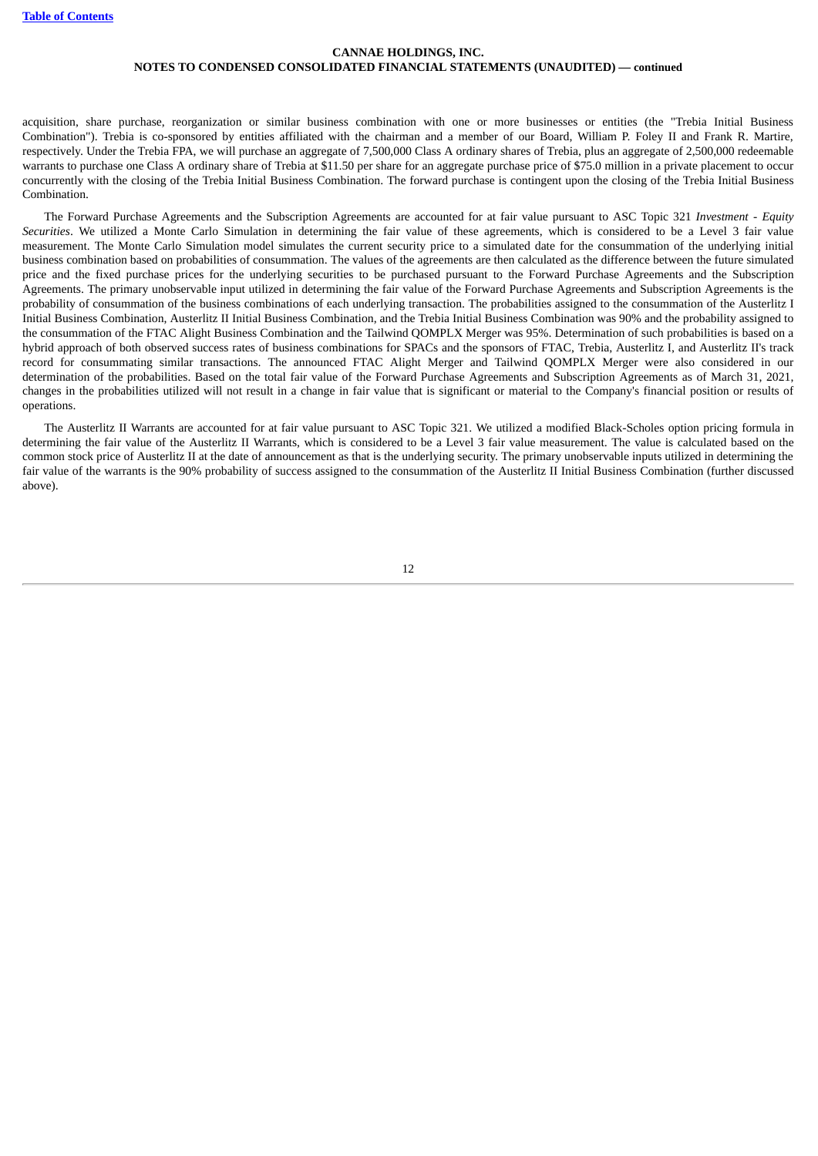acquisition, share purchase, reorganization or similar business combination with one or more businesses or entities (the "Trebia Initial Business Combination"). Trebia is co-sponsored by entities affiliated with the chairman and a member of our Board, William P. Foley II and Frank R. Martire, respectively. Under the Trebia FPA, we will purchase an aggregate of 7,500,000 Class A ordinary shares of Trebia, plus an aggregate of 2,500,000 redeemable warrants to purchase one Class A ordinary share of Trebia at \$11.50 per share for an aggregate purchase price of \$75.0 million in a private placement to occur concurrently with the closing of the Trebia Initial Business Combination. The forward purchase is contingent upon the closing of the Trebia Initial Business Combination.

The Forward Purchase Agreements and the Subscription Agreements are accounted for at fair value pursuant to ASC Topic 321 *Investment - Equity Securities*. We utilized a Monte Carlo Simulation in determining the fair value of these agreements, which is considered to be a Level 3 fair value measurement. The Monte Carlo Simulation model simulates the current security price to a simulated date for the consummation of the underlying initial business combination based on probabilities of consummation. The values of the agreements are then calculated as the difference between the future simulated price and the fixed purchase prices for the underlying securities to be purchased pursuant to the Forward Purchase Agreements and the Subscription Agreements. The primary unobservable input utilized in determining the fair value of the Forward Purchase Agreements and Subscription Agreements is the probability of consummation of the business combinations of each underlying transaction. The probabilities assigned to the consummation of the Austerlitz I Initial Business Combination, Austerlitz II Initial Business Combination, and the Trebia Initial Business Combination was 90% and the probability assigned to the consummation of the FTAC Alight Business Combination and the Tailwind QOMPLX Merger was 95%. Determination of such probabilities is based on a hybrid approach of both observed success rates of business combinations for SPACs and the sponsors of FTAC, Trebia, Austerlitz I, and Austerlitz II's track record for consummating similar transactions. The announced FTAC Alight Merger and Tailwind QOMPLX Merger were also considered in our determination of the probabilities. Based on the total fair value of the Forward Purchase Agreements and Subscription Agreements as of March 31, 2021, changes in the probabilities utilized will not result in a change in fair value that is significant or material to the Company's financial position or results of operations.

The Austerlitz II Warrants are accounted for at fair value pursuant to ASC Topic 321. We utilized a modified Black-Scholes option pricing formula in determining the fair value of the Austerlitz II Warrants, which is considered to be a Level 3 fair value measurement. The value is calculated based on the common stock price of Austerlitz II at the date of announcement as that is the underlying security. The primary unobservable inputs utilized in determining the fair value of the warrants is the 90% probability of success assigned to the consummation of the Austerlitz II Initial Business Combination (further discussed above).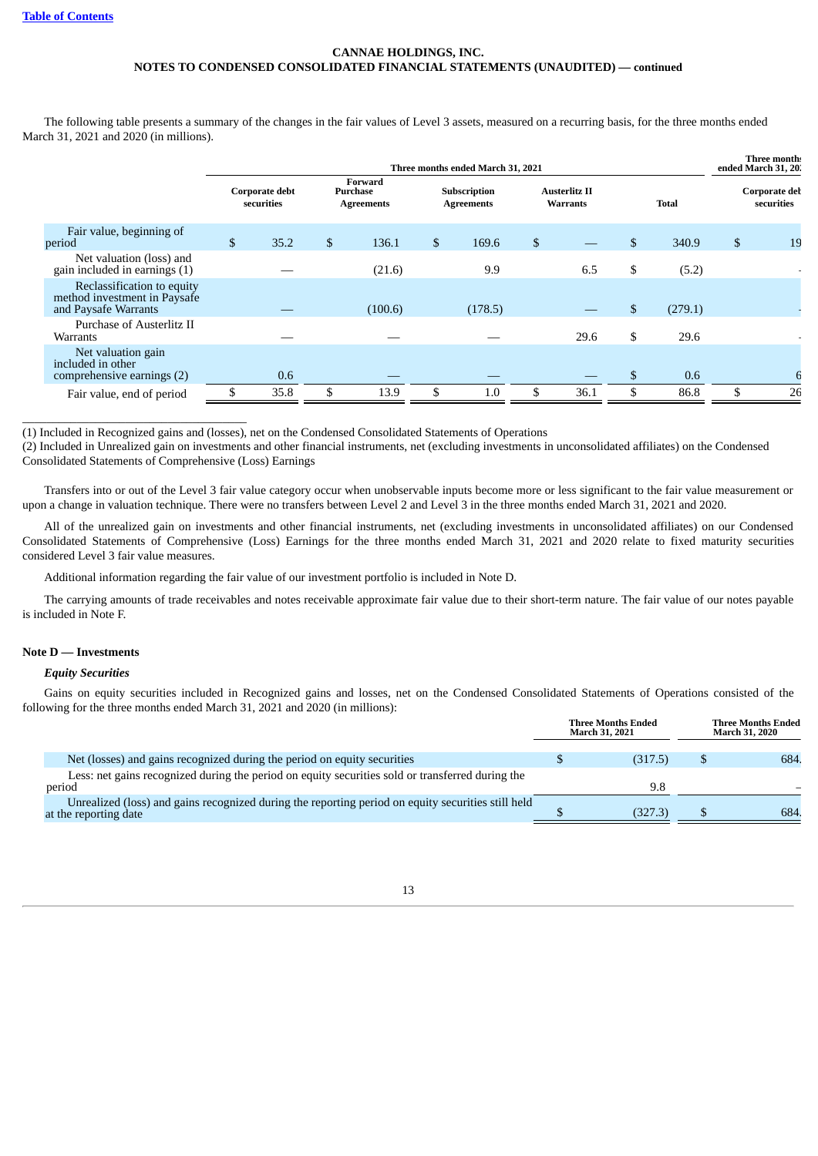The following table presents a summary of the changes in the fair values of Level 3 assets, measured on a recurring basis, for the three months ended March 31, 2021 and 2020 (in millions).

|                                                                                    |                              |                                          |         | Three months ended March 31, 2021 |    |                                         |    |              | ended March 31, 20. | Three months                |
|------------------------------------------------------------------------------------|------------------------------|------------------------------------------|---------|-----------------------------------|----|-----------------------------------------|----|--------------|---------------------|-----------------------------|
|                                                                                    | Corporate debt<br>securities | Forward<br>Purchase<br><b>Agreements</b> |         | Subscription<br><b>Agreements</b> |    | <b>Austerlitz II</b><br><b>Warrants</b> |    | <b>Total</b> |                     | Corporate deb<br>securities |
| Fair value, beginning of<br>period                                                 | \$<br>35.2                   | \$                                       | 136.1   | \$<br>169.6                       | \$ |                                         |    | 340.9        | \$                  | 19                          |
| Net valuation (loss) and<br>gain included in earnings (1)                          |                              |                                          | (21.6)  | 9.9                               |    | 6.5                                     | \$ | (5.2)        |                     |                             |
| Reclassification to equity<br>method investment in Paysafe<br>and Paysafe Warrants |                              |                                          | (100.6) | (178.5)                           |    |                                         |    | (279.1)      |                     |                             |
| Purchase of Austerlitz II<br>Warrants                                              |                              |                                          |         |                                   |    | 29.6                                    | \$ | 29.6         |                     |                             |
| Net valuation gain<br>included in other<br>comprehensive earnings (2)              | 0.6                          |                                          |         |                                   |    |                                         |    | 0.6          |                     | n                           |
| Fair value, end of period                                                          | 35.8                         | \$                                       | 13.9    | \$<br>1.0                         | \$ | 36.1                                    |    | 86.8         |                     | 26                          |

(1) Included in Recognized gains and (losses), net on the Condensed Consolidated Statements of Operations

(2) Included in Unrealized gain on investments and other financial instruments, net (excluding investments in unconsolidated affiliates) on the Condensed Consolidated Statements of Comprehensive (Loss) Earnings

Transfers into or out of the Level 3 fair value category occur when unobservable inputs become more or less significant to the fair value measurement or upon a change in valuation technique. There were no transfers between Level 2 and Level 3 in the three months ended March 31, 2021 and 2020.

All of the unrealized gain on investments and other financial instruments, net (excluding investments in unconsolidated affiliates) on our Condensed Consolidated Statements of Comprehensive (Loss) Earnings for the three months ended March 31, 2021 and 2020 relate to fixed maturity securities considered Level 3 fair value measures.

Additional information regarding the fair value of our investment portfolio is included in Note D.

The carrying amounts of trade receivables and notes receivable approximate fair value due to their short-term nature. The fair value of our notes payable is included in Note F.

# **Note D — Investments**

#### *Equity Securities*

\_\_\_\_\_\_\_\_\_\_\_\_\_\_\_\_\_\_\_\_\_\_\_\_\_\_\_\_\_\_\_\_\_\_\_\_\_

Gains on equity securities included in Recognized gains and losses, net on the Condensed Consolidated Statements of Operations consisted of the following for the three months ended March 31, 2021 and 2020 (in millions):

|                                                                                                                             | <b>Three Months Ended</b><br><b>March 31, 2021</b> | <b>Three Months Ended</b><br>March 31, 2020 |     |  |
|-----------------------------------------------------------------------------------------------------------------------------|----------------------------------------------------|---------------------------------------------|-----|--|
| Net (losses) and gains recognized during the period on equity securities                                                    | (317.5)                                            |                                             | 684 |  |
| Less: net gains recognized during the period on equity securities sold or transferred during the<br>period                  | 9.8                                                |                                             |     |  |
| Unrealized (loss) and gains recognized during the reporting period on equity securities still held<br>at the reporting date | (327.3)                                            |                                             | 684 |  |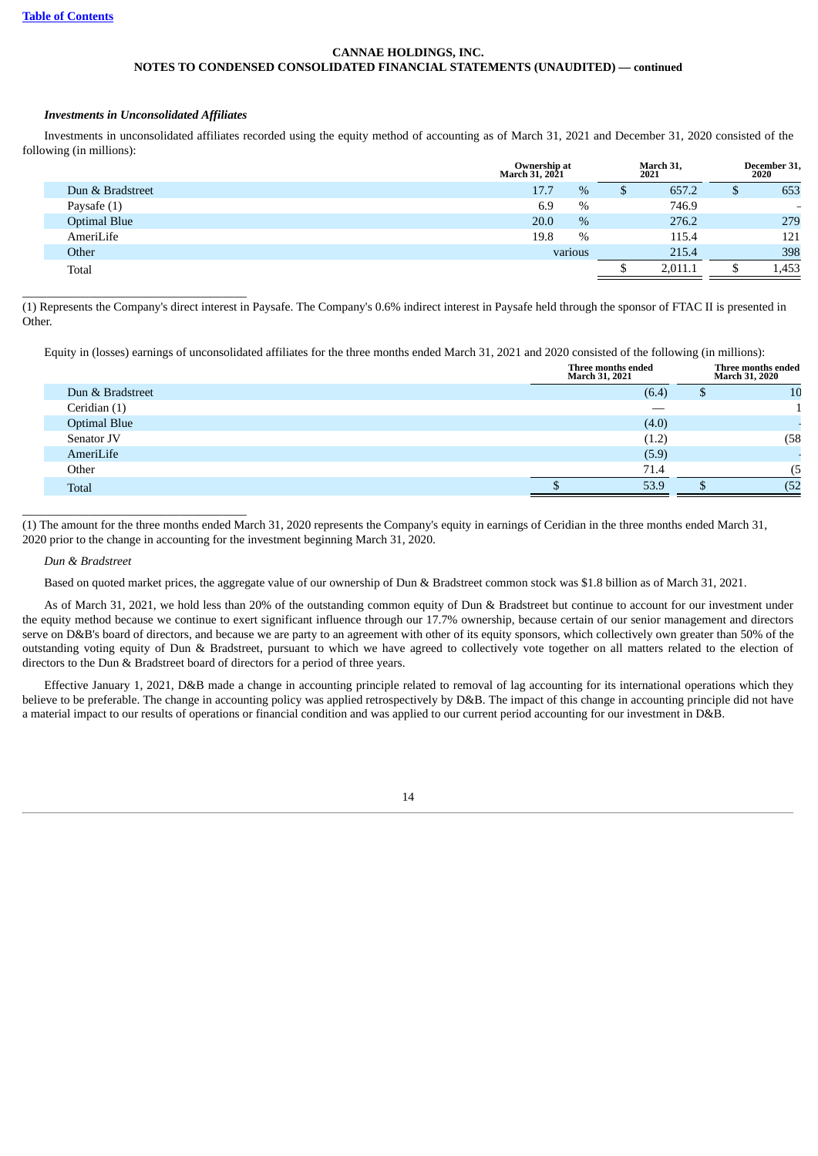### *Investments in Unconsolidated Affiliates*

\_\_\_\_\_\_\_\_\_\_\_\_\_\_\_\_\_\_\_\_\_\_\_\_\_\_\_\_\_\_\_\_\_\_\_\_\_

\_\_\_\_\_\_\_\_\_\_\_\_\_\_\_\_\_\_\_\_\_\_\_\_\_\_\_\_\_\_\_\_\_\_\_\_\_

Investments in unconsolidated affiliates recorded using the equity method of accounting as of March 31, 2021 and December 31, 2020 consisted of the following (in millions):

|                  | Ownership at<br>March 31, 2021 |         |   | March 31,<br>2021 | December 31,<br>2020 |       |
|------------------|--------------------------------|---------|---|-------------------|----------------------|-------|
| Dun & Bradstreet | 17.7                           | $\%$    | Φ | 657.2             |                      | 653   |
| Paysafe (1)      | 6.9                            | %       |   | 746.9             |                      |       |
| Optimal Blue     | 20.0                           | $\%$    |   | 276.2             |                      | 279   |
| AmeriLife        | 19.8                           | $\%$    |   | 115.4             |                      | 121   |
| Other            |                                | various |   | 215.4             |                      | 398   |
| Total            |                                |         |   | 2,011.1           |                      | 1,453 |

(1) Represents the Company's direct interest in Paysafe. The Company's 0.6% indirect interest in Paysafe held through the sponsor of FTAC II is presented in Other.

Equity in (losses) earnings of unconsolidated affiliates for the three months ended March 31, 2021 and 2020 consisted of the following (in millions):

|                  | <b>March 31, 2021</b> | Three months ended | Three months ended<br><b>March 31, 2020</b> |      |  |
|------------------|-----------------------|--------------------|---------------------------------------------|------|--|
| Dun & Bradstreet |                       | (6.4)              | Φ                                           | 10   |  |
| Ceridian (1)     |                       |                    |                                             |      |  |
| Optimal Blue     |                       | (4.0)              |                                             |      |  |
| Senator JV       |                       | (1.2)              |                                             | (58) |  |
| AmeriLife        |                       | (5.9)              |                                             |      |  |
| Other            |                       | 71.4               |                                             |      |  |
| <b>Total</b>     |                       | 53.9               |                                             | (52) |  |

(1) The amount for the three months ended March 31, 2020 represents the Company's equity in earnings of Ceridian in the three months ended March 31, 2020 prior to the change in accounting for the investment beginning March 31, 2020.

#### *Dun & Bradstreet*

Based on quoted market prices, the aggregate value of our ownership of Dun & Bradstreet common stock was \$1.8 billion as of March 31, 2021.

As of March 31, 2021, we hold less than 20% of the outstanding common equity of Dun & Bradstreet but continue to account for our investment under the equity method because we continue to exert significant influence through our 17.7% ownership, because certain of our senior management and directors serve on D&B's board of directors, and because we are party to an agreement with other of its equity sponsors, which collectively own greater than 50% of the outstanding voting equity of Dun & Bradstreet, pursuant to which we have agreed to collectively vote together on all matters related to the election of directors to the Dun & Bradstreet board of directors for a period of three years.

Effective January 1, 2021, D&B made a change in accounting principle related to removal of lag accounting for its international operations which they believe to be preferable. The change in accounting policy was applied retrospectively by D&B. The impact of this change in accounting principle did not have a material impact to our results of operations or financial condition and was applied to our current period accounting for our investment in D&B.

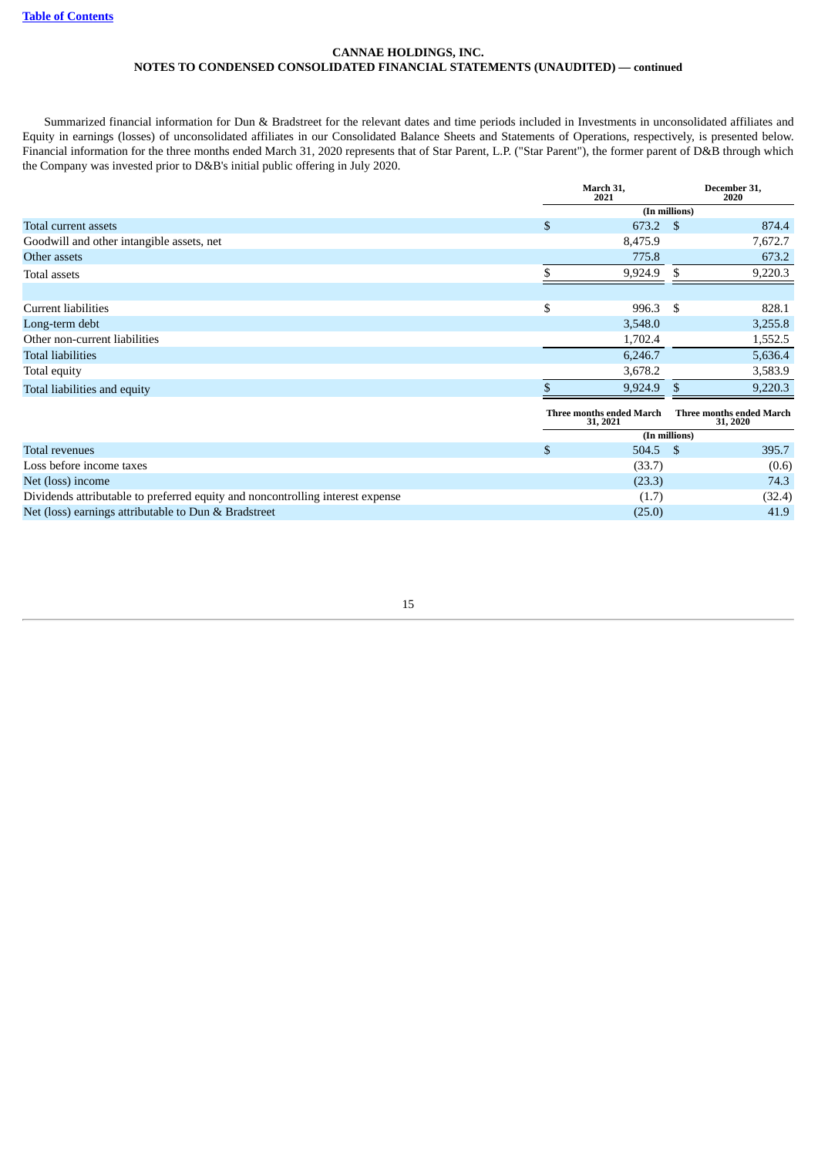Summarized financial information for Dun & Bradstreet for the relevant dates and time periods included in Investments in unconsolidated affiliates and Equity in earnings (losses) of unconsolidated affiliates in our Consolidated Balance Sheets and Statements of Operations, respectively, is presented below. Financial information for the three months ended March 31, 2020 represents that of Star Parent, L.P. ("Star Parent"), the former parent of D&B through which the Company was invested prior to D&B's initial public offering in July 2020.

|                                                                                |               | March 31,<br>2021                    |               | December 31,<br>2020                        |
|--------------------------------------------------------------------------------|---------------|--------------------------------------|---------------|---------------------------------------------|
|                                                                                |               |                                      | (In millions) |                                             |
| Total current assets                                                           | $\mathsf{\$}$ | 673.2                                | -\$           | 874.4                                       |
| Goodwill and other intangible assets, net                                      |               | 8,475.9                              |               | 7,672.7                                     |
| Other assets                                                                   |               | 775.8                                |               | 673.2                                       |
| Total assets                                                                   |               | 9,924.9                              | S.            | 9,220.3                                     |
|                                                                                |               |                                      |               |                                             |
| Current liabilities                                                            | \$            | 996.3                                | <sup>\$</sup> | 828.1                                       |
| Long-term debt                                                                 |               | 3,548.0                              |               | 3,255.8                                     |
| Other non-current liabilities                                                  |               | 1,702.4                              |               | 1,552.5                                     |
| <b>Total liabilities</b>                                                       |               | 6,246.7                              |               | 5,636.4                                     |
| Total equity                                                                   |               | 3,678.2                              |               | 3,583.9                                     |
| Total liabilities and equity                                                   |               | 9,924.9                              | S.            | 9,220.3                                     |
|                                                                                |               | Three months ended March<br>31, 2021 |               | <b>Three months ended March</b><br>31, 2020 |
|                                                                                |               |                                      | (In millions) |                                             |
| Total revenues                                                                 | $\mathsf{\$}$ | $504.5$ \$                           |               | 395.7                                       |
| Loss before income taxes                                                       |               | (33.7)                               |               | (0.6)                                       |
| Net (loss) income                                                              |               | (23.3)                               |               | 74.3                                        |
| Dividends attributable to preferred equity and noncontrolling interest expense |               | (1.7)                                |               | (32.4)                                      |
| Net (loss) earnings attributable to Dun & Bradstreet                           |               | (25.0)                               |               | 41.9                                        |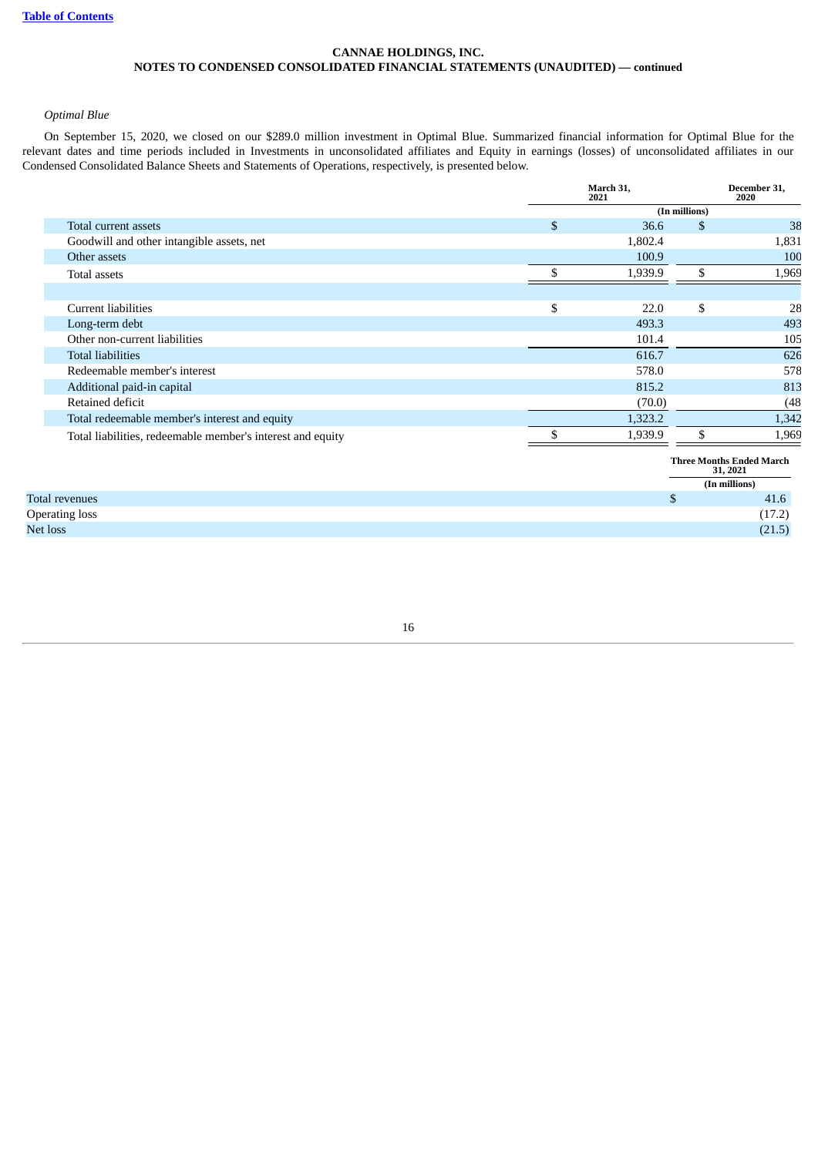# *Optimal Blue*

On September 15, 2020, we closed on our \$289.0 million investment in Optimal Blue. Summarized financial information for Optimal Blue for the relevant dates and time periods included in Investments in unconsolidated affiliates and Equity in earnings (losses) of unconsolidated affiliates in our Condensed Consolidated Balance Sheets and Statements of Operations, respectively, is presented below.

|                                                            | March 31,<br>2021 |               |                                             |  |
|------------------------------------------------------------|-------------------|---------------|---------------------------------------------|--|
|                                                            |                   | (In millions) |                                             |  |
| Total current assets                                       | \$<br>36.6        | \$            | 38                                          |  |
| Goodwill and other intangible assets, net                  | 1,802.4           |               | 1,831                                       |  |
| Other assets                                               | 100.9             |               | 100                                         |  |
| Total assets                                               | 1,939.9           | \$            | 1,969                                       |  |
| Current liabilities                                        | \$<br>22.0        | \$            | 28                                          |  |
| Long-term debt                                             | 493.3             |               | 493                                         |  |
| Other non-current liabilities                              | 101.4             |               | 105                                         |  |
| <b>Total liabilities</b>                                   | 616.7             |               | 626                                         |  |
| Redeemable member's interest                               | 578.0             |               | 578                                         |  |
| Additional paid-in capital                                 | 815.2             |               | 813                                         |  |
| Retained deficit                                           | (70.0)            |               | (48)                                        |  |
| Total redeemable member's interest and equity              | 1,323.2           |               | 1,342                                       |  |
| Total liabilities, redeemable member's interest and equity | 1,939.9           | \$            | 1,969                                       |  |
|                                                            |                   |               | <b>Three Months Ended March</b><br>31, 2021 |  |

|                       | (In millions) |
|-----------------------|---------------|
| Total revenues        | 41.6          |
| <b>Operating loss</b> | 1/2)          |
| Net loss              | (21.5)        |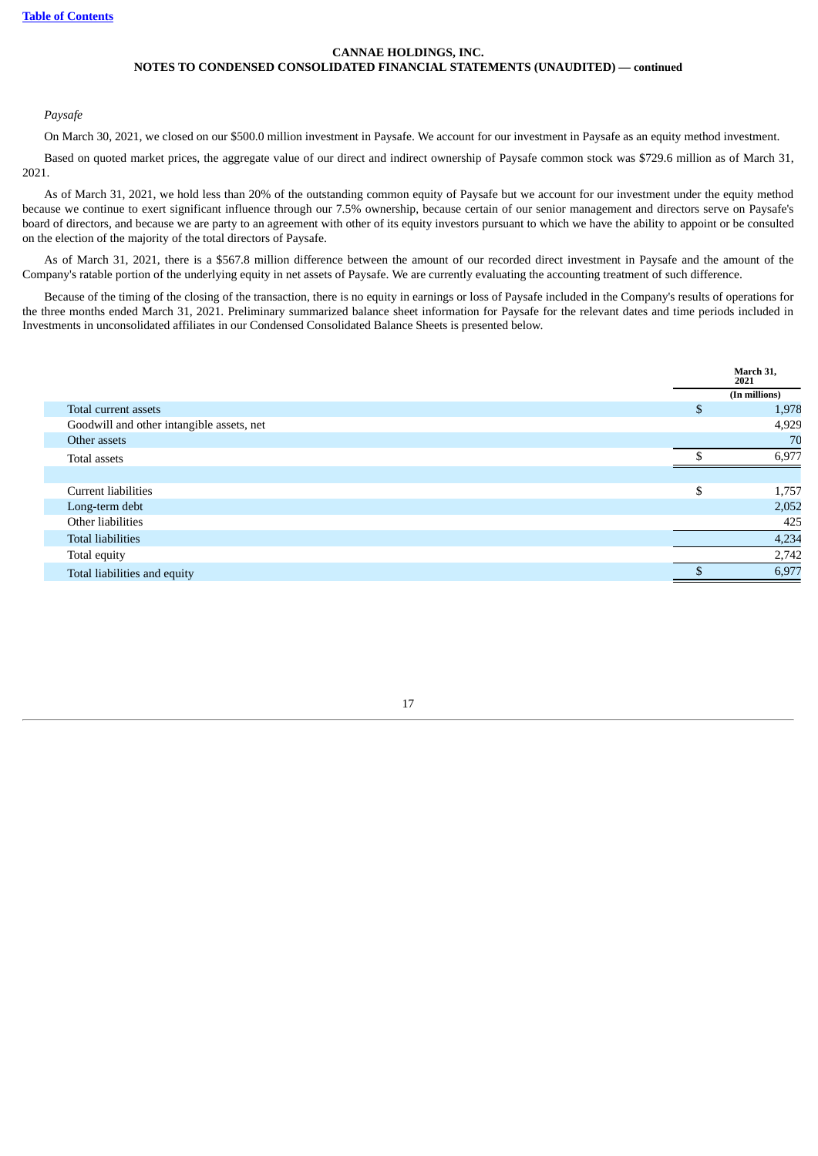# *Paysafe*

On March 30, 2021, we closed on our \$500.0 million investment in Paysafe. We account for our investment in Paysafe as an equity method investment.

Based on quoted market prices, the aggregate value of our direct and indirect ownership of Paysafe common stock was \$729.6 million as of March 31, 2021.

As of March 31, 2021, we hold less than 20% of the outstanding common equity of Paysafe but we account for our investment under the equity method because we continue to exert significant influence through our 7.5% ownership, because certain of our senior management and directors serve on Paysafe's board of directors, and because we are party to an agreement with other of its equity investors pursuant to which we have the ability to appoint or be consulted on the election of the majority of the total directors of Paysafe.

As of March 31, 2021, there is a \$567.8 million difference between the amount of our recorded direct investment in Paysafe and the amount of the Company's ratable portion of the underlying equity in net assets of Paysafe. We are currently evaluating the accounting treatment of such difference.

Because of the timing of the closing of the transaction, there is no equity in earnings or loss of Paysafe included in the Company's results of operations for the three months ended March 31, 2021. Preliminary summarized balance sheet information for Paysafe for the relevant dates and time periods included in Investments in unconsolidated affiliates in our Condensed Consolidated Balance Sheets is presented below.

|                                           | March 31,<br>2021 |
|-------------------------------------------|-------------------|
|                                           | (In millions)     |
| Total current assets                      | \$<br>1,978       |
| Goodwill and other intangible assets, net | 4,929             |
| Other assets                              | 70                |
| Total assets                              | 6,977             |
|                                           |                   |
| Current liabilities                       | \$<br>1,757       |
| Long-term debt                            | 2,052             |
| Other liabilities                         | 425               |
| <b>Total liabilities</b>                  | 4,234             |
| Total equity                              | 2,742             |
| Total liabilities and equity              | 6,977             |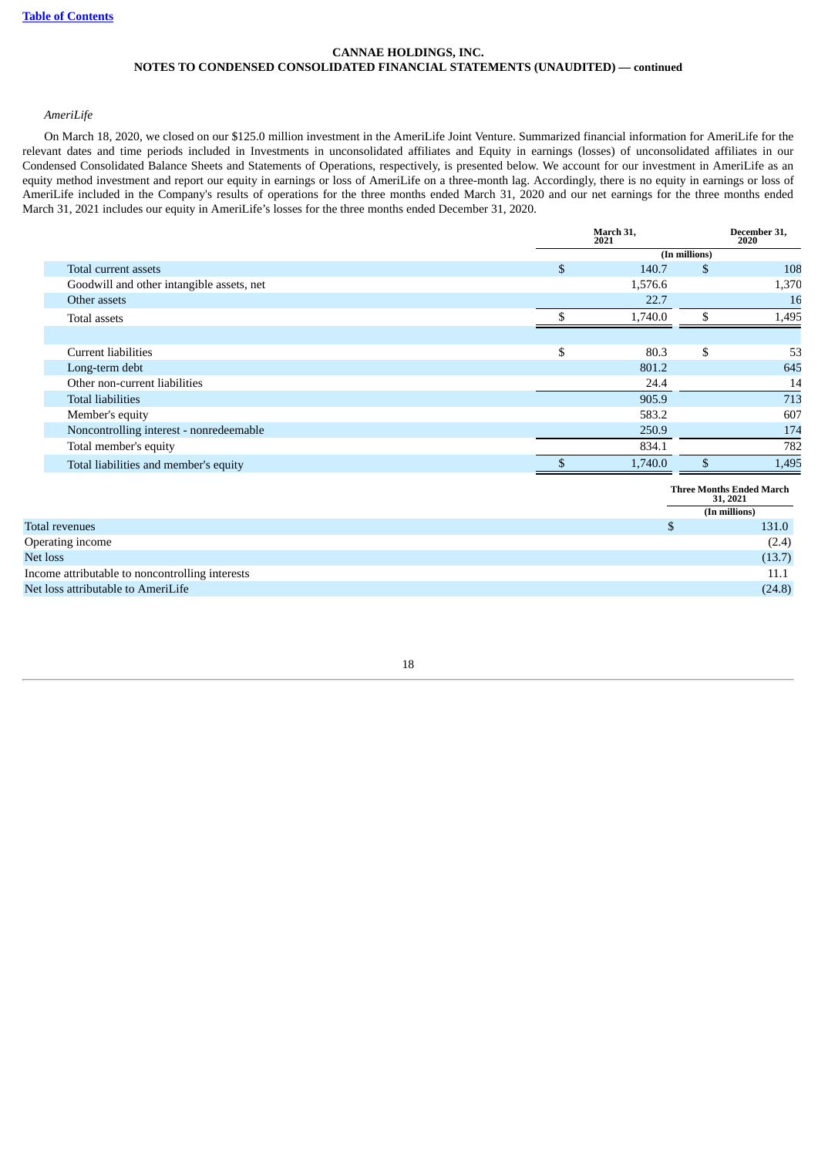# *AmeriLife*

On March 18, 2020, we closed on our \$125.0 million investment in the AmeriLife Joint Venture. Summarized financial information for AmeriLife for the relevant dates and time periods included in Investments in unconsolidated affiliates and Equity in earnings (losses) of unconsolidated affiliates in our Condensed Consolidated Balance Sheets and Statements of Operations, respectively, is presented below. We account for our investment in AmeriLife as an equity method investment and report our equity in earnings or loss of AmeriLife on a three-month lag. Accordingly, there is no equity in earnings or loss of AmeriLife included in the Company's results of operations for the three months ended March 31, 2020 and our net earnings for the three months ended March 31, 2021 includes our equity in AmeriLife's losses for the three months ended December 31, 2020.

|                                           | March 31,<br>2021 |         |               | December 31,<br>2020 |  |  |
|-------------------------------------------|-------------------|---------|---------------|----------------------|--|--|
|                                           |                   |         | (In millions) |                      |  |  |
| Total current assets                      | S                 | 140.7   | S.            | 108                  |  |  |
| Goodwill and other intangible assets, net |                   | 1,576.6 |               | 1,370                |  |  |
| Other assets                              |                   | 22.7    |               | 16                   |  |  |
| Total assets                              |                   | 1,740.0 | \$            | 1,495                |  |  |
|                                           |                   |         |               |                      |  |  |
| Current liabilities                       | \$                | 80.3    | \$            | 53                   |  |  |
| Long-term debt                            |                   | 801.2   |               | 645                  |  |  |
| Other non-current liabilities             |                   | 24.4    |               | 14                   |  |  |
| <b>Total liabilities</b>                  |                   | 905.9   |               | 713                  |  |  |
| Member's equity                           |                   | 583.2   |               | 607                  |  |  |
| Noncontrolling interest - nonredeemable   |                   | 250.9   |               | 174                  |  |  |
| Total member's equity                     |                   | 834.1   |               | 782                  |  |  |
| Total liabilities and member's equity     |                   | 1,740.0 |               | 1,495                |  |  |

|                                                 | <b>Three Months Ended March</b><br>31, 2021 |
|-------------------------------------------------|---------------------------------------------|
|                                                 | (In millions)                               |
| Total revenues                                  | 131.0                                       |
| Operating income                                | (2.4)                                       |
| Net loss                                        | (13.7)                                      |
| Income attributable to noncontrolling interests | 11.1                                        |
| Net loss attributable to AmeriLife              | (24.8)                                      |
|                                                 |                                             |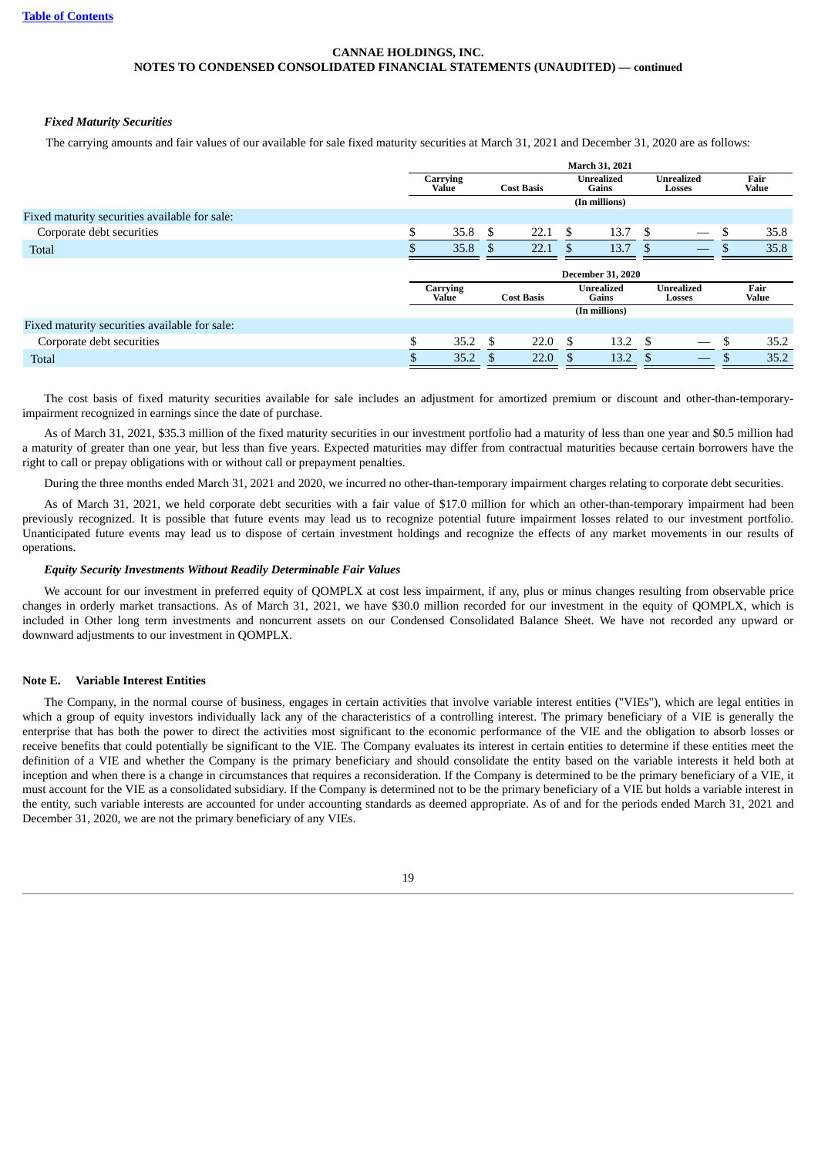### *Fixed Maturity Securities*

The carrying amounts and fair values of our available for sale fixed maturity securities at March 31, 2021 and December 31, 2020 are as follows:

|                                               |    | March 31, 2021    |                          |                   |                     |               |                             |  |    |               |  |  |  |  |  |                            |  |  |  |  |  |  |  |  |  |  |  |  |  |  |  |  |  |                      |  |                      |
|-----------------------------------------------|----|-------------------|--------------------------|-------------------|---------------------|---------------|-----------------------------|--|----|---------------|--|--|--|--|--|----------------------------|--|--|--|--|--|--|--|--|--|--|--|--|--|--|--|--|--|----------------------|--|----------------------|
|                                               |    | Carrying<br>Value |                          | <b>Cost Basis</b> |                     |               |                             |  |    |               |  |  |  |  |  | <b>Unrealized</b><br>Gains |  |  |  |  |  |  |  |  |  |  |  |  |  |  |  |  |  | Unrealized<br>Losses |  | Fair<br><b>Value</b> |
|                                               |    |                   |                          |                   |                     | (In millions) |                             |  |    |               |  |  |  |  |  |                            |  |  |  |  |  |  |  |  |  |  |  |  |  |  |  |  |  |                      |  |                      |
| Fixed maturity securities available for sale: |    |                   |                          |                   |                     |               |                             |  |    |               |  |  |  |  |  |                            |  |  |  |  |  |  |  |  |  |  |  |  |  |  |  |  |  |                      |  |                      |
| Corporate debt securities                     | ሖ  | 35.8              | -S                       | 22.1              | \$                  | 13.7          | - \$                        |  | S  | 35.8          |  |  |  |  |  |                            |  |  |  |  |  |  |  |  |  |  |  |  |  |  |  |  |  |                      |  |                      |
| <b>Total</b>                                  |    | 35.8              |                          | 22.1              |                     | 13.7          |                             |  |    | 35.8          |  |  |  |  |  |                            |  |  |  |  |  |  |  |  |  |  |  |  |  |  |  |  |  |                      |  |                      |
|                                               |    |                   | <b>December 31, 2020</b> |                   |                     |               |                             |  |    |               |  |  |  |  |  |                            |  |  |  |  |  |  |  |  |  |  |  |  |  |  |  |  |  |                      |  |                      |
|                                               |    | Carrying<br>Value | <b>Cost Basis</b>        |                   | Unrealized<br>Gains |               | <b>Unrealized</b><br>Losses |  |    | Fair<br>Value |  |  |  |  |  |                            |  |  |  |  |  |  |  |  |  |  |  |  |  |  |  |  |  |                      |  |                      |
|                                               |    |                   | (In millions)            |                   |                     |               |                             |  |    |               |  |  |  |  |  |                            |  |  |  |  |  |  |  |  |  |  |  |  |  |  |  |  |  |                      |  |                      |
| Fixed maturity securities available for sale: |    |                   |                          |                   |                     |               |                             |  |    |               |  |  |  |  |  |                            |  |  |  |  |  |  |  |  |  |  |  |  |  |  |  |  |  |                      |  |                      |
| Corporate debt securities                     | \$ | 35.2              | \$.                      | 22.0              | \$.                 | 13.2          | - \$                        |  | \$ | 35.2          |  |  |  |  |  |                            |  |  |  |  |  |  |  |  |  |  |  |  |  |  |  |  |  |                      |  |                      |
| <b>Total</b>                                  |    | 35.2              |                          | 22.0              |                     | 13.2          |                             |  |    | 35.2          |  |  |  |  |  |                            |  |  |  |  |  |  |  |  |  |  |  |  |  |  |  |  |  |                      |  |                      |
|                                               |    |                   |                          |                   |                     |               |                             |  |    |               |  |  |  |  |  |                            |  |  |  |  |  |  |  |  |  |  |  |  |  |  |  |  |  |                      |  |                      |

The cost basis of fixed maturity securities available for sale includes an adjustment for amortized premium or discount and other-than-temporaryimpairment recognized in earnings since the date of purchase.

As of March 31, 2021, \$35.3 million of the fixed maturity securities in our investment portfolio had a maturity of less than one year and \$0.5 million had a maturity of greater than one year, but less than five years. Expected maturities may differ from contractual maturities because certain borrowers have the right to call or prepay obligations with or without call or prepayment penalties.

During the three months ended March 31, 2021 and 2020, we incurred no other-than-temporary impairment charges relating to corporate debt securities.

As of March 31, 2021, we held corporate debt securities with a fair value of \$17.0 million for which an other-than-temporary impairment had been previously recognized. It is possible that future events may lead us to recognize potential future impairment losses related to our investment portfolio. Unanticipated future events may lead us to dispose of certain investment holdings and recognize the effects of any market movements in our results of operations.

#### *Equity Security Investments Without Readily Determinable Fair Values*

We account for our investment in preferred equity of QOMPLX at cost less impairment, if any, plus or minus changes resulting from observable price changes in orderly market transactions. As of March 31, 2021, we have \$30.0 million recorded for our investment in the equity of QOMPLX, which is included in Other long term investments and noncurrent assets on our Condensed Consolidated Balance Sheet. We have not recorded any upward or downward adjustments to our investment in QOMPLX.

#### **Note E. Variable Interest Entities**

The Company, in the normal course of business, engages in certain activities that involve variable interest entities ("VIEs"), which are legal entities in which a group of equity investors individually lack any of the characteristics of a controlling interest. The primary beneficiary of a VIE is generally the enterprise that has both the power to direct the activities most significant to the economic performance of the VIE and the obligation to absorb losses or receive benefits that could potentially be significant to the VIE. The Company evaluates its interest in certain entities to determine if these entities meet the definition of a VIE and whether the Company is the primary beneficiary and should consolidate the entity based on the variable interests it held both at inception and when there is a change in circumstances that requires a reconsideration. If the Company is determined to be the primary beneficiary of a VIE, it must account for the VIE as a consolidated subsidiary. If the Company is determined not to be the primary beneficiary of a VIE but holds a variable interest in the entity, such variable interests are accounted for under accounting standards as deemed appropriate. As of and for the periods ended March 31, 2021 and December 31, 2020, we are not the primary beneficiary of any VIEs.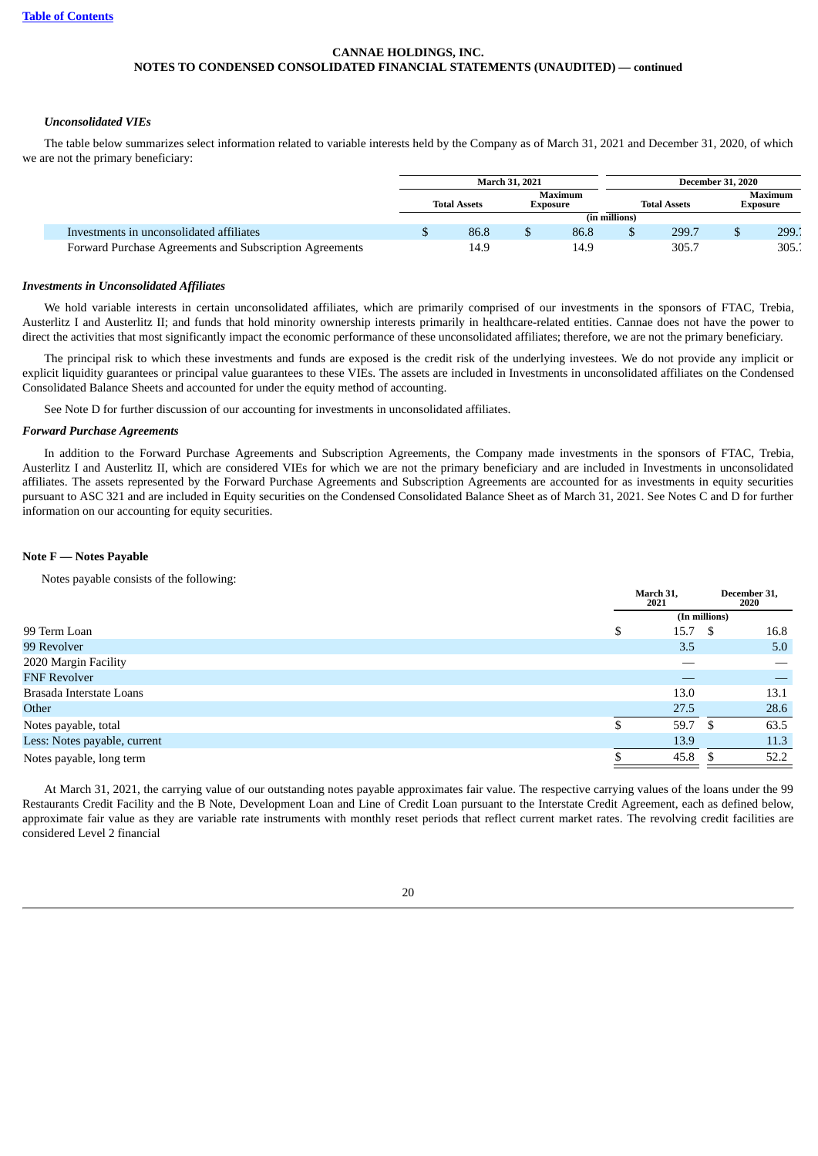#### *Unconsolidated VIEs*

The table below summarizes select information related to variable interests held by the Company as of March 31, 2021 and December 31, 2020, of which we are not the primary beneficiary:

|                                                         |                     |      | <b>March 31, 2021</b> |      |  |                     | <b>December 31, 2020</b> |                     |
|---------------------------------------------------------|---------------------|------|-----------------------|------|--|---------------------|--------------------------|---------------------|
|                                                         | <b>Total Assets</b> |      | Maximum<br>Exposure   |      |  | <b>Total Assets</b> |                          | Maximum<br>Exposure |
|                                                         | (in millions)       |      |                       |      |  |                     |                          |                     |
| Investments in unconsolidated affiliates                | ιυ                  | 86.8 | w                     | 86.8 |  | 299.7               |                          | 299.                |
| Forward Purchase Agreements and Subscription Agreements |                     | 14.9 |                       | 14.9 |  | 305.7               |                          | 305.7               |

#### *Investments in Unconsolidated Affiliates*

We hold variable interests in certain unconsolidated affiliates, which are primarily comprised of our investments in the sponsors of FTAC, Trebia, Austerlitz I and Austerlitz II; and funds that hold minority ownership interests primarily in healthcare-related entities. Cannae does not have the power to direct the activities that most significantly impact the economic performance of these unconsolidated affiliates; therefore, we are not the primary beneficiary.

The principal risk to which these investments and funds are exposed is the credit risk of the underlying investees. We do not provide any implicit or explicit liquidity guarantees or principal value guarantees to these VIEs. The assets are included in Investments in unconsolidated affiliates on the Condensed Consolidated Balance Sheets and accounted for under the equity method of accounting.

See Note D for further discussion of our accounting for investments in unconsolidated affiliates.

#### *Forward Purchase Agreements*

In addition to the Forward Purchase Agreements and Subscription Agreements, the Company made investments in the sponsors of FTAC, Trebia, Austerlitz I and Austerlitz II, which are considered VIEs for which we are not the primary beneficiary and are included in Investments in unconsolidated affiliates. The assets represented by the Forward Purchase Agreements and Subscription Agreements are accounted for as investments in equity securities pursuant to ASC 321 and are included in Equity securities on the Condensed Consolidated Balance Sheet as of March 31, 2021. See Notes C and D for further information on our accounting for equity securities.

#### **Note F — Notes Payable**

Notes payable consists of the following:

|                              | March 31.<br>2021       | December 31,<br>2020 |
|------------------------------|-------------------------|----------------------|
|                              |                         | (In millions)        |
| 99 Term Loan                 | \$<br>15.7 <sup>5</sup> | 16.8                 |
| 99 Revolver                  | 3.5                     | 5.0                  |
| 2020 Margin Facility         |                         |                      |
| <b>FNF Revolver</b>          |                         |                      |
| Brasada Interstate Loans     | 13.0                    | 13.1                 |
| Other                        | 27.5                    | 28.6                 |
| Notes payable, total         | 59.7 S                  | 63.5                 |
| Less: Notes payable, current | 13.9                    | 11.3                 |
| Notes payable, long term     | 45.8                    | 52.2                 |

At March 31, 2021, the carrying value of our outstanding notes payable approximates fair value. The respective carrying values of the loans under the 99 Restaurants Credit Facility and the B Note, Development Loan and Line of Credit Loan pursuant to the Interstate Credit Agreement, each as defined below, approximate fair value as they are variable rate instruments with monthly reset periods that reflect current market rates. The revolving credit facilities are considered Level 2 financial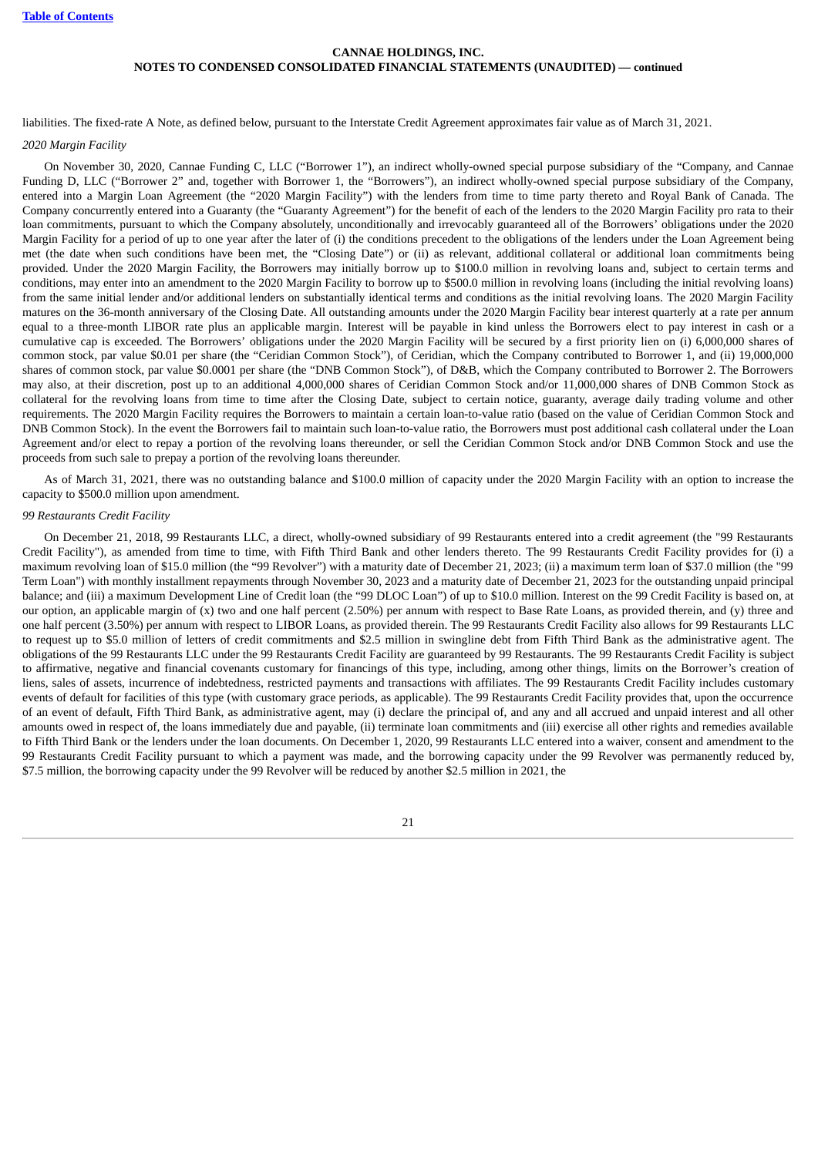liabilities. The fixed-rate A Note, as defined below, pursuant to the Interstate Credit Agreement approximates fair value as of March 31, 2021.

#### *2020 Margin Facility*

On November 30, 2020, Cannae Funding C, LLC ("Borrower 1"), an indirect wholly-owned special purpose subsidiary of the "Company, and Cannae Funding D, LLC ("Borrower 2" and, together with Borrower 1, the "Borrowers"), an indirect wholly-owned special purpose subsidiary of the Company, entered into a Margin Loan Agreement (the "2020 Margin Facility") with the lenders from time to time party thereto and Royal Bank of Canada. The Company concurrently entered into a Guaranty (the "Guaranty Agreement") for the benefit of each of the lenders to the 2020 Margin Facility pro rata to their loan commitments, pursuant to which the Company absolutely, unconditionally and irrevocably guaranteed all of the Borrowers' obligations under the 2020 Margin Facility for a period of up to one year after the later of (i) the conditions precedent to the obligations of the lenders under the Loan Agreement being met (the date when such conditions have been met, the "Closing Date") or (ii) as relevant, additional collateral or additional loan commitments being provided. Under the 2020 Margin Facility, the Borrowers may initially borrow up to \$100.0 million in revolving loans and, subject to certain terms and conditions, may enter into an amendment to the 2020 Margin Facility to borrow up to \$500.0 million in revolving loans (including the initial revolving loans) from the same initial lender and/or additional lenders on substantially identical terms and conditions as the initial revolving loans. The 2020 Margin Facility matures on the 36-month anniversary of the Closing Date. All outstanding amounts under the 2020 Margin Facility bear interest quarterly at a rate per annum equal to a three-month LIBOR rate plus an applicable margin. Interest will be payable in kind unless the Borrowers elect to pay interest in cash or a cumulative cap is exceeded. The Borrowers' obligations under the 2020 Margin Facility will be secured by a first priority lien on (i) 6,000,000 shares of common stock, par value \$0.01 per share (the "Ceridian Common Stock"), of Ceridian, which the Company contributed to Borrower 1, and (ii) 19,000,000 shares of common stock, par value \$0.0001 per share (the "DNB Common Stock"), of D&B, which the Company contributed to Borrower 2. The Borrowers may also, at their discretion, post up to an additional 4,000,000 shares of Ceridian Common Stock and/or 11,000,000 shares of DNB Common Stock as collateral for the revolving loans from time to time after the Closing Date, subject to certain notice, guaranty, average daily trading volume and other requirements. The 2020 Margin Facility requires the Borrowers to maintain a certain loan-to-value ratio (based on the value of Ceridian Common Stock and DNB Common Stock). In the event the Borrowers fail to maintain such loan-to-value ratio, the Borrowers must post additional cash collateral under the Loan Agreement and/or elect to repay a portion of the revolving loans thereunder, or sell the Ceridian Common Stock and/or DNB Common Stock and use the proceeds from such sale to prepay a portion of the revolving loans thereunder.

As of March 31, 2021, there was no outstanding balance and \$100.0 million of capacity under the 2020 Margin Facility with an option to increase the capacity to \$500.0 million upon amendment.

### *99 Restaurants Credit Facility*

On December 21, 2018, 99 Restaurants LLC, a direct, wholly-owned subsidiary of 99 Restaurants entered into a credit agreement (the "99 Restaurants Credit Facility"), as amended from time to time, with Fifth Third Bank and other lenders thereto. The 99 Restaurants Credit Facility provides for (i) a maximum revolving loan of \$15.0 million (the "99 Revolver") with a maturity date of December 21, 2023; (ii) a maximum term loan of \$37.0 million (the "99 Term Loan") with monthly installment repayments through November 30, 2023 and a maturity date of December 21, 2023 for the outstanding unpaid principal balance; and (iii) a maximum Development Line of Credit loan (the "99 DLOC Loan") of up to \$10.0 million. Interest on the 99 Credit Facility is based on, at our option, an applicable margin of (x) two and one half percent (2.50%) per annum with respect to Base Rate Loans, as provided therein, and (y) three and one half percent (3.50%) per annum with respect to LIBOR Loans, as provided therein. The 99 Restaurants Credit Facility also allows for 99 Restaurants LLC to request up to \$5.0 million of letters of credit commitments and \$2.5 million in swingline debt from Fifth Third Bank as the administrative agent. The obligations of the 99 Restaurants LLC under the 99 Restaurants Credit Facility are guaranteed by 99 Restaurants. The 99 Restaurants Credit Facility is subject to affirmative, negative and financial covenants customary for financings of this type, including, among other things, limits on the Borrower's creation of liens, sales of assets, incurrence of indebtedness, restricted payments and transactions with affiliates. The 99 Restaurants Credit Facility includes customary events of default for facilities of this type (with customary grace periods, as applicable). The 99 Restaurants Credit Facility provides that, upon the occurrence of an event of default, Fifth Third Bank, as administrative agent, may (i) declare the principal of, and any and all accrued and unpaid interest and all other amounts owed in respect of, the loans immediately due and payable, (ii) terminate loan commitments and (iii) exercise all other rights and remedies available to Fifth Third Bank or the lenders under the loan documents. On December 1, 2020, 99 Restaurants LLC entered into a waiver, consent and amendment to the 99 Restaurants Credit Facility pursuant to which a payment was made, and the borrowing capacity under the 99 Revolver was permanently reduced by, \$7.5 million, the borrowing capacity under the 99 Revolver will be reduced by another \$2.5 million in 2021, the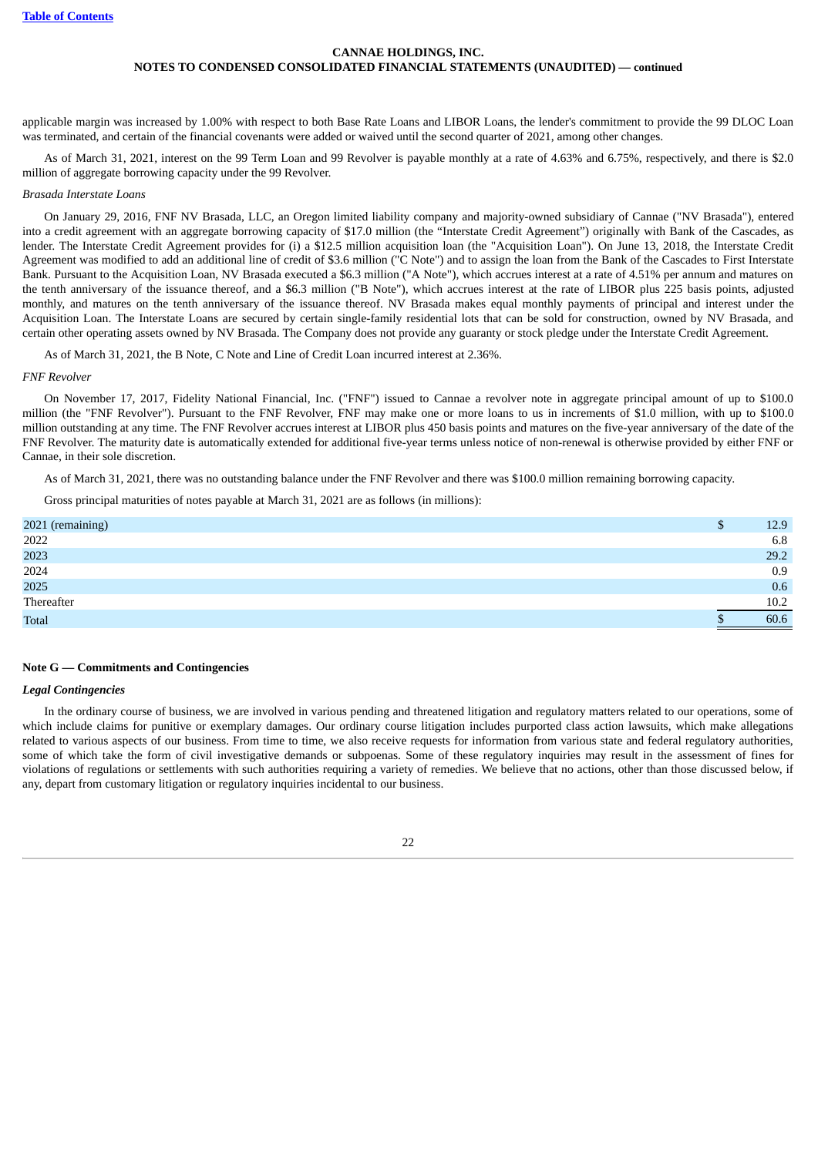applicable margin was increased by 1.00% with respect to both Base Rate Loans and LIBOR Loans, the lender's commitment to provide the 99 DLOC Loan was terminated, and certain of the financial covenants were added or waived until the second quarter of 2021, among other changes.

As of March 31, 2021, interest on the 99 Term Loan and 99 Revolver is payable monthly at a rate of 4.63% and 6.75%, respectively, and there is \$2.0 million of aggregate borrowing capacity under the 99 Revolver.

#### *Brasada Interstate Loans*

On January 29, 2016, FNF NV Brasada, LLC, an Oregon limited liability company and majority-owned subsidiary of Cannae ("NV Brasada"), entered into a credit agreement with an aggregate borrowing capacity of \$17.0 million (the "Interstate Credit Agreement") originally with Bank of the Cascades, as lender. The Interstate Credit Agreement provides for (i) a \$12.5 million acquisition loan (the "Acquisition Loan"). On June 13, 2018, the Interstate Credit Agreement was modified to add an additional line of credit of \$3.6 million ("C Note") and to assign the loan from the Bank of the Cascades to First Interstate Bank. Pursuant to the Acquisition Loan, NV Brasada executed a \$6.3 million ("A Note"), which accrues interest at a rate of 4.51% per annum and matures on the tenth anniversary of the issuance thereof, and a \$6.3 million ("B Note"), which accrues interest at the rate of LIBOR plus 225 basis points, adjusted monthly, and matures on the tenth anniversary of the issuance thereof. NV Brasada makes equal monthly payments of principal and interest under the Acquisition Loan. The Interstate Loans are secured by certain single-family residential lots that can be sold for construction, owned by NV Brasada, and certain other operating assets owned by NV Brasada. The Company does not provide any guaranty or stock pledge under the Interstate Credit Agreement.

As of March 31, 2021, the B Note, C Note and Line of Credit Loan incurred interest at 2.36%.

#### *FNF Revolver*

On November 17, 2017, Fidelity National Financial, Inc. ("FNF") issued to Cannae a revolver note in aggregate principal amount of up to \$100.0 million (the "FNF Revolver"). Pursuant to the FNF Revolver, FNF may make one or more loans to us in increments of \$1.0 million, with up to \$100.0 million outstanding at any time. The FNF Revolver accrues interest at LIBOR plus 450 basis points and matures on the five-year anniversary of the date of the FNF Revolver. The maturity date is automatically extended for additional five-year terms unless notice of non-renewal is otherwise provided by either FNF or Cannae, in their sole discretion.

As of March 31, 2021, there was no outstanding balance under the FNF Revolver and there was \$100.0 million remaining borrowing capacity.

Gross principal maturities of notes payable at March 31, 2021 are as follows (in millions):

| 2021 (remaining) | w | 12.9 |
|------------------|---|------|
| 2022             |   | 6.8  |
| 2023             |   | 29.2 |
| 2024             |   | 0.9  |
| 2025             |   | 0.6  |
| Thereafter       |   | 10.2 |
| <b>Total</b>     |   | 60.6 |

### **Note G — Commitments and Contingencies**

#### *Legal Contingencies*

In the ordinary course of business, we are involved in various pending and threatened litigation and regulatory matters related to our operations, some of which include claims for punitive or exemplary damages. Our ordinary course litigation includes purported class action lawsuits, which make allegations related to various aspects of our business. From time to time, we also receive requests for information from various state and federal regulatory authorities, some of which take the form of civil investigative demands or subpoenas. Some of these regulatory inquiries may result in the assessment of fines for violations of regulations or settlements with such authorities requiring a variety of remedies. We believe that no actions, other than those discussed below, if any, depart from customary litigation or regulatory inquiries incidental to our business.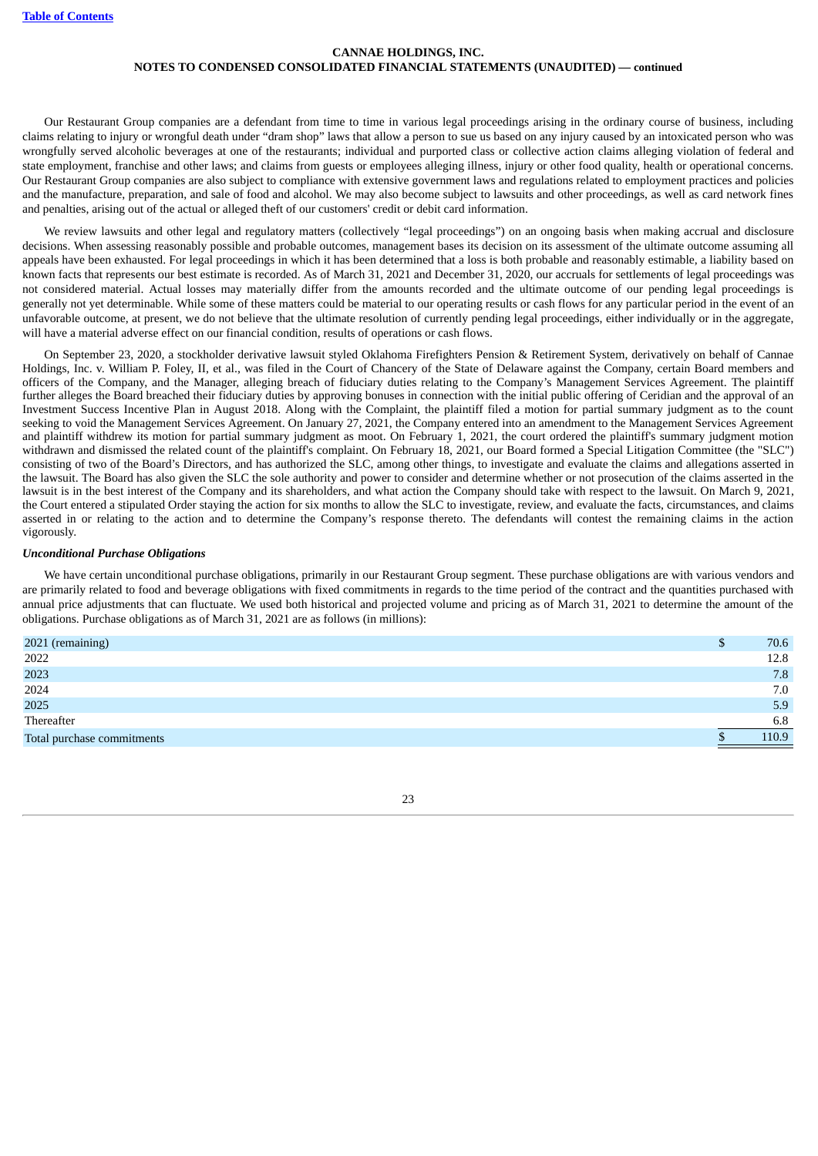Our Restaurant Group companies are a defendant from time to time in various legal proceedings arising in the ordinary course of business, including claims relating to injury or wrongful death under "dram shop" laws that allow a person to sue us based on any injury caused by an intoxicated person who was wrongfully served alcoholic beverages at one of the restaurants; individual and purported class or collective action claims alleging violation of federal and state employment, franchise and other laws; and claims from guests or employees alleging illness, injury or other food quality, health or operational concerns. Our Restaurant Group companies are also subject to compliance with extensive government laws and regulations related to employment practices and policies and the manufacture, preparation, and sale of food and alcohol. We may also become subject to lawsuits and other proceedings, as well as card network fines and penalties, arising out of the actual or alleged theft of our customers' credit or debit card information.

We review lawsuits and other legal and regulatory matters (collectively "legal proceedings") on an ongoing basis when making accrual and disclosure decisions. When assessing reasonably possible and probable outcomes, management bases its decision on its assessment of the ultimate outcome assuming all appeals have been exhausted. For legal proceedings in which it has been determined that a loss is both probable and reasonably estimable, a liability based on known facts that represents our best estimate is recorded. As of March 31, 2021 and December 31, 2020, our accruals for settlements of legal proceedings was not considered material. Actual losses may materially differ from the amounts recorded and the ultimate outcome of our pending legal proceedings is generally not yet determinable. While some of these matters could be material to our operating results or cash flows for any particular period in the event of an unfavorable outcome, at present, we do not believe that the ultimate resolution of currently pending legal proceedings, either individually or in the aggregate, will have a material adverse effect on our financial condition, results of operations or cash flows.

On September 23, 2020, a stockholder derivative lawsuit styled Oklahoma Firefighters Pension & Retirement System, derivatively on behalf of Cannae Holdings, Inc. v. William P. Foley, II, et al., was filed in the Court of Chancery of the State of Delaware against the Company, certain Board members and officers of the Company, and the Manager, alleging breach of fiduciary duties relating to the Company's Management Services Agreement. The plaintiff further alleges the Board breached their fiduciary duties by approving bonuses in connection with the initial public offering of Ceridian and the approval of an Investment Success Incentive Plan in August 2018. Along with the Complaint, the plaintiff filed a motion for partial summary judgment as to the count seeking to void the Management Services Agreement. On January 27, 2021, the Company entered into an amendment to the Management Services Agreement and plaintiff withdrew its motion for partial summary judgment as moot. On February 1, 2021, the court ordered the plaintiff's summary judgment motion withdrawn and dismissed the related count of the plaintiff's complaint. On February 18, 2021, our Board formed a Special Litigation Committee (the "SLC") consisting of two of the Board's Directors, and has authorized the SLC, among other things, to investigate and evaluate the claims and allegations asserted in the lawsuit. The Board has also given the SLC the sole authority and power to consider and determine whether or not prosecution of the claims asserted in the lawsuit is in the best interest of the Company and its shareholders, and what action the Company should take with respect to the lawsuit. On March 9, 2021, the Court entered a stipulated Order staying the action for six months to allow the SLC to investigate, review, and evaluate the facts, circumstances, and claims asserted in or relating to the action and to determine the Company's response thereto. The defendants will contest the remaining claims in the action vigorously.

### *Unconditional Purchase Obligations*

We have certain unconditional purchase obligations, primarily in our Restaurant Group segment. These purchase obligations are with various vendors and are primarily related to food and beverage obligations with fixed commitments in regards to the time period of the contract and the quantities purchased with annual price adjustments that can fluctuate. We used both historical and projected volume and pricing as of March 31, 2021 to determine the amount of the obligations. Purchase obligations as of March 31, 2021 are as follows (in millions):

| 2021 (remaining)           | D | 70.6  |
|----------------------------|---|-------|
| 2022                       |   | 12.8  |
| 2023                       |   | 7.8   |
| 2024                       |   | 7.0   |
| 2025                       |   | 5.9   |
| Thereafter                 |   | 6.8   |
| Total purchase commitments |   | 110.9 |

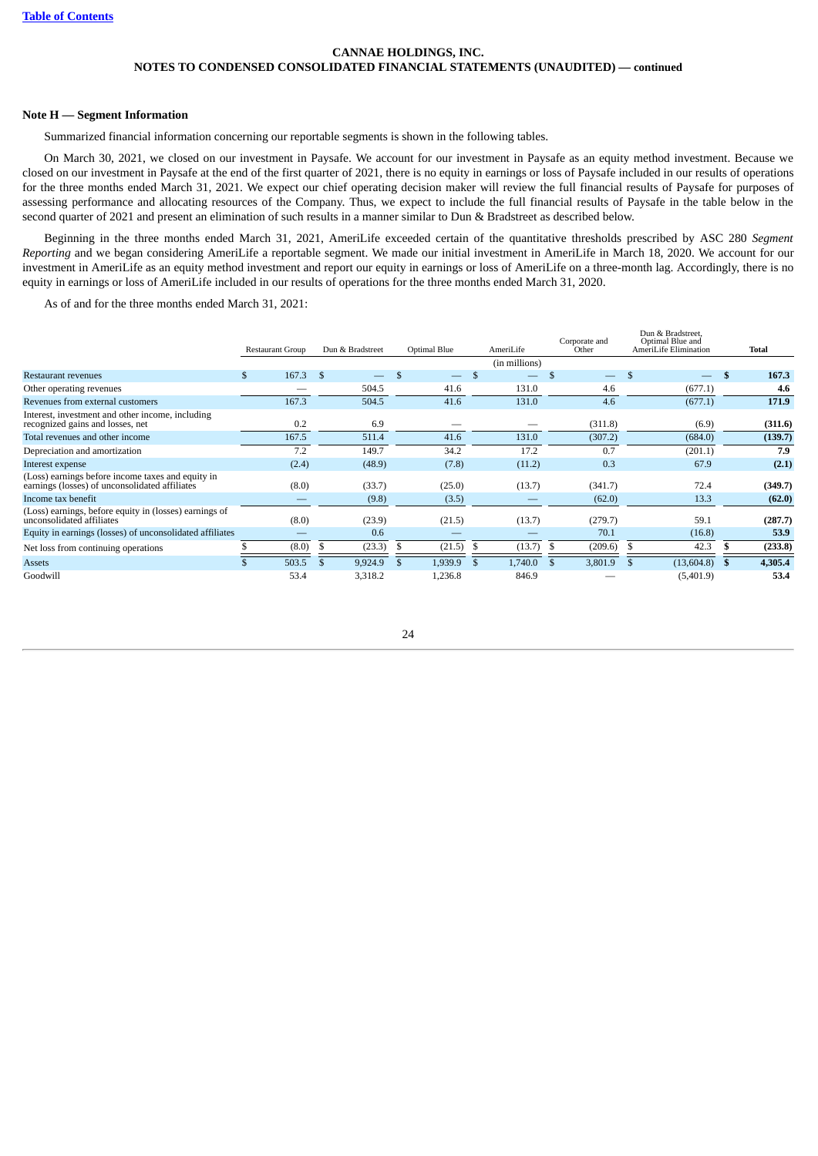### **Note H — Segment Information**

Summarized financial information concerning our reportable segments is shown in the following tables.

On March 30, 2021, we closed on our investment in Paysafe. We account for our investment in Paysafe as an equity method investment. Because we closed on our investment in Paysafe at the end of the first quarter of 2021, there is no equity in earnings or loss of Paysafe included in our results of operations for the three months ended March 31, 2021. We expect our chief operating decision maker will review the full financial results of Paysafe for purposes of assessing performance and allocating resources of the Company. Thus, we expect to include the full financial results of Paysafe in the table below in the second quarter of 2021 and present an elimination of such results in a manner similar to Dun & Bradstreet as described below.

Beginning in the three months ended March 31, 2021, AmeriLife exceeded certain of the quantitative thresholds prescribed by ASC 280 *Segment Reporting* and we began considering AmeriLife a reportable segment. We made our initial investment in AmeriLife in March 18, 2020. We account for our investment in AmeriLife as an equity method investment and report our equity in earnings or loss of AmeriLife on a three-month lag. Accordingly, there is no equity in earnings or loss of AmeriLife included in our results of operations for the three months ended March 31, 2020.

As of and for the three months ended March 31, 2021:

|                                                                                                     | <b>Restaurant Group</b> | Dun & Bradstreet<br>Optimal Blue<br>AmeriLife |         |    | Dun & Bradstreet,<br>Optimal Blue and<br>Corporate and<br>AmeriLife Elimination<br>Other |                          | <b>Total</b> |                          |            |    |         |
|-----------------------------------------------------------------------------------------------------|-------------------------|-----------------------------------------------|---------|----|------------------------------------------------------------------------------------------|--------------------------|--------------|--------------------------|------------|----|---------|
|                                                                                                     |                         |                                               |         |    |                                                                                          | (in millions)            |              |                          |            |    |         |
| Restaurant revenues                                                                                 | 167.3<br>\$             | \$.                                           |         |    |                                                                                          | $\overline{\phantom{a}}$ | $\mathbf{s}$ | $\overline{\phantom{0}}$ |            | -5 | 167.3   |
| Other operating revenues                                                                            |                         |                                               | 504.5   |    | 41.6                                                                                     | 131.0                    |              | 4.6                      | (677.1)    |    | 4.6     |
| Revenues from external customers                                                                    | 167.3                   |                                               | 504.5   |    | 41.6                                                                                     | 131.0                    |              | 4.6                      | (677.1)    |    | 171.9   |
| Interest, investment and other income, including<br>recognized gains and losses, net                | 0.2                     |                                               | 6.9     |    |                                                                                          |                          |              | (311.8)                  | (6.9)      |    | (311.6) |
| Total revenues and other income                                                                     | 167.5                   |                                               | 511.4   |    | 41.6                                                                                     | 131.0                    |              | (307.2)                  | (684.0)    |    | (139.7) |
| Depreciation and amortization                                                                       | 7.2                     |                                               | 149.7   |    | 34.2                                                                                     | 17.2                     |              | 0.7                      | (201.1)    |    | 7.9     |
| Interest expense                                                                                    | (2.4)                   |                                               | (48.9)  |    | (7.8)                                                                                    | (11.2)                   |              | 0.3                      | 67.9       |    | (2.1)   |
| (Loss) earnings before income taxes and equity in<br>earnings (losses) of unconsolidated affiliates | (8.0)                   |                                               | (33.7)  |    | (25.0)                                                                                   | (13.7)                   |              | (341.7)                  | 72.4       |    | (349.7) |
| Income tax benefit                                                                                  |                         |                                               | (9.8)   |    | (3.5)                                                                                    |                          |              | (62.0)                   | 13.3       |    | (62.0)  |
| (Loss) earnings, before equity in (losses) earnings of<br>unconsolidated affiliates                 | (8.0)                   |                                               | (23.9)  |    | (21.5)                                                                                   | (13.7)                   |              | (279.7)                  | 59.1       |    | (287.7) |
| Equity in earnings (losses) of unconsolidated affiliates                                            |                         |                                               | 0.6     |    |                                                                                          |                          |              | 70.1                     | (16.8)     |    | 53.9    |
| Net loss from continuing operations                                                                 | (8.0)                   | Эħ.                                           | (23.3)  |    | (21.5)                                                                                   | (13.7)                   | - 55         | (209.6)                  | 42.3       |    | (233.8) |
| <b>Assets</b>                                                                                       | 503.5                   |                                               | 9,924.9 | -S | 1,939.9                                                                                  | 1,740.0                  | Ŝ.           | 3,801.9                  | (13,604.8) | S  | 4,305.4 |
| Goodwill                                                                                            | 53.4                    |                                               | 3,318.2 |    | 1,236.8                                                                                  | 846.9                    |              |                          | (5,401.9)  |    | 53.4    |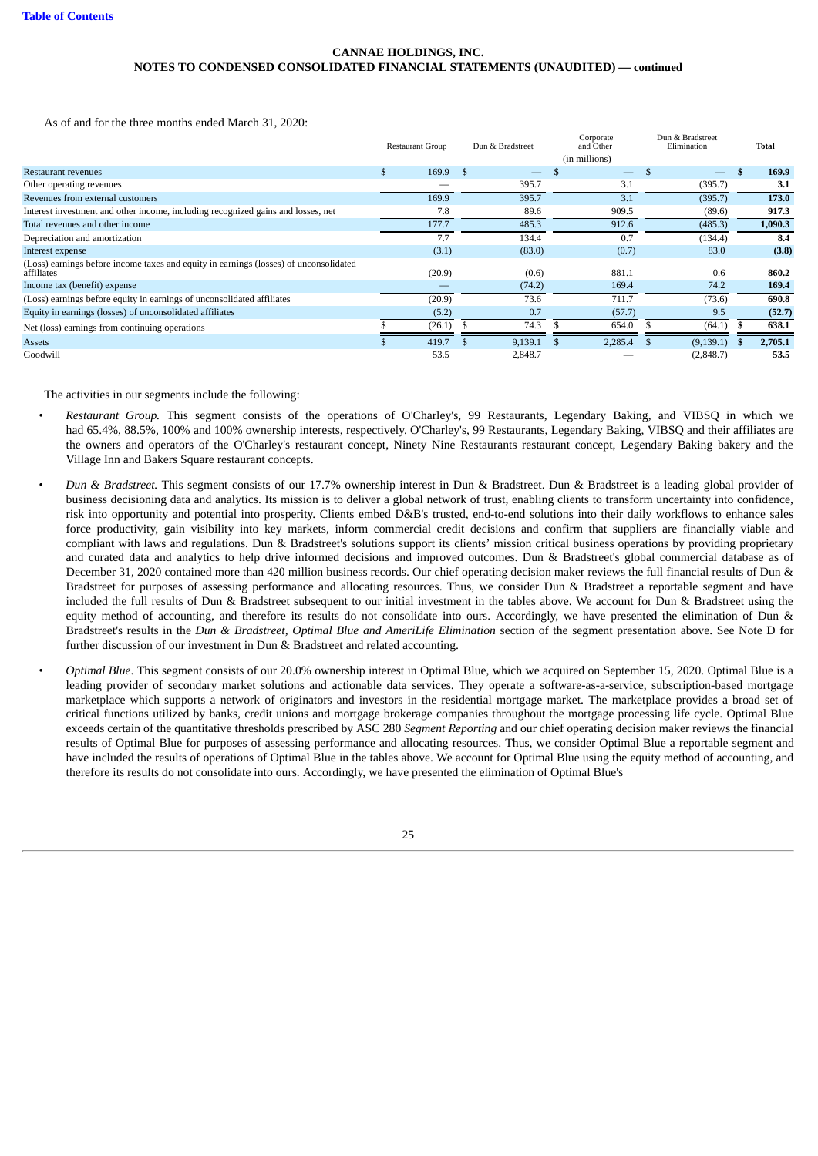As of and for the three months ended March 31, 2020:

|                                                                                                     | Restaurant Group |        | Dun & Bradstreet |         |      | Corporate<br>and Other   |    | Dun & Bradstreet<br>Elimination |     | <b>Total</b> |
|-----------------------------------------------------------------------------------------------------|------------------|--------|------------------|---------|------|--------------------------|----|---------------------------------|-----|--------------|
|                                                                                                     |                  |        |                  |         |      | (in millions)            |    |                                 |     |              |
| Restaurant revenues                                                                                 | S.               | 169.9  | -S               |         |      | $\overline{\phantom{m}}$ | -S | $\equiv$                        | -8  | 169.9        |
| Other operating revenues                                                                            |                  |        |                  | 395.7   |      | 3.1                      |    | (395.7)                         |     | 3.1          |
| Revenues from external customers                                                                    |                  | 169.9  |                  | 395.7   |      | 3.1                      |    | (395.7)                         |     | 173.0        |
| Interest investment and other income, including recognized gains and losses, net                    |                  | 7.8    |                  | 89.6    |      | 909.5                    |    | (89.6)                          |     | 917.3        |
| Total revenues and other income                                                                     |                  | 177.7  |                  | 485.3   |      | 912.6                    |    | (485.3)                         |     | 1,090.3      |
| Depreciation and amortization                                                                       |                  | 7.7    |                  | 134.4   |      | 0.7                      |    | (134.4)                         |     | 8.4          |
| Interest expense                                                                                    |                  | (3.1)  |                  | (83.0)  |      | (0.7)                    |    | 83.0                            |     | (3.8)        |
| (Loss) earnings before income taxes and equity in earnings (losses) of unconsolidated<br>affiliates |                  | (20.9) |                  | (0.6)   |      | 881.1                    |    | 0.6                             |     | 860.2        |
| Income tax (benefit) expense                                                                        |                  |        |                  | (74.2)  |      | 169.4                    |    | 74.2                            |     | 169.4        |
| (Loss) earnings before equity in earnings of unconsolidated affiliates                              |                  | (20.9) |                  | 73.6    |      | 711.7                    |    | (73.6)                          |     | 690.8        |
| Equity in earnings (losses) of unconsolidated affiliates                                            |                  | (5.2)  |                  | 0.7     |      | (57.7)                   |    | 9.5                             |     | (52.7)       |
| Net (loss) earnings from continuing operations                                                      |                  | (26.1) |                  | 74.3    |      | 654.0                    |    | (64.1)                          |     | 638.1        |
| Assets                                                                                              |                  | 419.7  |                  | 9,139.1 | - \$ | 2,285.4                  |    | (9, 139.1)                      | - 5 | 2,705.1      |
| Goodwill                                                                                            |                  | 53.5   |                  | 2,848.7 |      |                          |    | (2,848.7)                       |     | 53.5         |

The activities in our segments include the following:

- *• Restaurant Group.* This segment consists of the operations of O'Charley's, 99 Restaurants, Legendary Baking, and VIBSQ in which we had 65.4%, 88.5%, 100% and 100% ownership interests, respectively. O'Charley's, 99 Restaurants, Legendary Baking, VIBSQ and their affiliates are the owners and operators of the O'Charley's restaurant concept, Ninety Nine Restaurants restaurant concept, Legendary Baking bakery and the Village Inn and Bakers Square restaurant concepts.
- *• Dun & Bradstreet.* This segment consists of our 17.7% ownership interest in Dun & Bradstreet. Dun & Bradstreet is a leading global provider of business decisioning data and analytics. Its mission is to deliver a global network of trust, enabling clients to transform uncertainty into confidence, risk into opportunity and potential into prosperity. Clients embed D&B's trusted, end-to-end solutions into their daily workflows to enhance sales force productivity, gain visibility into key markets, inform commercial credit decisions and confirm that suppliers are financially viable and compliant with laws and regulations. Dun & Bradstreet's solutions support its clients' mission critical business operations by providing proprietary and curated data and analytics to help drive informed decisions and improved outcomes. Dun & Bradstreet's global commercial database as of December 31, 2020 contained more than 420 million business records. Our chief operating decision maker reviews the full financial results of Dun & Bradstreet for purposes of assessing performance and allocating resources. Thus, we consider Dun & Bradstreet a reportable segment and have included the full results of Dun & Bradstreet subsequent to our initial investment in the tables above. We account for Dun & Bradstreet using the equity method of accounting, and therefore its results do not consolidate into ours. Accordingly, we have presented the elimination of Dun & Bradstreet's results in the *Dun & Bradstreet, Optimal Blue and AmeriLife Elimination* section of the segment presentation above. See Note D for further discussion of our investment in Dun & Bradstreet and related accounting.
- *• Optimal Blue*. This segment consists of our 20.0% ownership interest in Optimal Blue, which we acquired on September 15, 2020. Optimal Blue is a leading provider of secondary market solutions and actionable data services. They operate a software-as-a-service, subscription-based mortgage marketplace which supports a network of originators and investors in the residential mortgage market. The marketplace provides a broad set of critical functions utilized by banks, credit unions and mortgage brokerage companies throughout the mortgage processing life cycle. Optimal Blue exceeds certain of the quantitative thresholds prescribed by ASC 280 *Segment Reporting* and our chief operating decision maker reviews the financial results of Optimal Blue for purposes of assessing performance and allocating resources. Thus, we consider Optimal Blue a reportable segment and have included the results of operations of Optimal Blue in the tables above. We account for Optimal Blue using the equity method of accounting, and therefore its results do not consolidate into ours. Accordingly, we have presented the elimination of Optimal Blue's

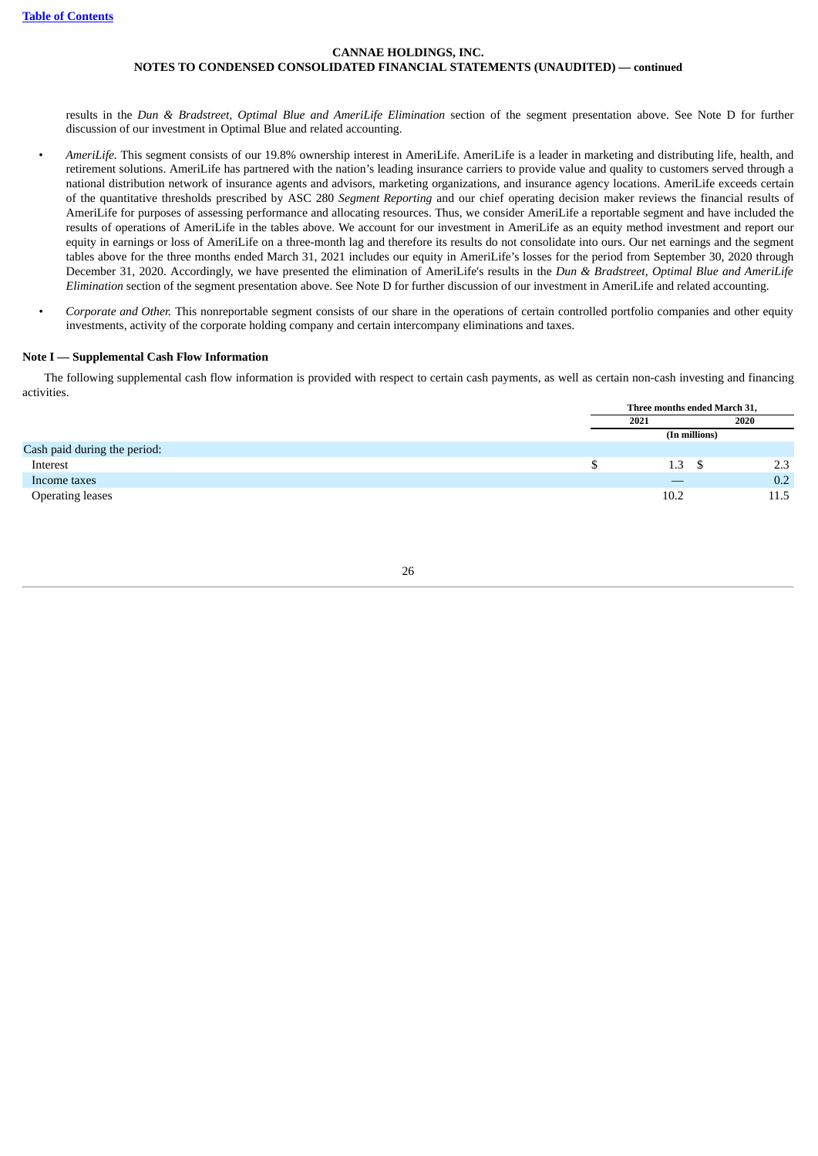results in the *Dun & Bradstreet, Optimal Blue and AmeriLife Elimination* section of the segment presentation above. See Note D for further discussion of our investment in Optimal Blue and related accounting.

- *AmeriLife.* This segment consists of our 19.8% ownership interest in AmeriLife. AmeriLife is a leader in marketing and distributing life, health, and retirement solutions. AmeriLife has partnered with the nation's leading insurance carriers to provide value and quality to customers served through a national distribution network of insurance agents and advisors, marketing organizations, and insurance agency locations. AmeriLife exceeds certain of the quantitative thresholds prescribed by ASC 280 *Segment Reporting* and our chief operating decision maker reviews the financial results of AmeriLife for purposes of assessing performance and allocating resources. Thus, we consider AmeriLife a reportable segment and have included the results of operations of AmeriLife in the tables above. We account for our investment in AmeriLife as an equity method investment and report our equity in earnings or loss of AmeriLife on a three-month lag and therefore its results do not consolidate into ours. Our net earnings and the segment tables above for the three months ended March 31, 2021 includes our equity in AmeriLife's losses for the period from September 30, 2020 through December 31, 2020. Accordingly, we have presented the elimination of AmeriLife's results in the *Dun & Bradstreet, Optimal Blue and AmeriLife Elimination* section of the segment presentation above. See Note D for further discussion of our investment in AmeriLife and related accounting.
- *• Corporate and Other.* This nonreportable segment consists of our share in the operations of certain controlled portfolio companies and other equity investments, activity of the corporate holding company and certain intercompany eliminations and taxes.

### **Note I — Supplemental Cash Flow Information**

The following supplemental cash flow information is provided with respect to certain cash payments, as well as certain non-cash investing and financing activities.

|                              | Three months ended March 31, |      |  |  |
|------------------------------|------------------------------|------|--|--|
|                              | 2021                         | 2020 |  |  |
|                              | (In millions)                |      |  |  |
| Cash paid during the period: |                              |      |  |  |
| Interest                     | 1.3<br>S                     | 2.3  |  |  |
| Income taxes                 |                              | 0.2  |  |  |
| <b>Operating leases</b>      | 10.2                         | 11.5 |  |  |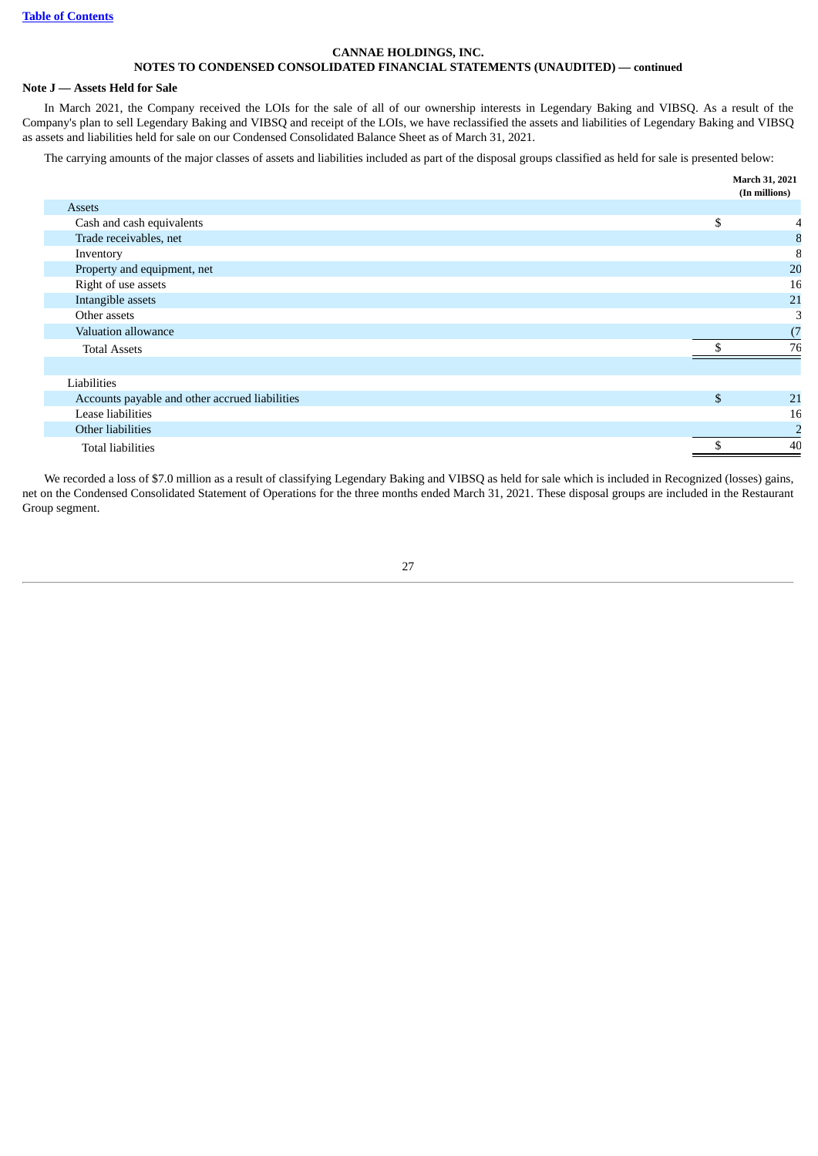# **CANNAE HOLDINGS, INC.**

# **NOTES TO CONDENSED CONSOLIDATED FINANCIAL STATEMENTS (UNAUDITED) — continued**

### **Note J — Assets Held for Sale**

In March 2021, the Company received the LOIs for the sale of all of our ownership interests in Legendary Baking and VIBSQ. As a result of the Company's plan to sell Legendary Baking and VIBSQ and receipt of the LOIs, we have reclassified the assets and liabilities of Legendary Baking and VIBSQ as assets and liabilities held for sale on our Condensed Consolidated Balance Sheet as of March 31, 2021.

The carrying amounts of the major classes of assets and liabilities included as part of the disposal groups classified as held for sale is presented below:

|                                                | March 31, 2021<br>(In millions) |
|------------------------------------------------|---------------------------------|
| Assets                                         |                                 |
| Cash and cash equivalents                      | \$                              |
| Trade receivables, net                         | 8                               |
| Inventory                                      | 8                               |
| Property and equipment, net                    | 20                              |
| Right of use assets                            | 16                              |
| Intangible assets                              | 21                              |
| Other assets                                   |                                 |
| Valuation allowance                            | (7                              |
| <b>Total Assets</b>                            | 76                              |
|                                                |                                 |
| Liabilities                                    |                                 |
| Accounts payable and other accrued liabilities | \$<br>21                        |
| Lease liabilities                              | 16                              |
| Other liabilities                              | $\overline{2}$                  |
| <b>Total liabilities</b>                       | 40                              |

<span id="page-29-0"></span>We recorded a loss of \$7.0 million as a result of classifying Legendary Baking and VIBSQ as held for sale which is included in Recognized (losses) gains, net on the Condensed Consolidated Statement of Operations for the three months ended March 31, 2021. These disposal groups are included in the Restaurant Group segment.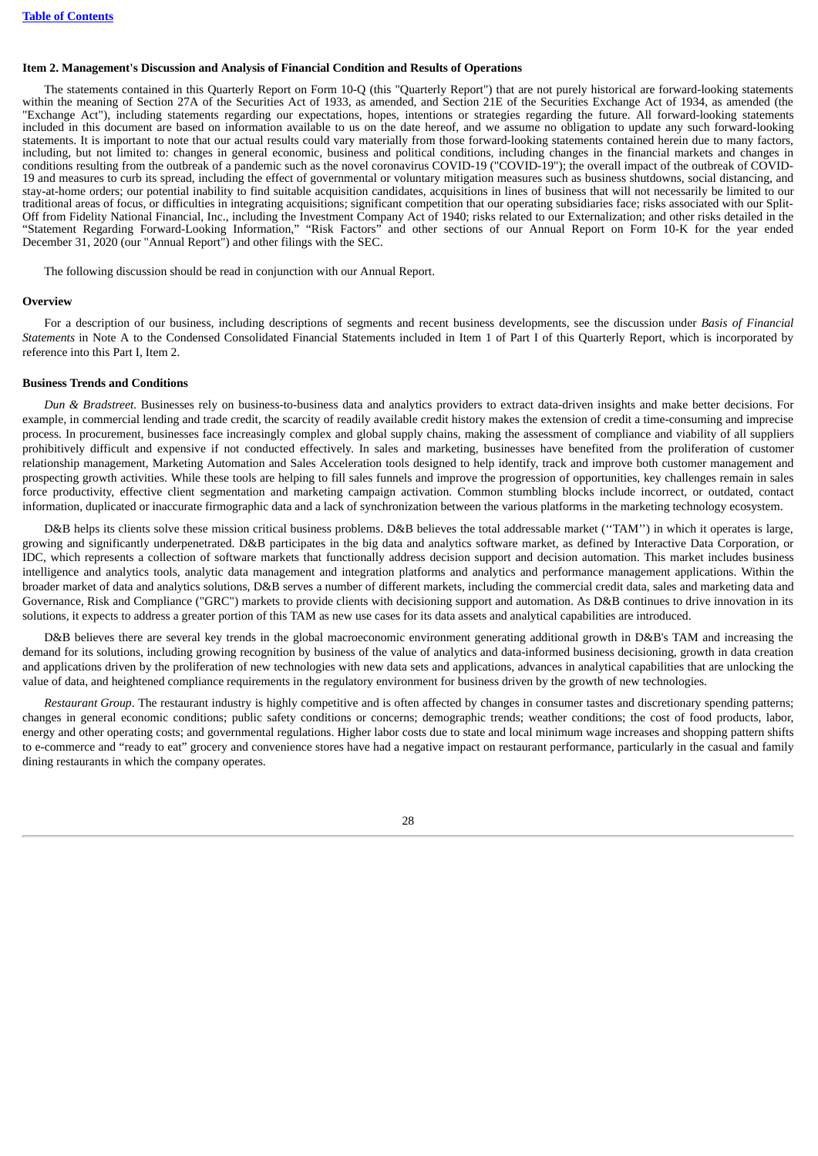#### **Item 2. Management's Discussion and Analysis of Financial Condition and Results of Operations**

The statements contained in this Quarterly Report on Form 10-Q (this "Quarterly Report") that are not purely historical are forward-looking statements within the meaning of Section 27A of the Securities Act of 1933, as amended, and Section 21E of the Securities Exchange Act of 1934, as amended (the "Exchange Act"), including statements regarding our expectations, hopes, intentions or strategies regarding the future. All forward-looking statements included in this document are based on information available to us on the date hereof, and we assume no obligation to update any such forward-looking statements. It is important to note that our actual results could vary materially from those forward-looking statements contained herein due to many factors, including, but not limited to: changes in general economic, business and political conditions, including changes in the financial markets and changes in conditions resulting from the outbreak of a pandemic such as the novel coronavirus COVID-19 ("COVID-19"); the overall impact of the outbreak of COVID-19 and measures to curb its spread, including the effect of governmental or voluntary mitigation measures such as business shutdowns, social distancing, and stay-at-home orders; our potential inability to find suitable acquisition candidates, acquisitions in lines of business that will not necessarily be limited to our traditional areas of focus, or difficulties in integrating acquisitions; significant competition that our operating subsidiaries face; risks associated with our Split-Off from Fidelity National Financial, Inc., including the Investment Company Act of 1940; risks related to our Externalization; and other risks detailed in the "Statement Regarding Forward-Looking Information," "Risk Factors" and other sections of our Annual Report on Form 10-K for the year ended December 31, 2020 (our "Annual Report") and other filings with the SEC.

The following discussion should be read in conjunction with our Annual Report.

#### **Overview**

For a description of our business, including descriptions of segments and recent business developments, see the discussion under *Basis of Financial Statements* in Note A to the Condensed Consolidated Financial Statements included in Item 1 of Part I of this Quarterly Report, which is incorporated by reference into this Part I, Item 2.

#### **Business Trends and Conditions**

*Dun & Bradstreet.* Businesses rely on business-to-business data and analytics providers to extract data-driven insights and make better decisions. For example, in commercial lending and trade credit, the scarcity of readily available credit history makes the extension of credit a time-consuming and imprecise process. In procurement, businesses face increasingly complex and global supply chains, making the assessment of compliance and viability of all suppliers prohibitively difficult and expensive if not conducted effectively. In sales and marketing, businesses have benefited from the proliferation of customer relationship management, Marketing Automation and Sales Acceleration tools designed to help identify, track and improve both customer management and prospecting growth activities. While these tools are helping to fill sales funnels and improve the progression of opportunities, key challenges remain in sales force productivity, effective client segmentation and marketing campaign activation. Common stumbling blocks include incorrect, or outdated, contact information, duplicated or inaccurate firmographic data and a lack of synchronization between the various platforms in the marketing technology ecosystem.

D&B helps its clients solve these mission critical business problems. D&B believes the total addressable market (''TAM'') in which it operates is large, growing and significantly underpenetrated. D&B participates in the big data and analytics software market, as defined by Interactive Data Corporation, or IDC, which represents a collection of software markets that functionally address decision support and decision automation. This market includes business intelligence and analytics tools, analytic data management and integration platforms and analytics and performance management applications. Within the broader market of data and analytics solutions, D&B serves a number of different markets, including the commercial credit data, sales and marketing data and Governance, Risk and Compliance ("GRC") markets to provide clients with decisioning support and automation. As D&B continues to drive innovation in its solutions, it expects to address a greater portion of this TAM as new use cases for its data assets and analytical capabilities are introduced.

D&B believes there are several key trends in the global macroeconomic environment generating additional growth in D&B's TAM and increasing the demand for its solutions, including growing recognition by business of the value of analytics and data-informed business decisioning, growth in data creation and applications driven by the proliferation of new technologies with new data sets and applications, advances in analytical capabilities that are unlocking the value of data, and heightened compliance requirements in the regulatory environment for business driven by the growth of new technologies.

*Restaurant Group*. The restaurant industry is highly competitive and is often affected by changes in consumer tastes and discretionary spending patterns; changes in general economic conditions; public safety conditions or concerns; demographic trends; weather conditions; the cost of food products, labor, energy and other operating costs; and governmental regulations. Higher labor costs due to state and local minimum wage increases and shopping pattern shifts to e-commerce and "ready to eat" grocery and convenience stores have had a negative impact on restaurant performance, particularly in the casual and family dining restaurants in which the company operates.

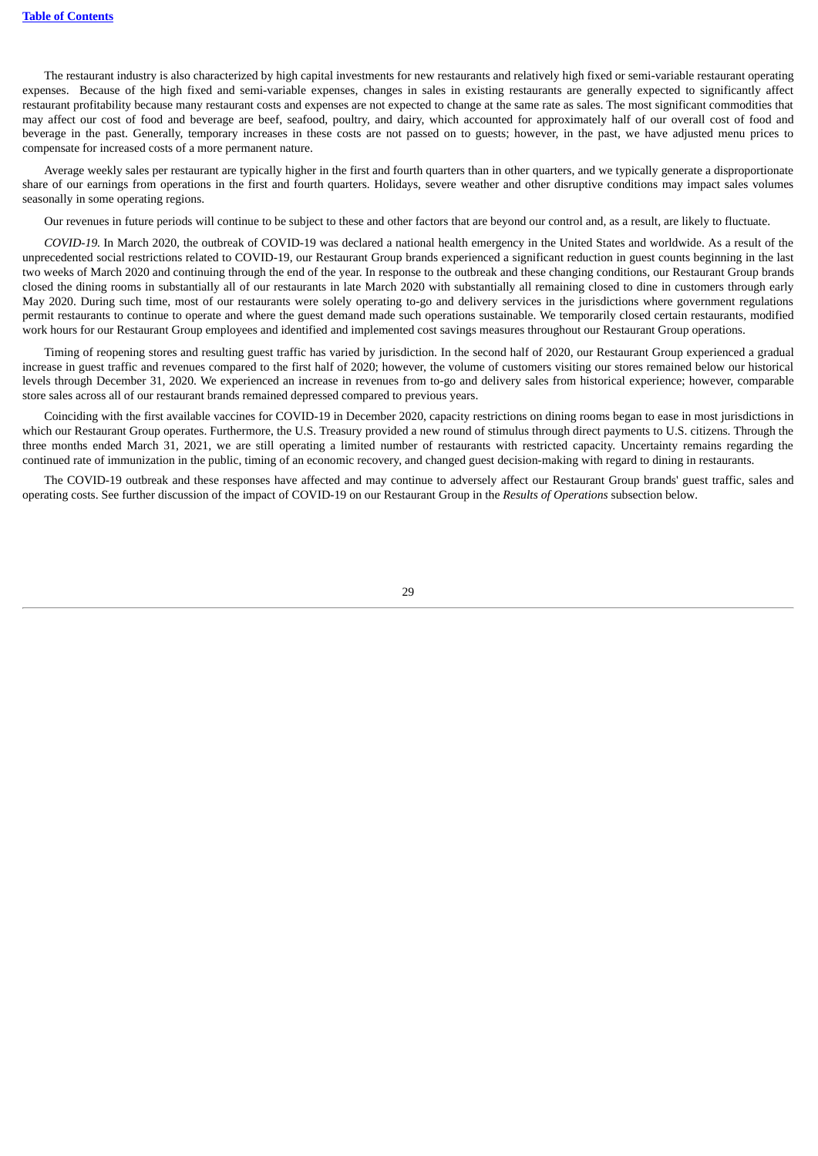The restaurant industry is also characterized by high capital investments for new restaurants and relatively high fixed or semi-variable restaurant operating expenses. Because of the high fixed and semi-variable expenses, changes in sales in existing restaurants are generally expected to significantly affect restaurant profitability because many restaurant costs and expenses are not expected to change at the same rate as sales. The most significant commodities that may affect our cost of food and beverage are beef, seafood, poultry, and dairy, which accounted for approximately half of our overall cost of food and beverage in the past. Generally, temporary increases in these costs are not passed on to guests; however, in the past, we have adjusted menu prices to compensate for increased costs of a more permanent nature.

Average weekly sales per restaurant are typically higher in the first and fourth quarters than in other quarters, and we typically generate a disproportionate share of our earnings from operations in the first and fourth quarters. Holidays, severe weather and other disruptive conditions may impact sales volumes seasonally in some operating regions.

Our revenues in future periods will continue to be subject to these and other factors that are beyond our control and, as a result, are likely to fluctuate.

*COVID-19.* In March 2020, the outbreak of COVID-19 was declared a national health emergency in the United States and worldwide. As a result of the unprecedented social restrictions related to COVID-19, our Restaurant Group brands experienced a significant reduction in guest counts beginning in the last two weeks of March 2020 and continuing through the end of the year. In response to the outbreak and these changing conditions, our Restaurant Group brands closed the dining rooms in substantially all of our restaurants in late March 2020 with substantially all remaining closed to dine in customers through early May 2020. During such time, most of our restaurants were solely operating to-go and delivery services in the jurisdictions where government regulations permit restaurants to continue to operate and where the guest demand made such operations sustainable. We temporarily closed certain restaurants, modified work hours for our Restaurant Group employees and identified and implemented cost savings measures throughout our Restaurant Group operations.

Timing of reopening stores and resulting guest traffic has varied by jurisdiction. In the second half of 2020, our Restaurant Group experienced a gradual increase in guest traffic and revenues compared to the first half of 2020; however, the volume of customers visiting our stores remained below our historical levels through December 31, 2020. We experienced an increase in revenues from to-go and delivery sales from historical experience; however, comparable store sales across all of our restaurant brands remained depressed compared to previous years.

Coinciding with the first available vaccines for COVID-19 in December 2020, capacity restrictions on dining rooms began to ease in most jurisdictions in which our Restaurant Group operates. Furthermore, the U.S. Treasury provided a new round of stimulus through direct payments to U.S. citizens. Through the three months ended March 31, 2021, we are still operating a limited number of restaurants with restricted capacity. Uncertainty remains regarding the continued rate of immunization in the public, timing of an economic recovery, and changed guest decision-making with regard to dining in restaurants.

The COVID-19 outbreak and these responses have affected and may continue to adversely affect our Restaurant Group brands' guest traffic, sales and operating costs. See further discussion of the impact of COVID-19 on our Restaurant Group in the *Results of Operations* subsection below*.*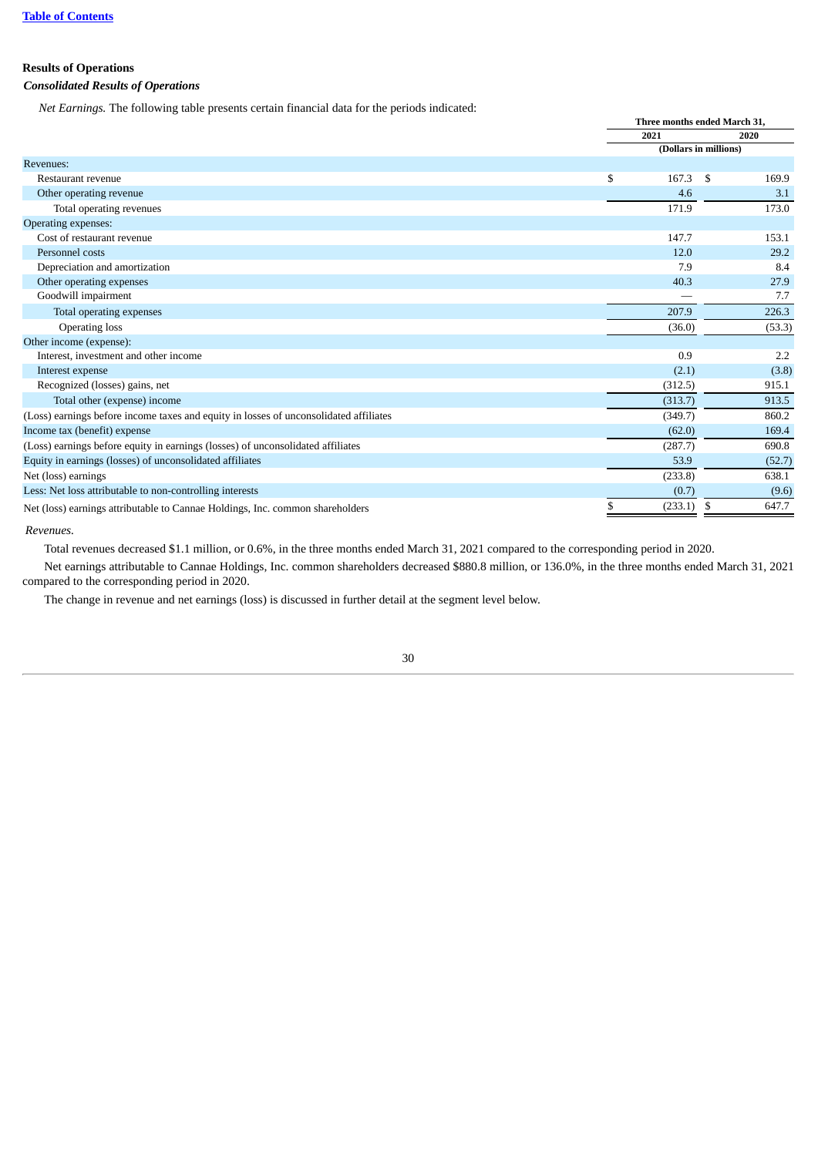# **Results of Operations**

# *Consolidated Results of Operations*

*Net Earnings.* The following table presents certain financial data for the periods indicated:

|                                                                                       | Three months ended March 31, |         |                       |  |
|---------------------------------------------------------------------------------------|------------------------------|---------|-----------------------|--|
|                                                                                       |                              | 2021    |                       |  |
|                                                                                       |                              |         | (Dollars in millions) |  |
| Revenues:                                                                             |                              |         |                       |  |
| Restaurant revenue                                                                    | \$                           | 167.3   | \$<br>169.9           |  |
| Other operating revenue                                                               |                              | 4.6     | 3.1                   |  |
| Total operating revenues                                                              |                              | 171.9   | 173.0                 |  |
| Operating expenses:                                                                   |                              |         |                       |  |
| Cost of restaurant revenue                                                            |                              | 147.7   | 153.1                 |  |
| Personnel costs                                                                       |                              | 12.0    | 29.2                  |  |
| Depreciation and amortization                                                         |                              | 7.9     | 8.4                   |  |
| Other operating expenses                                                              |                              | 40.3    | 27.9                  |  |
| Goodwill impairment                                                                   |                              |         | 7.7                   |  |
| Total operating expenses                                                              |                              | 207.9   | 226.3                 |  |
| <b>Operating loss</b>                                                                 |                              | (36.0)  | (53.3)                |  |
| Other income (expense):                                                               |                              |         |                       |  |
| Interest, investment and other income                                                 |                              | 0.9     | 2.2                   |  |
| Interest expense                                                                      |                              | (2.1)   | (3.8)                 |  |
| Recognized (losses) gains, net                                                        |                              | (312.5) | 915.1                 |  |
| Total other (expense) income                                                          |                              | (313.7) | 913.5                 |  |
| (Loss) earnings before income taxes and equity in losses of unconsolidated affiliates |                              | (349.7) | 860.2                 |  |
| Income tax (benefit) expense                                                          |                              | (62.0)  | 169.4                 |  |
| (Loss) earnings before equity in earnings (losses) of unconsolidated affiliates       |                              | (287.7) | 690.8                 |  |
| Equity in earnings (losses) of unconsolidated affiliates                              |                              | 53.9    | (52.7)                |  |
| Net (loss) earnings                                                                   |                              | (233.8) | 638.1                 |  |
| Less: Net loss attributable to non-controlling interests                              |                              | (0.7)   | (9.6)                 |  |
| Net (loss) earnings attributable to Cannae Holdings, Inc. common shareholders         | \$                           | (233.1) | 647.7<br>\$           |  |

*Revenues.*

Total revenues decreased \$1.1 million, or 0.6%, in the three months ended March 31, 2021 compared to the corresponding period in 2020.

Net earnings attributable to Cannae Holdings, Inc. common shareholders decreased \$880.8 million, or 136.0%, in the three months ended March 31, 2021 compared to the corresponding period in 2020.

The change in revenue and net earnings (loss) is discussed in further detail at the segment level below.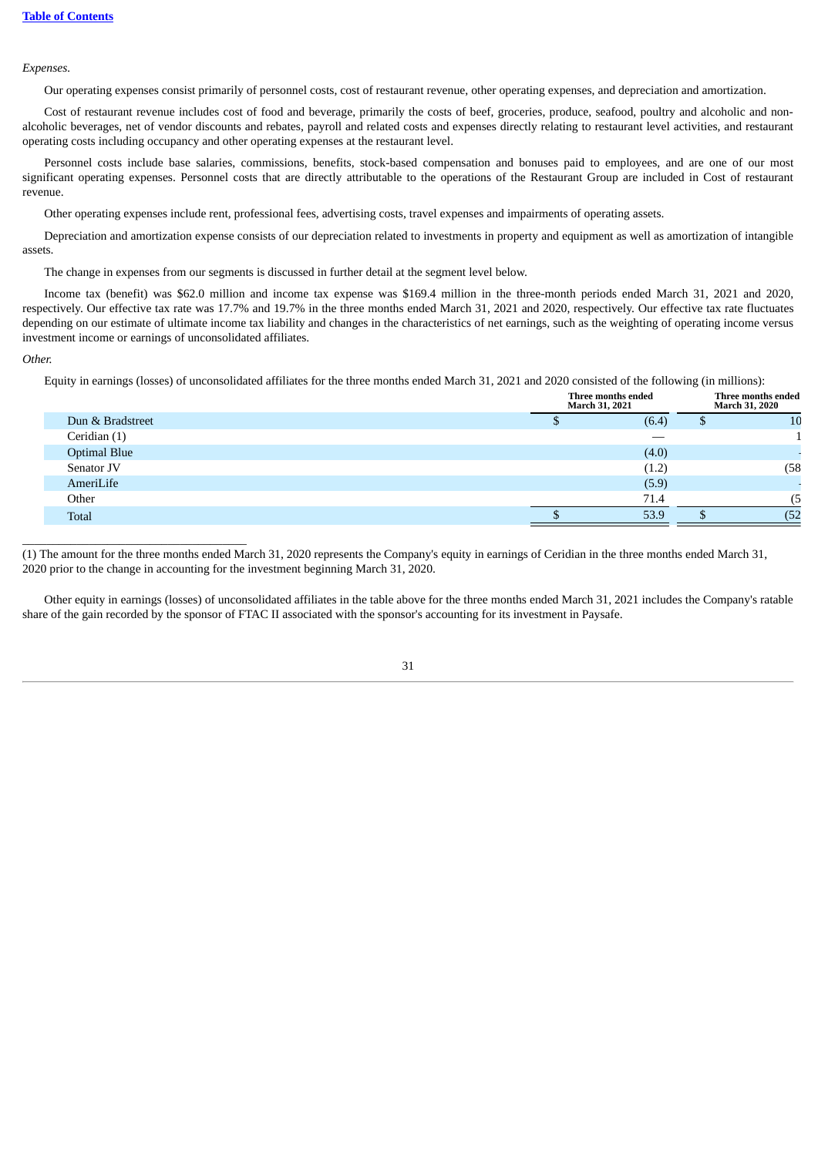*Expenses.*

Our operating expenses consist primarily of personnel costs, cost of restaurant revenue, other operating expenses, and depreciation and amortization.

Cost of restaurant revenue includes cost of food and beverage, primarily the costs of beef, groceries, produce, seafood, poultry and alcoholic and nonalcoholic beverages, net of vendor discounts and rebates, payroll and related costs and expenses directly relating to restaurant level activities, and restaurant operating costs including occupancy and other operating expenses at the restaurant level.

Personnel costs include base salaries, commissions, benefits, stock-based compensation and bonuses paid to employees, and are one of our most significant operating expenses. Personnel costs that are directly attributable to the operations of the Restaurant Group are included in Cost of restaurant revenue.

Other operating expenses include rent, professional fees, advertising costs, travel expenses and impairments of operating assets.

Depreciation and amortization expense consists of our depreciation related to investments in property and equipment as well as amortization of intangible assets.

The change in expenses from our segments is discussed in further detail at the segment level below.

Income tax (benefit) was \$62.0 million and income tax expense was \$169.4 million in the three-month periods ended March 31, 2021 and 2020, respectively. Our effective tax rate was 17.7% and 19.7% in the three months ended March 31, 2021 and 2020, respectively. Our effective tax rate fluctuates depending on our estimate of ultimate income tax liability and changes in the characteristics of net earnings, such as the weighting of operating income versus investment income or earnings of unconsolidated affiliates.

### *Other.*

\_\_\_\_\_\_\_\_\_\_\_\_\_\_\_\_\_\_\_\_\_\_\_\_\_\_\_\_\_\_\_\_\_\_\_\_\_

Equity in earnings (losses) of unconsolidated affiliates for the three months ended March 31, 2021 and 2020 consisted of the following (in millions):

|                     | March 31, 2021 | Three months ended | Three months ended<br><b>March 31, 2020</b> |
|---------------------|----------------|--------------------|---------------------------------------------|
| Dun & Bradstreet    |                | (6.4)              | ΙU                                          |
| Ceridian (1)        |                |                    |                                             |
| <b>Optimal Blue</b> |                | (4.0)              |                                             |
| Senator JV          |                | (1.2)              | (58)                                        |
| AmeriLife           |                | (5.9)              |                                             |
| Other               |                | 71.4               |                                             |
| Total               |                | 53.9               | (52)                                        |
|                     |                |                    |                                             |

(1) The amount for the three months ended March 31, 2020 represents the Company's equity in earnings of Ceridian in the three months ended March 31, 2020 prior to the change in accounting for the investment beginning March 31, 2020.

Other equity in earnings (losses) of unconsolidated affiliates in the table above for the three months ended March 31, 2021 includes the Company's ratable share of the gain recorded by the sponsor of FTAC II associated with the sponsor's accounting for its investment in Paysafe.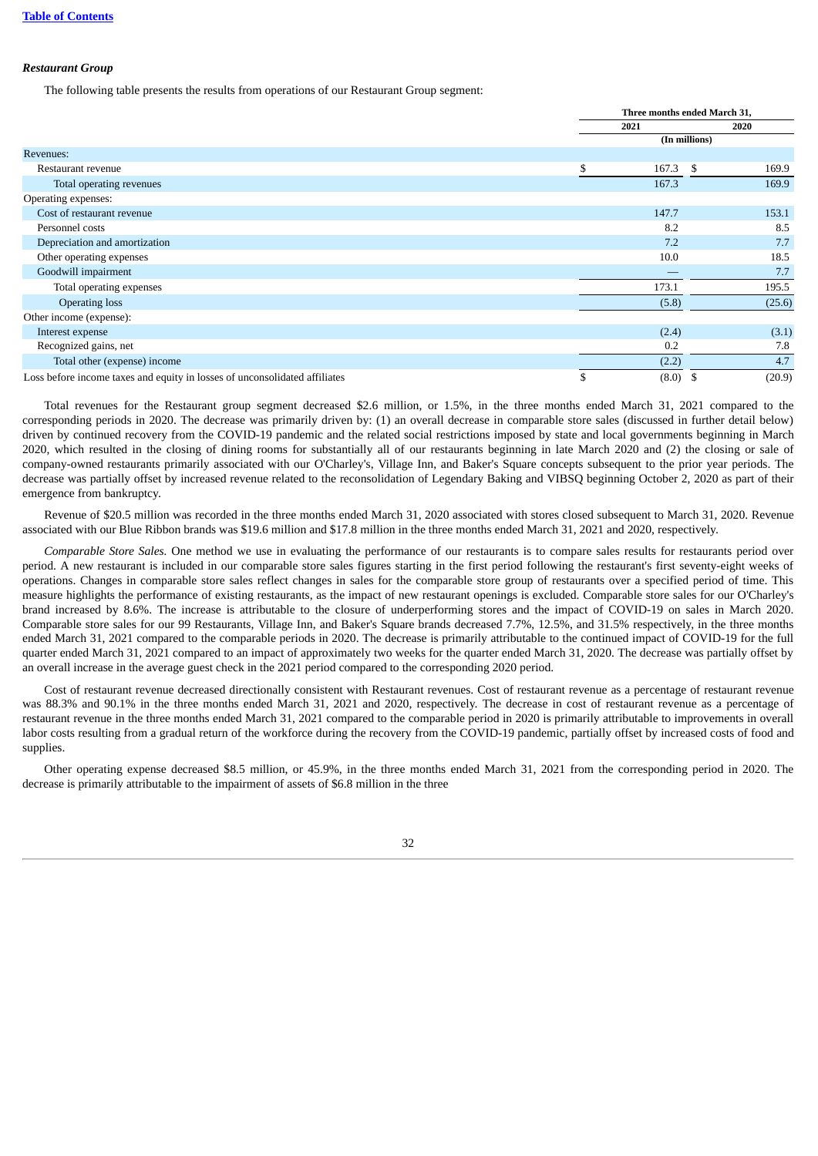### *Restaurant Group*

The following table presents the results from operations of our Restaurant Group segment:

|                                                                            |      | Three months ended March 31, |        |  |  |
|----------------------------------------------------------------------------|------|------------------------------|--------|--|--|
|                                                                            | 2021 |                              | 2020   |  |  |
|                                                                            |      | (In millions)                |        |  |  |
| Revenues:                                                                  |      |                              |        |  |  |
| Restaurant revenue                                                         | \$.  | 167.3<br>\$                  | 169.9  |  |  |
| Total operating revenues                                                   |      | 167.3                        | 169.9  |  |  |
| Operating expenses:                                                        |      |                              |        |  |  |
| Cost of restaurant revenue                                                 |      | 147.7                        | 153.1  |  |  |
| Personnel costs                                                            |      | 8.2                          | 8.5    |  |  |
| Depreciation and amortization                                              |      | 7.2                          | 7.7    |  |  |
| Other operating expenses                                                   |      | 10.0                         | 18.5   |  |  |
| Goodwill impairment                                                        |      |                              | 7.7    |  |  |
| Total operating expenses                                                   |      | 173.1                        | 195.5  |  |  |
| <b>Operating loss</b>                                                      |      | (5.8)                        | (25.6) |  |  |
| Other income (expense):                                                    |      |                              |        |  |  |
| Interest expense                                                           |      | (2.4)                        | (3.1)  |  |  |
| Recognized gains, net                                                      |      | 0.2                          | 7.8    |  |  |
| Total other (expense) income                                               |      | (2.2)                        | 4.7    |  |  |
| Loss before income taxes and equity in losses of unconsolidated affiliates | ъ    | (8.0)<br>-\$                 | (20.9) |  |  |

Total revenues for the Restaurant group segment decreased \$2.6 million, or 1.5%, in the three months ended March 31, 2021 compared to the corresponding periods in 2020. The decrease was primarily driven by: (1) an overall decrease in comparable store sales (discussed in further detail below) driven by continued recovery from the COVID-19 pandemic and the related social restrictions imposed by state and local governments beginning in March 2020, which resulted in the closing of dining rooms for substantially all of our restaurants beginning in late March 2020 and (2) the closing or sale of company-owned restaurants primarily associated with our O'Charley's, Village Inn, and Baker's Square concepts subsequent to the prior year periods. The decrease was partially offset by increased revenue related to the reconsolidation of Legendary Baking and VIBSQ beginning October 2, 2020 as part of their emergence from bankruptcy.

Revenue of \$20.5 million was recorded in the three months ended March 31, 2020 associated with stores closed subsequent to March 31, 2020. Revenue associated with our Blue Ribbon brands was \$19.6 million and \$17.8 million in the three months ended March 31, 2021 and 2020, respectively.

*Comparable Store Sales.* One method we use in evaluating the performance of our restaurants is to compare sales results for restaurants period over period. A new restaurant is included in our comparable store sales figures starting in the first period following the restaurant's first seventy-eight weeks of operations. Changes in comparable store sales reflect changes in sales for the comparable store group of restaurants over a specified period of time. This measure highlights the performance of existing restaurants, as the impact of new restaurant openings is excluded. Comparable store sales for our O'Charley's brand increased by 8.6%. The increase is attributable to the closure of underperforming stores and the impact of COVID-19 on sales in March 2020. Comparable store sales for our 99 Restaurants, Village Inn, and Baker's Square brands decreased 7.7%, 12.5%, and 31.5% respectively, in the three months ended March 31, 2021 compared to the comparable periods in 2020. The decrease is primarily attributable to the continued impact of COVID-19 for the full quarter ended March 31, 2021 compared to an impact of approximately two weeks for the quarter ended March 31, 2020. The decrease was partially offset by an overall increase in the average guest check in the 2021 period compared to the corresponding 2020 period.

Cost of restaurant revenue decreased directionally consistent with Restaurant revenues. Cost of restaurant revenue as a percentage of restaurant revenue was 88.3% and 90.1% in the three months ended March 31, 2021 and 2020, respectively. The decrease in cost of restaurant revenue as a percentage of restaurant revenue in the three months ended March 31, 2021 compared to the comparable period in 2020 is primarily attributable to improvements in overall labor costs resulting from a gradual return of the workforce during the recovery from the COVID-19 pandemic, partially offset by increased costs of food and supplies.

Other operating expense decreased \$8.5 million, or 45.9%, in the three months ended March 31, 2021 from the corresponding period in 2020. The decrease is primarily attributable to the impairment of assets of \$6.8 million in the three

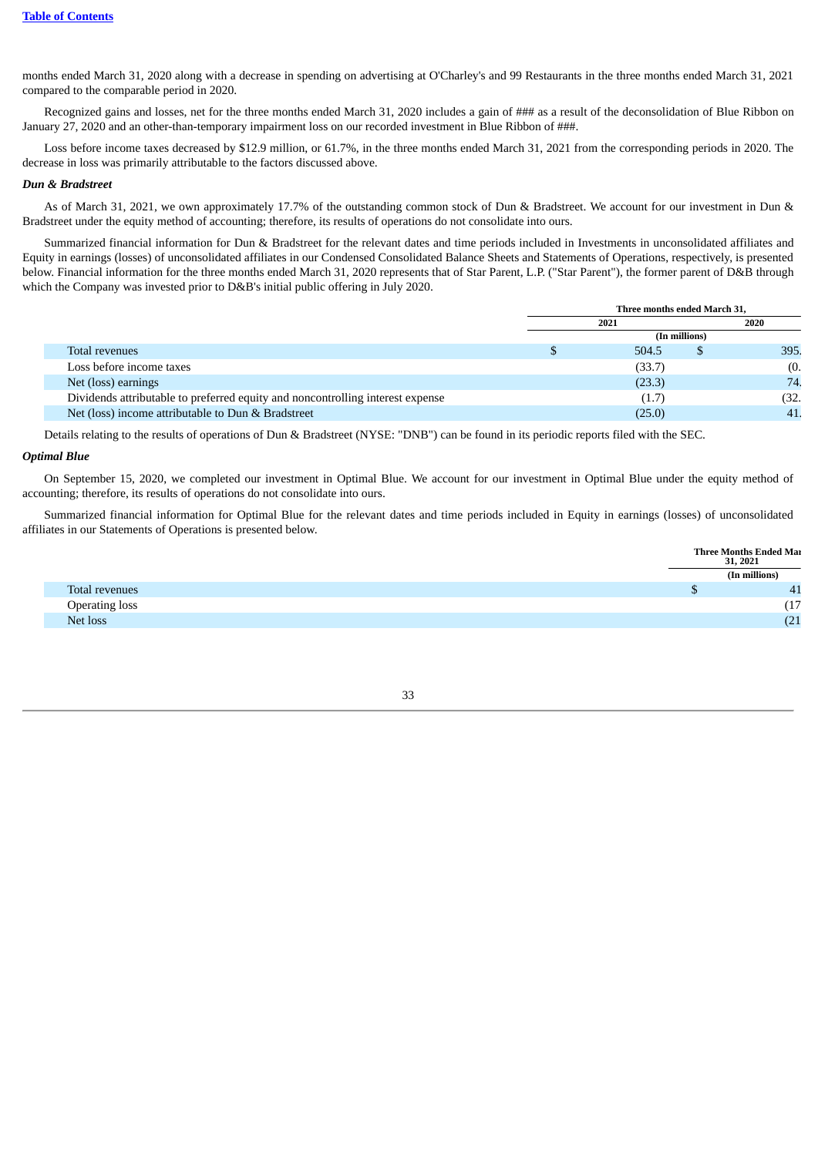months ended March 31, 2020 along with a decrease in spending on advertising at O'Charley's and 99 Restaurants in the three months ended March 31, 2021 compared to the comparable period in 2020.

Recognized gains and losses, net for the three months ended March 31, 2020 includes a gain of ### as a result of the deconsolidation of Blue Ribbon on January 27, 2020 and an other-than-temporary impairment loss on our recorded investment in Blue Ribbon of ###.

Loss before income taxes decreased by \$12.9 million, or 61.7%, in the three months ended March 31, 2021 from the corresponding periods in 2020. The decrease in loss was primarily attributable to the factors discussed above.

#### *Dun & Bradstreet*

As of March 31, 2021, we own approximately 17.7% of the outstanding common stock of Dun & Bradstreet. We account for our investment in Dun & Bradstreet under the equity method of accounting; therefore, its results of operations do not consolidate into ours.

Summarized financial information for Dun & Bradstreet for the relevant dates and time periods included in Investments in unconsolidated affiliates and Equity in earnings (losses) of unconsolidated affiliates in our Condensed Consolidated Balance Sheets and Statements of Operations, respectively, is presented below. Financial information for the three months ended March 31, 2020 represents that of Star Parent, L.P. ("Star Parent"), the former parent of D&B through which the Company was invested prior to D&B's initial public offering in July 2020.

|                                                                                | Three months ended March 31. |        |               |      |  |
|--------------------------------------------------------------------------------|------------------------------|--------|---------------|------|--|
|                                                                                | 2021                         |        |               | 2020 |  |
|                                                                                |                              |        | (In millions) |      |  |
| Total revenues                                                                 |                              | 504.5  |               | 395. |  |
| Loss before income taxes                                                       |                              | (33.7) |               | (0,  |  |
| Net (loss) earnings                                                            |                              | (23.3) |               | 74.  |  |
| Dividends attributable to preferred equity and noncontrolling interest expense |                              | (1.7)  |               | (32. |  |
| Net (loss) income attributable to Dun & Bradstreet                             |                              | (25.0) |               | 41   |  |

Details relating to the results of operations of Dun & Bradstreet (NYSE: "DNB") can be found in its periodic reports filed with the SEC.

### *Optimal Blue*

On September 15, 2020, we completed our investment in Optimal Blue. We account for our investment in Optimal Blue under the equity method of accounting; therefore, its results of operations do not consolidate into ours.

Summarized financial information for Optimal Blue for the relevant dates and time periods included in Equity in earnings (losses) of unconsolidated affiliates in our Statements of Operations is presented below.

|                | <b>Three Months Ended Mar</b><br>31, 2021 |
|----------------|-------------------------------------------|
|                | (In millions)                             |
| Total revenues | 41                                        |
| Operating loss | (17)                                      |
| Net loss       | (21)                                      |

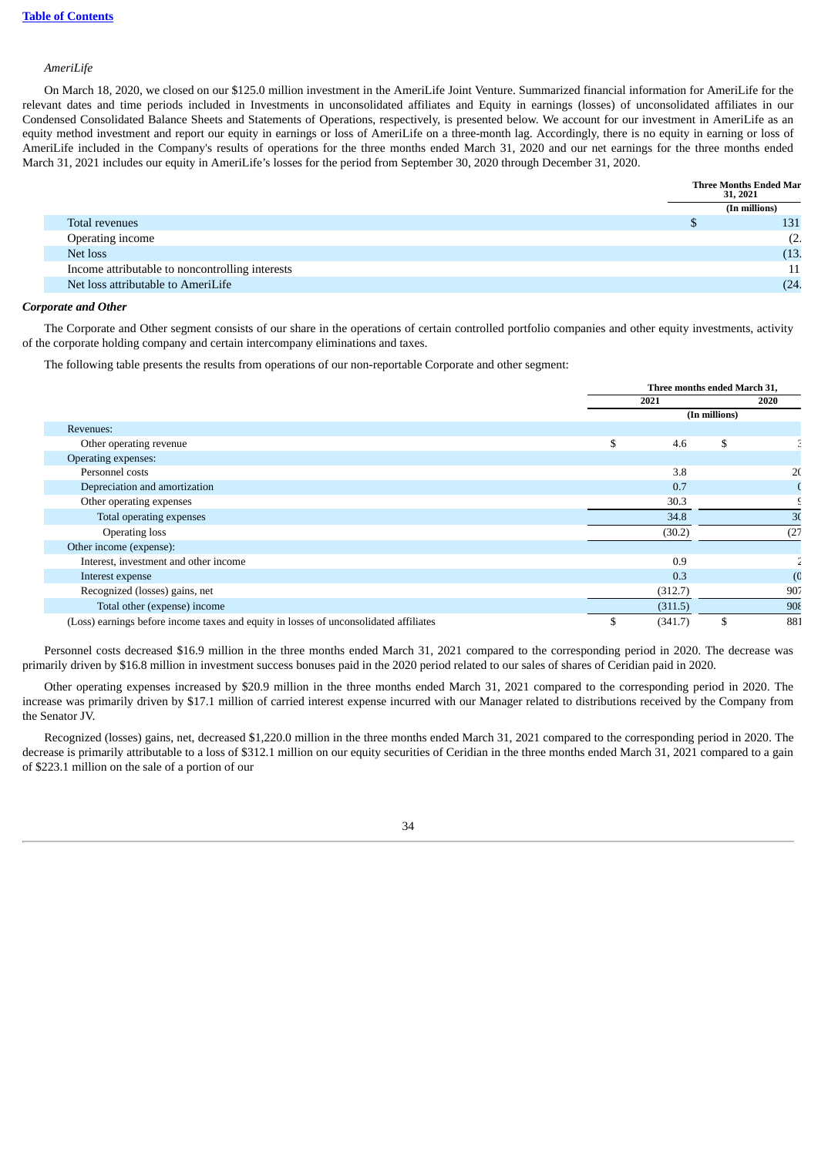### *AmeriLife*

On March 18, 2020, we closed on our \$125.0 million investment in the AmeriLife Joint Venture. Summarized financial information for AmeriLife for the relevant dates and time periods included in Investments in unconsolidated affiliates and Equity in earnings (losses) of unconsolidated affiliates in our Condensed Consolidated Balance Sheets and Statements of Operations, respectively, is presented below. We account for our investment in AmeriLife as an equity method investment and report our equity in earnings or loss of AmeriLife on a three-month lag. Accordingly, there is no equity in earning or loss of AmeriLife included in the Company's results of operations for the three months ended March 31, 2020 and our net earnings for the three months ended March 31, 2021 includes our equity in AmeriLife's losses for the period from September 30, 2020 through December 31, 2020.

|                                                 | <b>Three Months Ended Mar</b><br>31, 2021 |
|-------------------------------------------------|-------------------------------------------|
|                                                 | (In millions)                             |
| Total revenues                                  | 131                                       |
| Operating income                                | (2.                                       |
| Net loss                                        | (13.                                      |
| Income attributable to noncontrolling interests | 11                                        |
| Net loss attributable to AmeriLife              | (24)                                      |
|                                                 |                                           |

#### *Corporate and Other*

The Corporate and Other segment consists of our share in the operations of certain controlled portfolio companies and other equity investments, activity of the corporate holding company and certain intercompany eliminations and taxes.

The following table presents the results from operations of our non-reportable Corporate and other segment:

|                                                                                       | Three months ended March 31,<br>2021<br>2020 |         |               |                |
|---------------------------------------------------------------------------------------|----------------------------------------------|---------|---------------|----------------|
|                                                                                       |                                              |         |               |                |
|                                                                                       |                                              |         | (In millions) |                |
| Revenues:                                                                             |                                              |         |               |                |
| Other operating revenue                                                               | \$                                           | 4.6     | \$            |                |
| Operating expenses:                                                                   |                                              |         |               |                |
| Personnel costs                                                                       |                                              | 3.8     |               | 20             |
| Depreciation and amortization                                                         |                                              | 0.7     |               |                |
| Other operating expenses                                                              |                                              | 30.3    |               |                |
| Total operating expenses                                                              |                                              | 34.8    |               | 3 <sup>c</sup> |
| Operating loss                                                                        |                                              | (30.2)  |               | (27)           |
| Other income (expense):                                                               |                                              |         |               |                |
| Interest, investment and other income                                                 |                                              | 0.9     |               |                |
| Interest expense                                                                      |                                              | 0.3     |               | (0)            |
| Recognized (losses) gains, net                                                        |                                              | (312.7) |               | 907            |
| Total other (expense) income                                                          |                                              | (311.5) |               | 908            |
| (Loss) earnings before income taxes and equity in losses of unconsolidated affiliates |                                              | (341.7) |               | 881            |

Personnel costs decreased \$16.9 million in the three months ended March 31, 2021 compared to the corresponding period in 2020. The decrease was primarily driven by \$16.8 million in investment success bonuses paid in the 2020 period related to our sales of shares of Ceridian paid in 2020.

Other operating expenses increased by \$20.9 million in the three months ended March 31, 2021 compared to the corresponding period in 2020. The increase was primarily driven by \$17.1 million of carried interest expense incurred with our Manager related to distributions received by the Company from the Senator JV.

Recognized (losses) gains, net, decreased \$1,220.0 million in the three months ended March 31, 2021 compared to the corresponding period in 2020. The decrease is primarily attributable to a loss of \$312.1 million on our equity securities of Ceridian in the three months ended March 31, 2021 compared to a gain of \$223.1 million on the sale of a portion of our

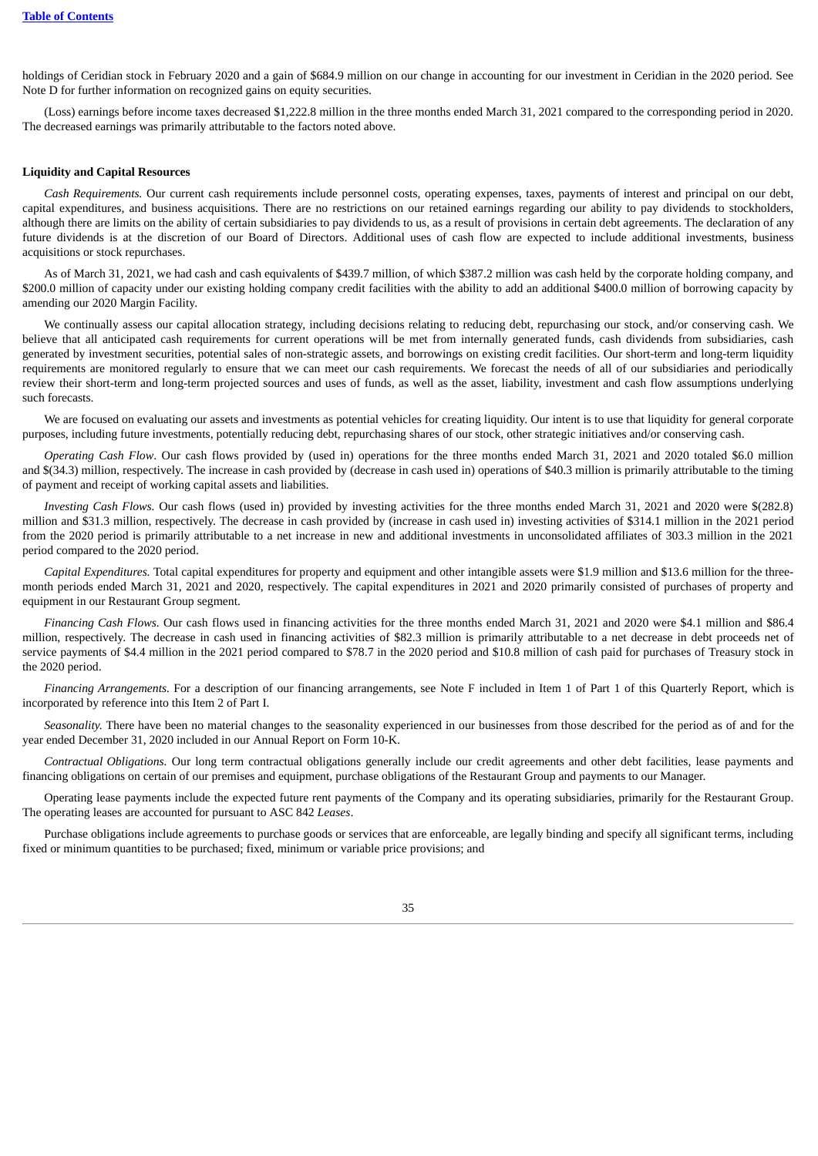holdings of Ceridian stock in February 2020 and a gain of \$684.9 million on our change in accounting for our investment in Ceridian in the 2020 period. See Note D for further information on recognized gains on equity securities.

(Loss) earnings before income taxes decreased \$1,222.8 million in the three months ended March 31, 2021 compared to the corresponding period in 2020. The decreased earnings was primarily attributable to the factors noted above.

#### **Liquidity and Capital Resources**

*Cash Requirements.* Our current cash requirements include personnel costs, operating expenses, taxes, payments of interest and principal on our debt, capital expenditures, and business acquisitions. There are no restrictions on our retained earnings regarding our ability to pay dividends to stockholders, although there are limits on the ability of certain subsidiaries to pay dividends to us, as a result of provisions in certain debt agreements. The declaration of any future dividends is at the discretion of our Board of Directors. Additional uses of cash flow are expected to include additional investments, business acquisitions or stock repurchases.

As of March 31, 2021, we had cash and cash equivalents of \$439.7 million, of which \$387.2 million was cash held by the corporate holding company, and \$200.0 million of capacity under our existing holding company credit facilities with the ability to add an additional \$400.0 million of borrowing capacity by amending our 2020 Margin Facility.

We continually assess our capital allocation strategy, including decisions relating to reducing debt, repurchasing our stock, and/or conserving cash. We believe that all anticipated cash requirements for current operations will be met from internally generated funds, cash dividends from subsidiaries, cash generated by investment securities, potential sales of non-strategic assets, and borrowings on existing credit facilities. Our short-term and long-term liquidity requirements are monitored regularly to ensure that we can meet our cash requirements. We forecast the needs of all of our subsidiaries and periodically review their short-term and long-term projected sources and uses of funds, as well as the asset, liability, investment and cash flow assumptions underlying such forecasts.

We are focused on evaluating our assets and investments as potential vehicles for creating liquidity. Our intent is to use that liquidity for general corporate purposes, including future investments, potentially reducing debt, repurchasing shares of our stock, other strategic initiatives and/or conserving cash.

*Operating Cash Flow*. Our cash flows provided by (used in) operations for the three months ended March 31, 2021 and 2020 totaled \$6.0 million and \$(34.3) million, respectively. The increase in cash provided by (decrease in cash used in) operations of \$40.3 million is primarily attributable to the timing of payment and receipt of working capital assets and liabilities.

*Investing Cash Flows.* Our cash flows (used in) provided by investing activities for the three months ended March 31, 2021 and 2020 were \$(282.8) million and \$31.3 million, respectively. The decrease in cash provided by (increase in cash used in) investing activities of \$314.1 million in the 2021 period from the 2020 period is primarily attributable to a net increase in new and additional investments in unconsolidated affiliates of 303.3 million in the 2021 period compared to the 2020 period.

*Capital Expenditures.* Total capital expenditures for property and equipment and other intangible assets were \$1.9 million and \$13.6 million for the threemonth periods ended March 31, 2021 and 2020, respectively. The capital expenditures in 2021 and 2020 primarily consisted of purchases of property and equipment in our Restaurant Group segment.

*Financing Cash Flows.* Our cash flows used in financing activities for the three months ended March 31, 2021 and 2020 were \$4.1 million and \$86.4 million, respectively. The decrease in cash used in financing activities of \$82.3 million is primarily attributable to a net decrease in debt proceeds net of service payments of \$4.4 million in the 2021 period compared to \$78.7 in the 2020 period and \$10.8 million of cash paid for purchases of Treasury stock in the 2020 period.

*Financing Arrangements.* For a description of our financing arrangements, see Note F included in Item 1 of Part 1 of this Quarterly Report, which is incorporated by reference into this Item 2 of Part I.

*Seasonality.* There have been no material changes to the seasonality experienced in our businesses from those described for the period as of and for the year ended December 31, 2020 included in our Annual Report on Form 10-K.

*Contractual Obligations.* Our long term contractual obligations generally include our credit agreements and other debt facilities, lease payments and financing obligations on certain of our premises and equipment, purchase obligations of the Restaurant Group and payments to our Manager.

Operating lease payments include the expected future rent payments of the Company and its operating subsidiaries, primarily for the Restaurant Group. The operating leases are accounted for pursuant to ASC 842 *Leases*.

Purchase obligations include agreements to purchase goods or services that are enforceable, are legally binding and specify all significant terms, including fixed or minimum quantities to be purchased; fixed, minimum or variable price provisions; and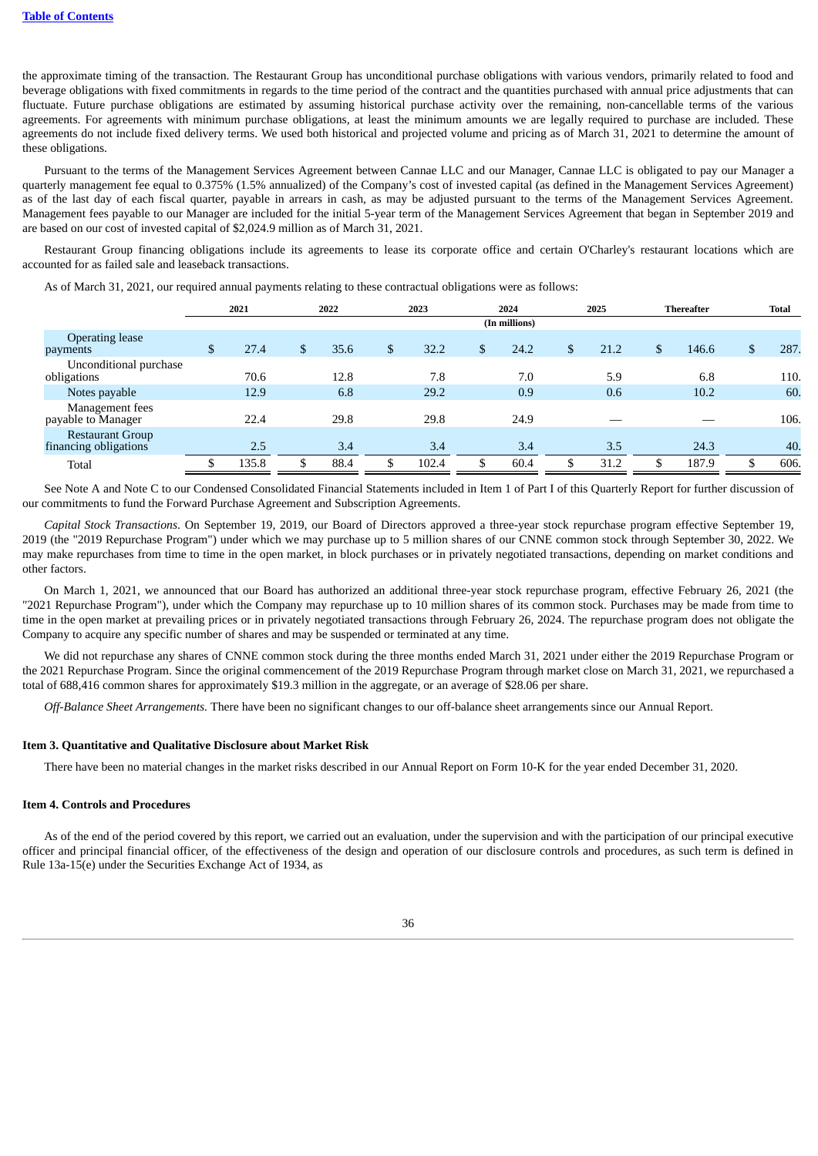the approximate timing of the transaction. The Restaurant Group has unconditional purchase obligations with various vendors, primarily related to food and beverage obligations with fixed commitments in regards to the time period of the contract and the quantities purchased with annual price adjustments that can fluctuate. Future purchase obligations are estimated by assuming historical purchase activity over the remaining, non-cancellable terms of the various agreements. For agreements with minimum purchase obligations, at least the minimum amounts we are legally required to purchase are included. These agreements do not include fixed delivery terms. We used both historical and projected volume and pricing as of March 31, 2021 to determine the amount of these obligations.

Pursuant to the terms of the Management Services Agreement between Cannae LLC and our Manager, Cannae LLC is obligated to pay our Manager a quarterly management fee equal to 0.375% (1.5% annualized) of the Company's cost of invested capital (as defined in the Management Services Agreement) as of the last day of each fiscal quarter, payable in arrears in cash, as may be adjusted pursuant to the terms of the Management Services Agreement. Management fees payable to our Manager are included for the initial 5-year term of the Management Services Agreement that began in September 2019 and are based on our cost of invested capital of \$2,024.9 million as of March 31, 2021.

Restaurant Group financing obligations include its agreements to lease its corporate office and certain O'Charley's restaurant locations which are accounted for as failed sale and leaseback transactions.

|  |  | As of March 31, 2021, our required annual payments relating to these contractual obligations were as follows: |
|--|--|---------------------------------------------------------------------------------------------------------------|
|  |  |                                                                                                               |

|                                                  |   | 2021  |    | 2022 | 2023        |    | 2024          |        | 2025 |    | Thereafter |              | <b>Total</b> |
|--------------------------------------------------|---|-------|----|------|-------------|----|---------------|--------|------|----|------------|--------------|--------------|
|                                                  |   |       |    |      |             |    | (In millions) |        |      |    |            |              |              |
| <b>Operating lease</b><br>payments               | S | 27.4  | \$ | 35.6 | \$<br>32.2  | \$ | 24.2          | \$     | 21.2 | \$ | 146.6      | $\mathbb{S}$ | 287.         |
| Unconditional purchase<br>obligations            |   | 70.6  |    | 12.8 | 7.8         |    | 7.0           |        | 5.9  |    | 6.8        |              | 110.         |
| Notes payable                                    |   | 12.9  |    | 6.8  | 29.2        |    | 0.9           |        | 0.6  |    | 10.2       |              | 60.          |
| Management fees<br>payable to Manager            |   | 22.4  |    | 29.8 | 29.8        |    | 24.9          |        |      |    |            |              | 106.         |
| <b>Restaurant Group</b><br>financing obligations |   | 2.5   |    | 3.4  | 3.4         |    | 3.4           |        | 3.5  |    | 24.3       |              | 40.          |
| Total                                            | σ | 135.8 | σ  | 88.4 | \$<br>102.4 | Φ  | 60.4          | ¢<br>D | 31.2 | c  | 187.9      | \$           | 606.         |

See Note A and Note C to our Condensed Consolidated Financial Statements included in Item 1 of Part I of this Quarterly Report for further discussion of our commitments to fund the Forward Purchase Agreement and Subscription Agreements.

*Capital Stock Transactions*. On September 19, 2019, our Board of Directors approved a three-year stock repurchase program effective September 19, 2019 (the "2019 Repurchase Program") under which we may purchase up to 5 million shares of our CNNE common stock through September 30, 2022. We may make repurchases from time to time in the open market, in block purchases or in privately negotiated transactions, depending on market conditions and other factors.

On March 1, 2021, we announced that our Board has authorized an additional three-year stock repurchase program, effective February 26, 2021 (the "2021 Repurchase Program"), under which the Company may repurchase up to 10 million shares of its common stock. Purchases may be made from time to time in the open market at prevailing prices or in privately negotiated transactions through February 26, 2024. The repurchase program does not obligate the Company to acquire any specific number of shares and may be suspended or terminated at any time.

We did not repurchase any shares of CNNE common stock during the three months ended March 31, 2021 under either the 2019 Repurchase Program or the 2021 Repurchase Program. Since the original commencement of the 2019 Repurchase Program through market close on March 31, 2021, we repurchased a total of 688,416 common shares for approximately \$19.3 million in the aggregate, or an average of \$28.06 per share.

*Off-Balance Sheet Arrangements.* There have been no significant changes to our off-balance sheet arrangements since our Annual Report.

#### <span id="page-38-0"></span>**Item 3. Quantitative and Qualitative Disclosure about Market Risk**

There have been no material changes in the market risks described in our Annual Report on Form 10-K for the year ended December 31, 2020.

### <span id="page-38-1"></span>**Item 4. Controls and Procedures**

As of the end of the period covered by this report, we carried out an evaluation, under the supervision and with the participation of our principal executive officer and principal financial officer, of the effectiveness of the design and operation of our disclosure controls and procedures, as such term is defined in Rule 13a-15(e) under the Securities Exchange Act of 1934, as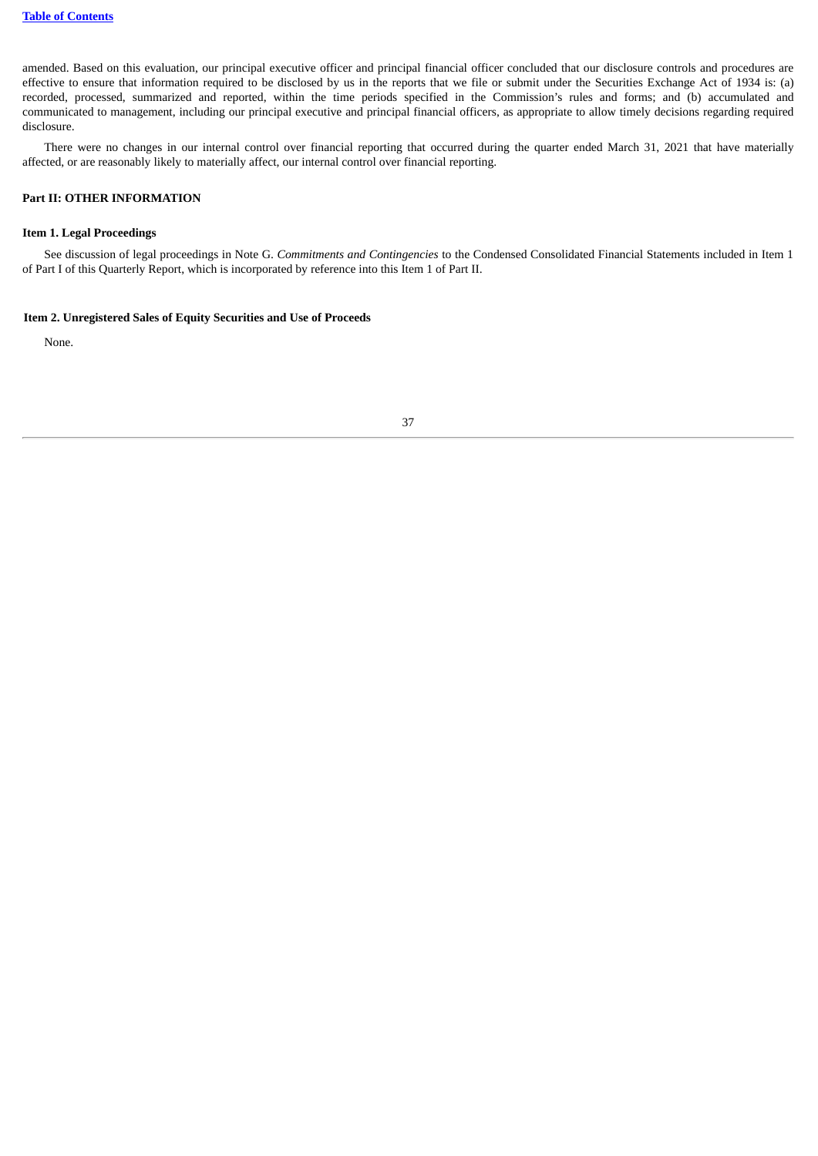amended. Based on this evaluation, our principal executive officer and principal financial officer concluded that our disclosure controls and procedures are effective to ensure that information required to be disclosed by us in the reports that we file or submit under the Securities Exchange Act of 1934 is: (a) recorded, processed, summarized and reported, within the time periods specified in the Commission's rules and forms; and (b) accumulated and communicated to management, including our principal executive and principal financial officers, as appropriate to allow timely decisions regarding required disclosure.

There were no changes in our internal control over financial reporting that occurred during the quarter ended March 31, 2021 that have materially affected, or are reasonably likely to materially affect, our internal control over financial reporting.

### <span id="page-39-0"></span>**Part II: OTHER INFORMATION**

# <span id="page-39-1"></span>**Item 1. Legal Proceedings**

See discussion of legal proceedings in Note G. *Commitments and Contingencies* to the Condensed Consolidated Financial Statements included in Item 1 of Part I of this Quarterly Report, which is incorporated by reference into this Item 1 of Part II.

### <span id="page-39-2"></span>**Item 2. Unregistered Sales of Equity Securities and Use of Proceeds**

<span id="page-39-3"></span>None.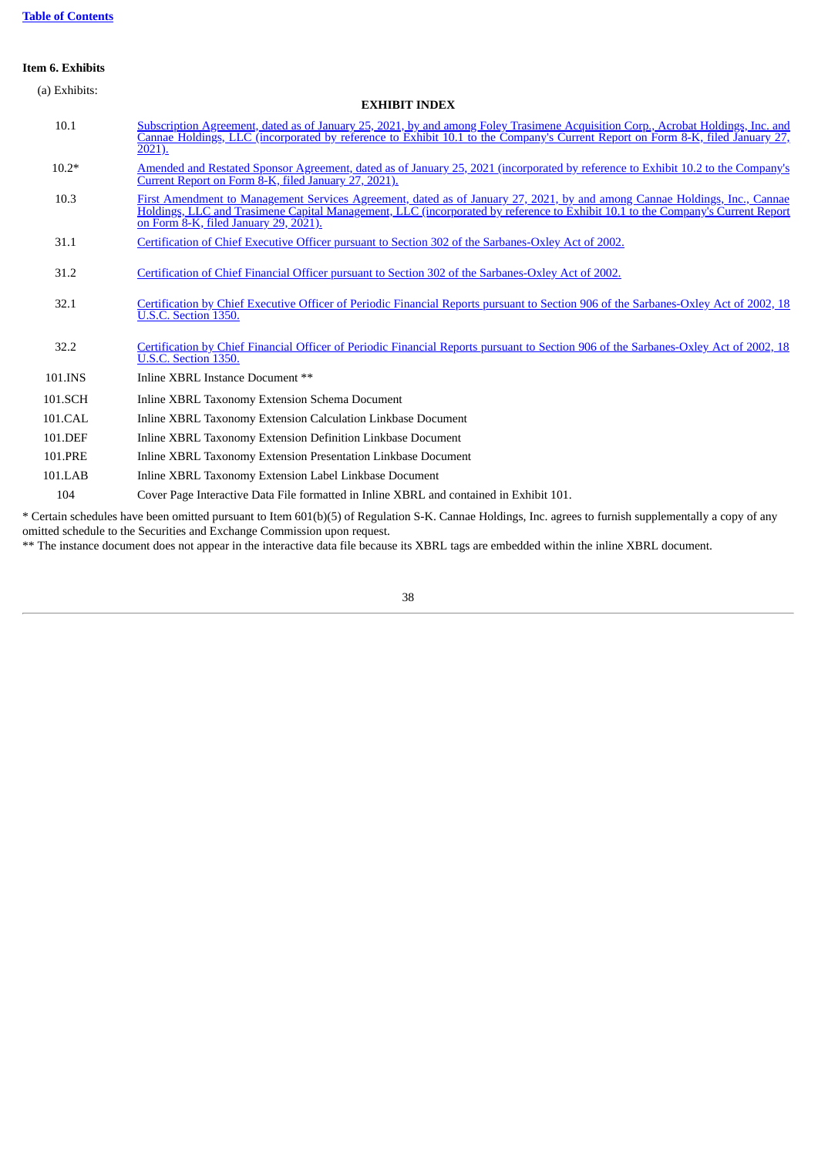# **Item 6. Exhibits**

| (a) Exhibits:        |                                                                                                                                                                                                                                                                                                       |  |  |  |  |  |
|----------------------|-------------------------------------------------------------------------------------------------------------------------------------------------------------------------------------------------------------------------------------------------------------------------------------------------------|--|--|--|--|--|
| <b>EXHIBIT INDEX</b> |                                                                                                                                                                                                                                                                                                       |  |  |  |  |  |
| 10.1                 | Subscription Agreement, dated as of January 25, 2021, by and among Foley Trasimene Acquisition Corp., Acrobat Holdings, Inc. and<br>Cannae Holdings, LLC (incorporated by reference to Exhibit 10.1 to the Company's Current Report on Form 8-K, filed January 27,<br>2021).                          |  |  |  |  |  |
| $10.2*$              | Amended and Restated Sponsor Agreement, dated as of January 25, 2021 (incorporated by reference to Exhibit 10.2 to the Company's<br><u>Current Report on Form 8-K, filed January 27, 2021).</u>                                                                                                       |  |  |  |  |  |
| 10.3                 | First Amendment to Management Services Agreement, dated as of January 27, 2021, by and among Cannae Holdings, Inc., Cannae<br>Holdings, LLC and Trasimene Capital Management, LLC (incorporated by reference to Exhibit 10.1 to the Company's Current Report<br>on Form 8-K, filed January 29, 2021). |  |  |  |  |  |
| 31.1                 | Certification of Chief Executive Officer pursuant to Section 302 of the Sarbanes-Oxley Act of 2002.                                                                                                                                                                                                   |  |  |  |  |  |
| 31.2                 | Certification of Chief Financial Officer pursuant to Section 302 of the Sarbanes-Oxley Act of 2002.                                                                                                                                                                                                   |  |  |  |  |  |
| 32.1                 | Certification by Chief Executive Officer of Periodic Financial Reports pursuant to Section 906 of the Sarbanes-Oxley Act of 2002, 18<br><b>U.S.C. Section 1350.</b>                                                                                                                                   |  |  |  |  |  |
| 32.2                 | Certification by Chief Financial Officer of Periodic Financial Reports pursuant to Section 906 of the Sarbanes-Oxley Act of 2002, 18<br>U.S.C. Section 1350.                                                                                                                                          |  |  |  |  |  |
| 101.INS              | Inline XBRL Instance Document **                                                                                                                                                                                                                                                                      |  |  |  |  |  |
| 101.SCH              | Inline XBRL Taxonomy Extension Schema Document                                                                                                                                                                                                                                                        |  |  |  |  |  |
| 101.CAL              | Inline XBRL Taxonomy Extension Calculation Linkbase Document                                                                                                                                                                                                                                          |  |  |  |  |  |
| 101.DEF              | Inline XBRL Taxonomy Extension Definition Linkbase Document                                                                                                                                                                                                                                           |  |  |  |  |  |
| 101.PRE              | Inline XBRL Taxonomy Extension Presentation Linkbase Document                                                                                                                                                                                                                                         |  |  |  |  |  |
| 101.LAB              | Inline XBRL Taxonomy Extension Label Linkbase Document                                                                                                                                                                                                                                                |  |  |  |  |  |
| 104                  | Cover Page Interactive Data File formatted in Inline XBRL and contained in Exhibit 101.                                                                                                                                                                                                               |  |  |  |  |  |

\* Certain schedules have been omitted pursuant to Item 601(b)(5) of Regulation S-K. Cannae Holdings, Inc. agrees to furnish supplementally a copy of any omitted schedule to the Securities and Exchange Commission upon request.

\*\* The instance document does not appear in the interactive data file because its XBRL tags are embedded within the inline XBRL document.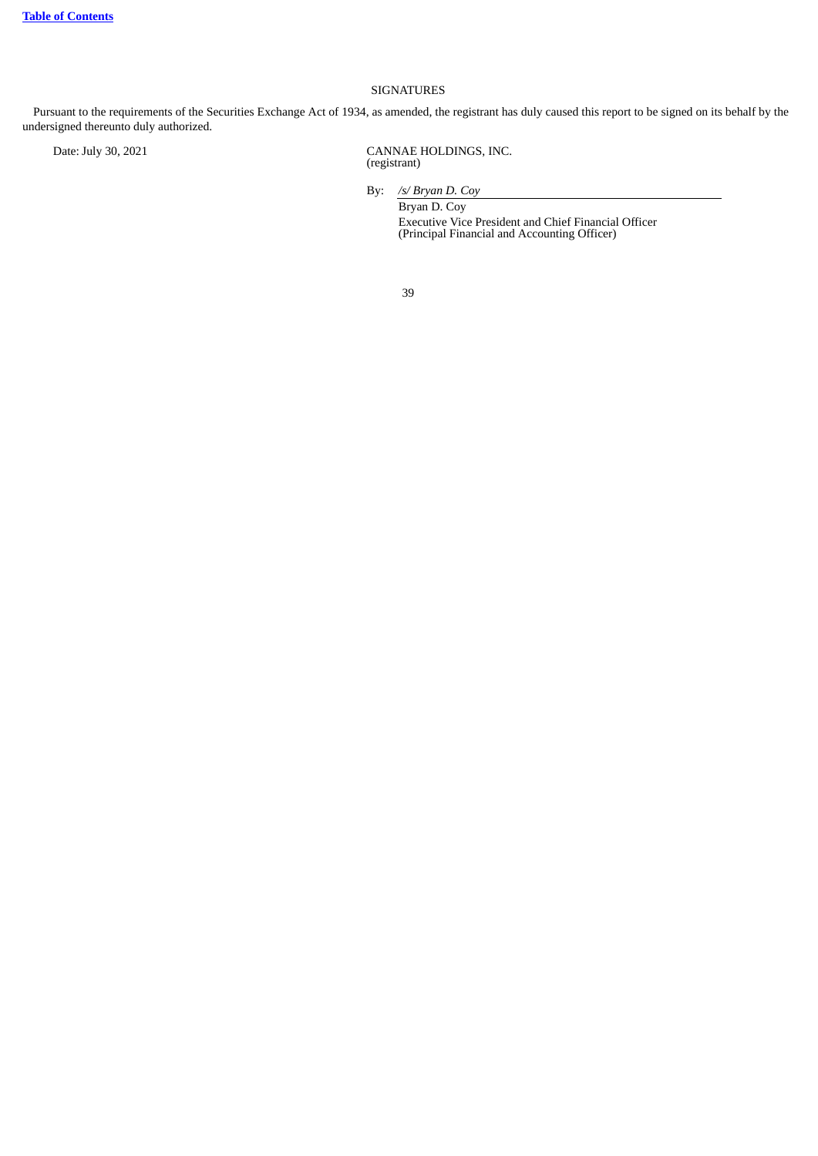# SIGNATURES

Pursuant to the requirements of the Securities Exchange Act of 1934, as amended, the registrant has duly caused this report to be signed on its behalf by the undersigned thereunto duly authorized.

Date: July 30, 2021 CANNAE HOLDINGS, INC. (registrant)

By: */s/ Bryan D. Coy*

Bryan D. Coy Executive Vice President and Chief Financial Officer (Principal Financial and Accounting Officer)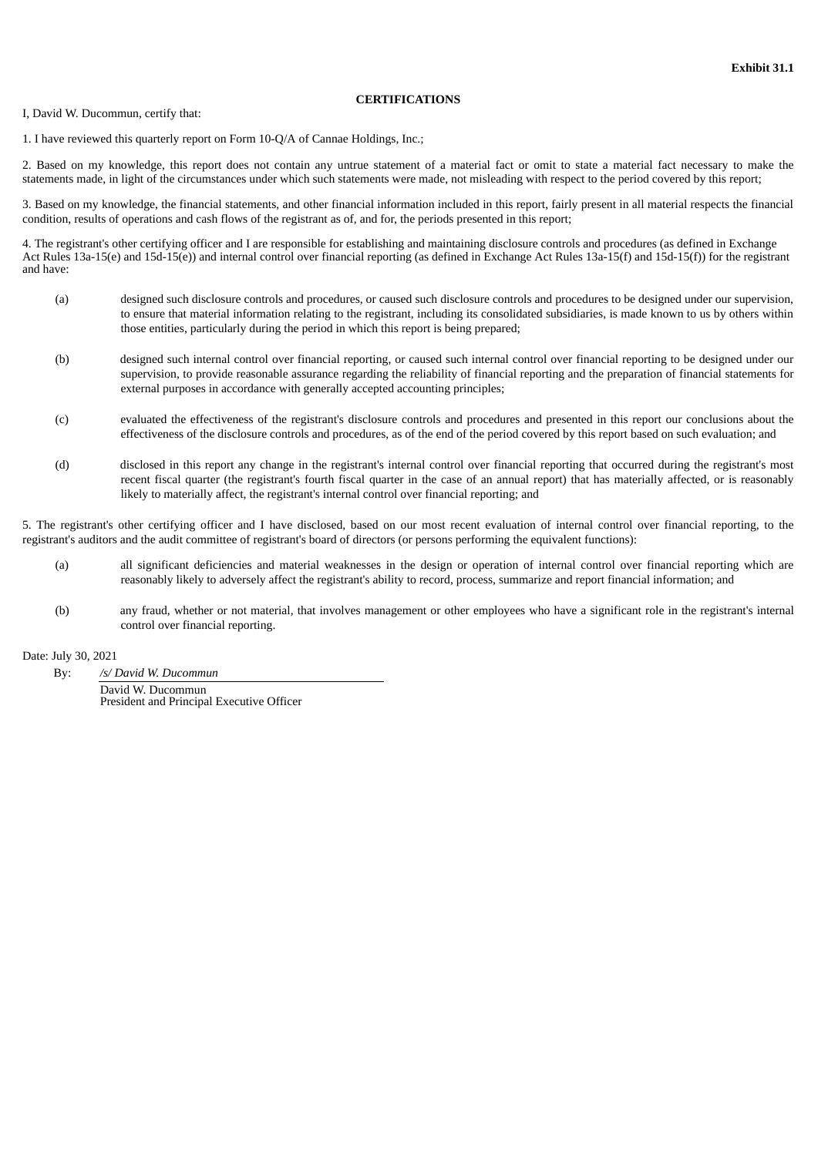# **CERTIFICATIONS**

<span id="page-42-0"></span>I, David W. Ducommun, certify that:

1. I have reviewed this quarterly report on Form 10-Q/A of Cannae Holdings, Inc.;

2. Based on my knowledge, this report does not contain any untrue statement of a material fact or omit to state a material fact necessary to make the statements made, in light of the circumstances under which such statements were made, not misleading with respect to the period covered by this report;

3. Based on my knowledge, the financial statements, and other financial information included in this report, fairly present in all material respects the financial condition, results of operations and cash flows of the registrant as of, and for, the periods presented in this report;

4. The registrant's other certifying officer and I are responsible for establishing and maintaining disclosure controls and procedures (as defined in Exchange Act Rules 13a-15(e) and 15d-15(e)) and internal control over financial reporting (as defined in Exchange Act Rules 13a-15(f) and 15d-15(f)) for the registrant and have:

- (a) designed such disclosure controls and procedures, or caused such disclosure controls and procedures to be designed under our supervision, to ensure that material information relating to the registrant, including its consolidated subsidiaries, is made known to us by others within those entities, particularly during the period in which this report is being prepared;
- (b) designed such internal control over financial reporting, or caused such internal control over financial reporting to be designed under our supervision, to provide reasonable assurance regarding the reliability of financial reporting and the preparation of financial statements for external purposes in accordance with generally accepted accounting principles;
- (c) evaluated the effectiveness of the registrant's disclosure controls and procedures and presented in this report our conclusions about the effectiveness of the disclosure controls and procedures, as of the end of the period covered by this report based on such evaluation; and
- (d) disclosed in this report any change in the registrant's internal control over financial reporting that occurred during the registrant's most recent fiscal quarter (the registrant's fourth fiscal quarter in the case of an annual report) that has materially affected, or is reasonably likely to materially affect, the registrant's internal control over financial reporting; and

5. The registrant's other certifying officer and I have disclosed, based on our most recent evaluation of internal control over financial reporting, to the registrant's auditors and the audit committee of registrant's board of directors (or persons performing the equivalent functions):

- (a) all significant deficiencies and material weaknesses in the design or operation of internal control over financial reporting which are reasonably likely to adversely affect the registrant's ability to record, process, summarize and report financial information; and
- (b) any fraud, whether or not material, that involves management or other employees who have a significant role in the registrant's internal control over financial reporting.

Date: July 30, 2021

By: */s/ David W. Ducommun* David W. Ducommun President and Principal Executive Officer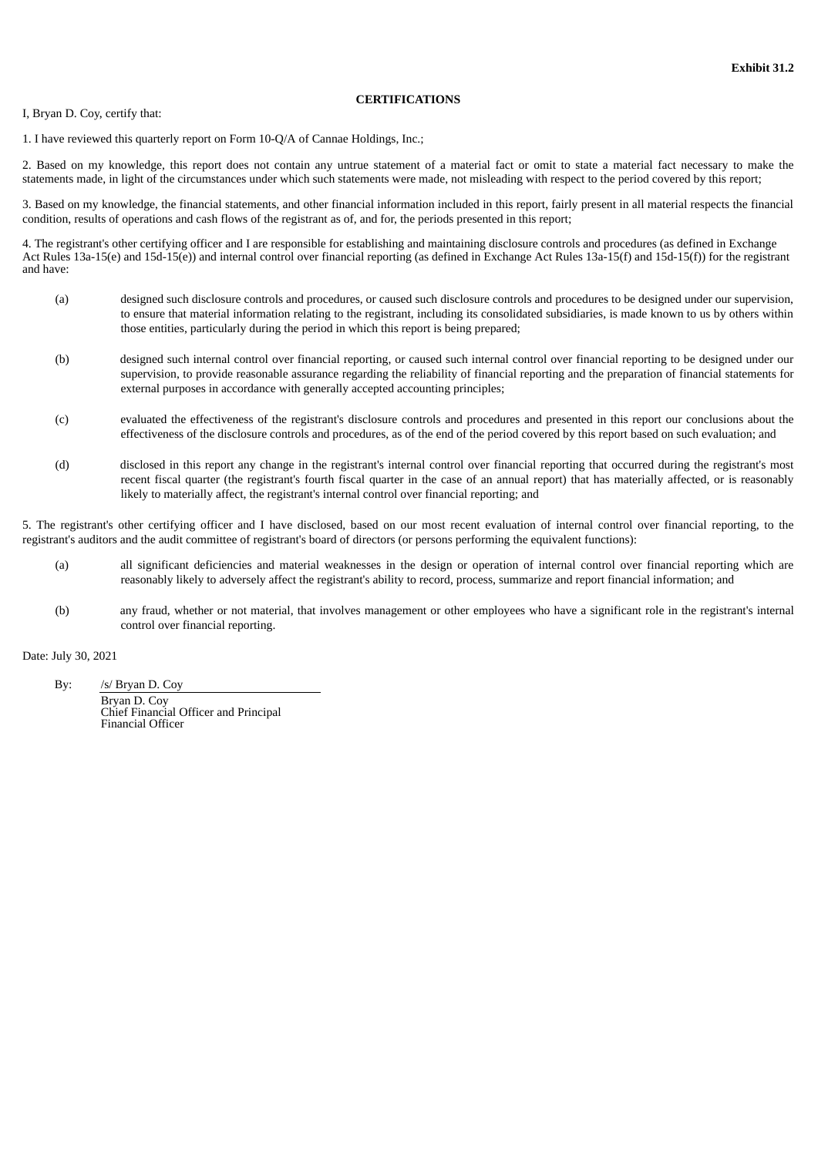# **CERTIFICATIONS**

<span id="page-43-0"></span>I, Bryan D. Coy, certify that:

1. I have reviewed this quarterly report on Form 10-Q/A of Cannae Holdings, Inc.;

2. Based on my knowledge, this report does not contain any untrue statement of a material fact or omit to state a material fact necessary to make the statements made, in light of the circumstances under which such statements were made, not misleading with respect to the period covered by this report;

3. Based on my knowledge, the financial statements, and other financial information included in this report, fairly present in all material respects the financial condition, results of operations and cash flows of the registrant as of, and for, the periods presented in this report;

4. The registrant's other certifying officer and I are responsible for establishing and maintaining disclosure controls and procedures (as defined in Exchange Act Rules 13a-15(e) and 15d-15(e)) and internal control over financial reporting (as defined in Exchange Act Rules 13a-15(f) and 15d-15(f)) for the registrant and have:

- (a) designed such disclosure controls and procedures, or caused such disclosure controls and procedures to be designed under our supervision, to ensure that material information relating to the registrant, including its consolidated subsidiaries, is made known to us by others within those entities, particularly during the period in which this report is being prepared;
- (b) designed such internal control over financial reporting, or caused such internal control over financial reporting to be designed under our supervision, to provide reasonable assurance regarding the reliability of financial reporting and the preparation of financial statements for external purposes in accordance with generally accepted accounting principles;
- (c) evaluated the effectiveness of the registrant's disclosure controls and procedures and presented in this report our conclusions about the effectiveness of the disclosure controls and procedures, as of the end of the period covered by this report based on such evaluation; and
- (d) disclosed in this report any change in the registrant's internal control over financial reporting that occurred during the registrant's most recent fiscal quarter (the registrant's fourth fiscal quarter in the case of an annual report) that has materially affected, or is reasonably likely to materially affect, the registrant's internal control over financial reporting; and

5. The registrant's other certifying officer and I have disclosed, based on our most recent evaluation of internal control over financial reporting, to the registrant's auditors and the audit committee of registrant's board of directors (or persons performing the equivalent functions):

- (a) all significant deficiencies and material weaknesses in the design or operation of internal control over financial reporting which are reasonably likely to adversely affect the registrant's ability to record, process, summarize and report financial information; and
- (b) any fraud, whether or not material, that involves management or other employees who have a significant role in the registrant's internal control over financial reporting.

Date: July 30, 2021

By: /s/ Bryan D. Coy Bryan D. Coy Chief Financial Officer and Principal Financial Officer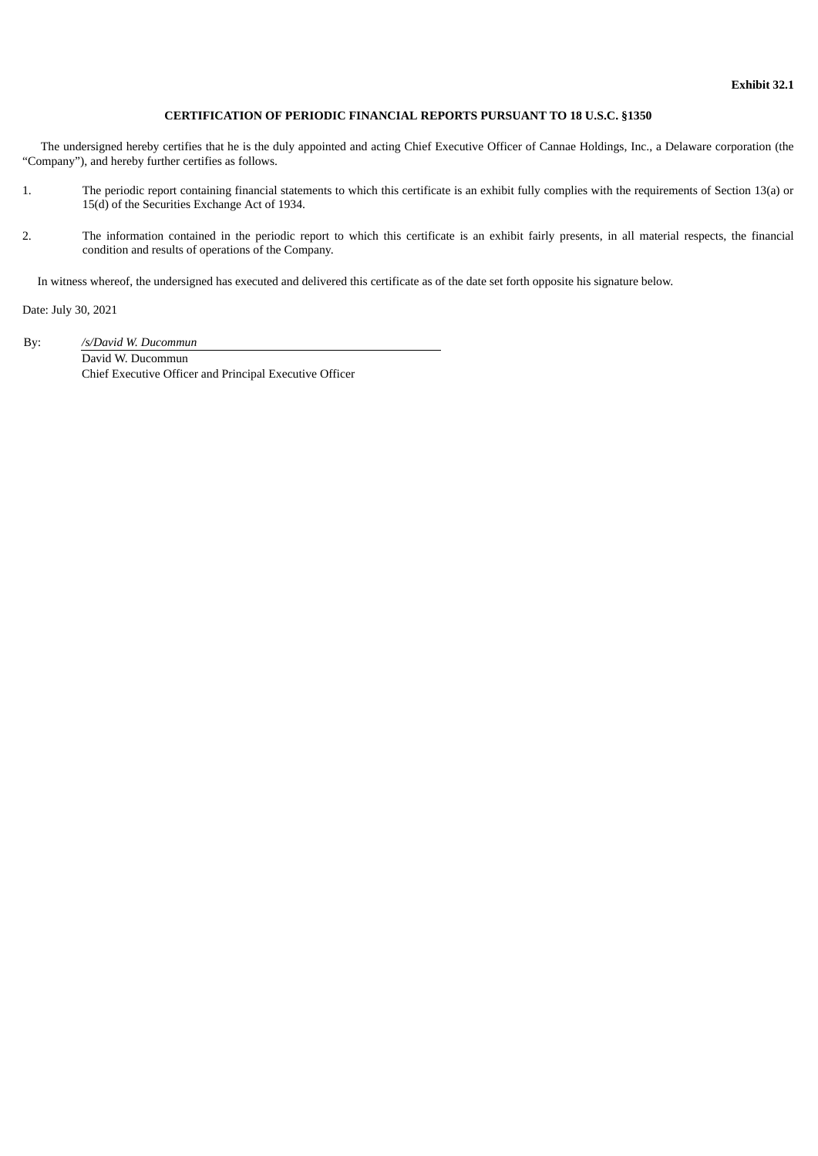# **CERTIFICATION OF PERIODIC FINANCIAL REPORTS PURSUANT TO 18 U.S.C. §1350**

<span id="page-44-0"></span>The undersigned hereby certifies that he is the duly appointed and acting Chief Executive Officer of Cannae Holdings, Inc., a Delaware corporation (the "Company"), and hereby further certifies as follows.

- 1. The periodic report containing financial statements to which this certificate is an exhibit fully complies with the requirements of Section 13(a) or 15(d) of the Securities Exchange Act of 1934.
- 2. The information contained in the periodic report to which this certificate is an exhibit fairly presents, in all material respects, the financial condition and results of operations of the Company.

In witness whereof, the undersigned has executed and delivered this certificate as of the date set forth opposite his signature below.

Date: July 30, 2021

By: */s/David W. Ducommun* David W. Ducommun Chief Executive Officer and Principal Executive Officer